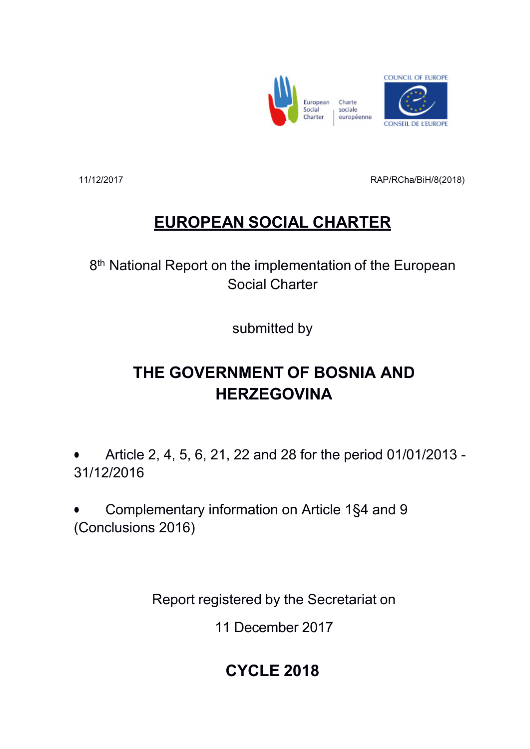



11/12/2017 RAP/RCha/BiH/8(2018)

# **EUROPEAN SOCIAL CHARTER**

8<sup>th</sup> National Report on the implementation of the European Social Charter

submitted by

# **THE GOVERNMENT OF BOSNIA AND HERZEGOVINA**

 Article 2, 4, 5, 6, 21, 22 and 28 for the period 01/01/2013 - 31/12/2016

 Complementary information on Article 1§4 and 9 (Conclusions 2016)

Report registered by the Secretariat on

11 December 2017

# **CYCLE 2018**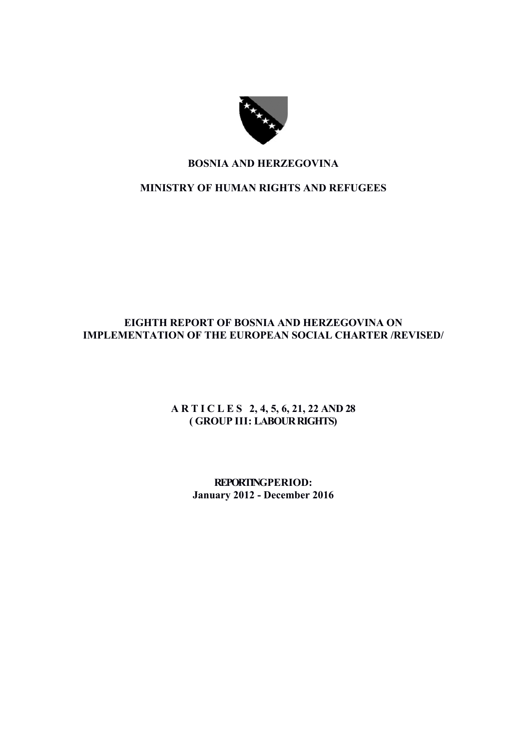

# **BOSNIA AND HERZEGOVINA**

# **MINISTRY OF HUMAN RIGHTS AND REFUGEES**

# **EIGHTH REPORT OF BOSNIA AND HERZEGOVINA ON IMPLEMENTATION OF THE EUROPEAN SOCIAL CHARTER /REVISED/**

# **A R T I C L E S 2, 4, 5, 6, 21, 22 AND 28 ( GROUP III: LABOUR RIGHTS)**

**REPORTING PERIOD: January 2012 - December 2016**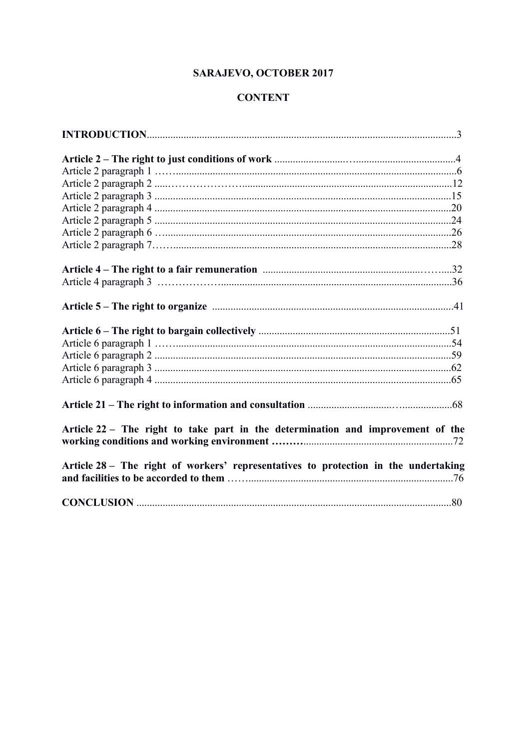# **SARAJEVO, OCTOBER 2017**

# **CONTENT**

| Article 22 – The right to take part in the determination and improvement of the     |  |
|-------------------------------------------------------------------------------------|--|
|                                                                                     |  |
| Article 28 - The right of workers' representatives to protection in the undertaking |  |
|                                                                                     |  |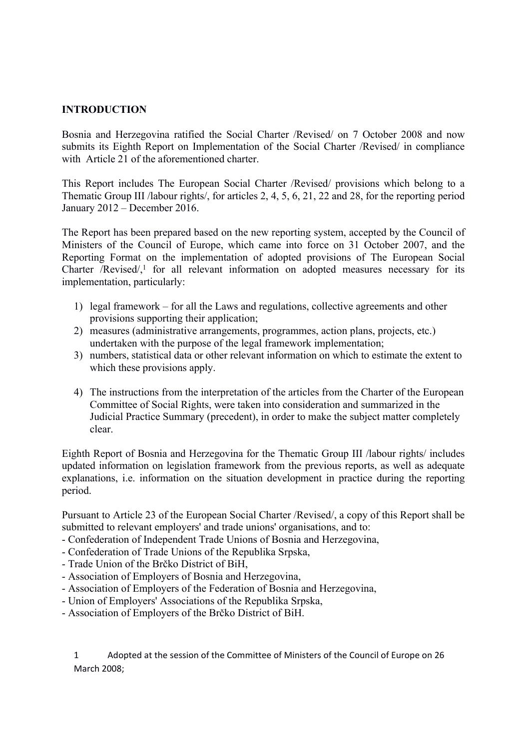#### **INTRODUCTION**

Bosnia and Herzegovina ratified the Social Charter /Revised/ on 7 October 2008 and now submits its Eighth Report on Implementation of the Social Charter /Revised/ in compliance with Article 21 of the aforementioned charter.

This Report includes The European Social Charter /Revised/ provisions which belong to a Thematic Group III /labour rights/, for articles 2, 4, 5, 6, 21, 22 and 28, for the reporting period January 2012 – December 2016.

The Report has been prepared based on the new reporting system, accepted by the Council of Ministers of the Council of Europe, which came into force on 31 October 2007, and the Reporting Format on the implementation of adopted provisions of The European Social Charter /Revised/ $\lambda$ <sup>1</sup> for all relevant information on adopted measures necessary for its implementation, particularly:

- 1) legal framework for all the Laws and regulations, collective agreements and other provisions supporting their application;
- 2) measures (administrative arrangements, programmes, action plans, projects, etc.) undertaken with the purpose of the legal framework implementation;
- 3) numbers, statistical data or other relevant information on which to estimate the extent to which these provisions apply.
- 4) The instructions from the interpretation of the articles from the Charter of the European Committee of Social Rights, were taken into consideration and summarized in the Judicial Practice Summary (precedent), in order to make the subject matter completely clear.

Eighth Report of Bosnia and Herzegovina for the Thematic Group III /labour rights/ includes updated information on legislation framework from the previous reports, as well as adequate explanations, i.e. information on the situation development in practice during the reporting period.

Pursuant to Article 23 of the European Social Charter /Revised/, a copy of this Report shall be submitted to relevant employers' and trade unions' organisations, and to:

- Confederation of Independent Trade Unions of Bosnia and Herzegovina,
- Confederation of Trade Unions of the Republika Srpska,
- Trade Union of the Brčko District of BiH,
- Association of Employers of Bosnia and Herzegovina,
- Association of Employers of the Federation of Bosnia and Herzegovina,
- Union of Employers' Associations of the Republika Srpska,
- Association of Employers of the Brčko District of BiH.

1 Adopted at the session of the Committee of Ministers of the Council of Europe on 26 March 2008;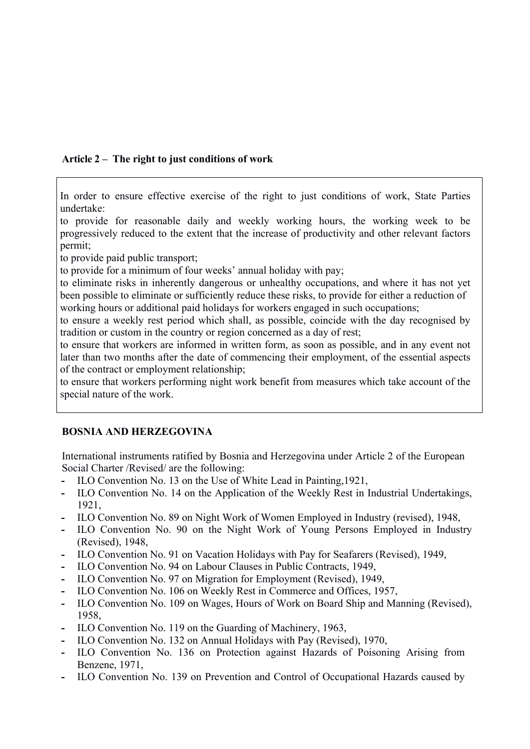# **Article 2 – The right to just conditions of work**

In order to ensure effective exercise of the right to just conditions of work, State Parties undertake:

1. to provide for reasonable daily and weekly working hours, the working week to be progressively reduced to the extent that the increase of productivity and other relevant factors permit;

to provide paid public transport;

to provide for a minimum of four weeks' annual holiday with pay;

4. to eliminate risks in inherently dangerous or unhealthy occupations, and where it has not yet been possible to eliminate or sufficiently reduce these risks, to provide for either a reduction of working hours or additional paid holidays for workers engaged in such occupations;

6. to ensure a weekly rest period which shall, as possible, coincide with the day recognised by tradition or custom in the country or region concerned as a day of rest;

7. to ensure that workers are informed in written form, as soon as possible, and in any event not later than two months after the date of commencing their employment, of the essential aspects of the contract or employment relationship;

to ensure that workers performing night work benefit from measures which take account of the special nature of the work.

# **BOSNIA AND HERZEGOVINA**

International instruments ratified by Bosnia and Herzegovina under Article 2 of the European Social Charter /Revised/ are the following:

- **-** ILO Convention No. 13 on the Use of White Lead in Painting,1921,
- **-** ILO Convention No. 14 on the Application of the Weekly Rest in Industrial Undertakings, 1921,
- **-** ILO Convention No. 89 on Night Work of Women Employed in Industry (revised), 1948,
- **-** ILO Convention No. 90 on the Night Work of Young Persons Employed in Industry (Revised), 1948,
- **-** ILO Convention No. 91 on Vacation Holidays with Pay for Seafarers (Revised), 1949,
- **-** ILO Convention No. 94 on Labour Clauses in Public Contracts, 1949,
- **-** ILO Convention No. 97 on Migration for Employment (Revised), 1949,
- **-** ILO Convention No. 106 on Weekly Rest in Commerce and Offices, 1957,
- **-** ILO Convention No. 109 on Wages, Hours of Work on Board Ship and Manning (Revised), 1958,
- **-** ILO Convention No. 119 on the Guarding of Machinery, 1963,
- **-** ILO Convention No. 132 on Annual Holidays with Pay (Revised), 1970,
- **-** ILO Convention No. 136 on Protection against Hazards of Poisoning Arising from Benzene, 1971,
- **-** ILO Convention No. 139 on Prevention and Control of Occupational Hazards caused by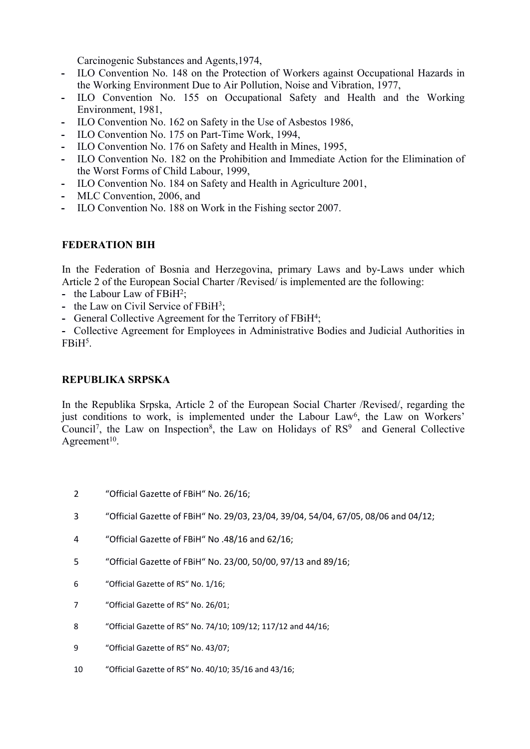Carcinogenic Substances and Agents,1974,

- **-** ILO Convention No. 148 on the Protection of Workers against Occupational Hazards in the Working Environment Due to Air Pollution, Noise and Vibration, 1977,
- **-** ILO Convention No. 155 on Occupational Safety and Health and the Working Environment, 1981,
- **-** ILO Convention No. 162 on Safety in the Use of Asbestos 1986,
- **-** ILO Convention No. 175 on Part-Time Work, 1994,
- **-** ILO Convention No. 176 on Safety and Health in Mines, 1995,
- **-** ILO Convention No. 182 on the Prohibition and Immediate Action for the Elimination of the Worst Forms of Child Labour, 1999,
- **-** ILO Convention No. 184 on Safety and Health in Agriculture 2001,
- **-** MLC Convention, 2006, and
- **-** ILO Convention No. 188 on Work in the Fishing sector 2007.

# **FEDERATION BIH**

In the Federation of Bosnia and Herzegovina, primary Laws and by-Laws under which Article 2 of the European Social Charter /Revised/ is implemented are the following:

- the Labour Law of FBiH<sup>2</sup>;
- the Law on Civil Service of FBiH<sup>3</sup>;
- General Collective Agreement for the Territory of FBiH<sup>4</sup>;

**-** Collective Agreement for Employees in Administrative Bodies and Judicial Authorities in FBiH<sup>5</sup>.

### **REPUBLIKA SRPSKA**

In the Republika Srpska, Article 2 of the European Social Charter /Revised/, regarding the just conditions to work, is implemented under the Labour Law<sup>6</sup>, the Law on Workers' Council<sup>7</sup>, the Law on Inspection<sup>8</sup>, the Law on Holidays of  $RS<sup>9</sup>$  and General Collective Agreement<sup>10</sup>.

- 2 "Official Gazette of FBiH" No. 26/16;
- 3 "Official Gazette of FBiH" No. 29/03, 23/04, 39/04, 54/04, 67/05, 08/06 and 04/12;
- 4 "Official Gazette of FBiH" No .48/16 and 62/16;
- 5 "Official Gazette of FBiH" No. 23/00, 50/00, 97/13 and 89/16;
- 6 "Official Gazette of RS" No. 1/16;
- 7 "Official Gazette of RS" No. 26/01;
- 8 "Official Gazette of RS" No. 74/10; 109/12; 117/12 and 44/16;
- 9 "Official Gazette of RS" No. 43/07;
- 10 "Official Gazette of RS" No. 40/10; 35/16 and 43/16;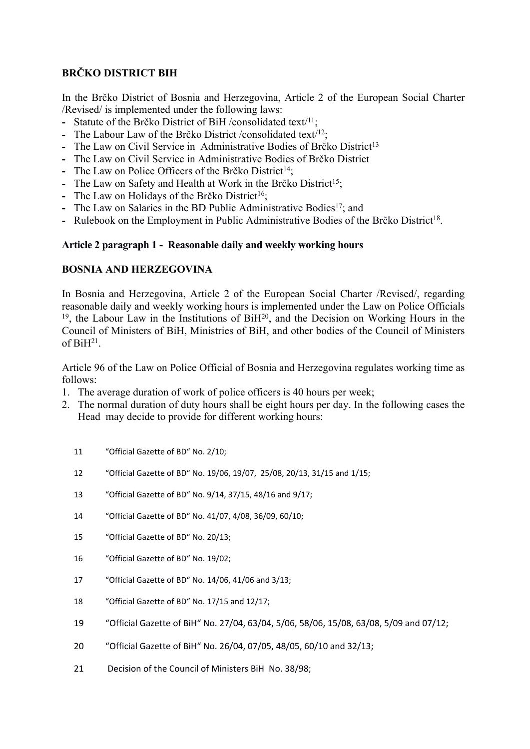# **BRČKO DISTRICT BIH**

In the Brčko District of Bosnia and Herzegovina, Article 2 of the European Social Charter /Revised/ is implemented under the following laws:

- **-** Statute of the Brčko District of BiH /consolidated text/<sup>11</sup>;
- **-** The Labour Law of the Brčko District /consolidated text/<sup>12</sup>;
- **-** The Law on Civil Service in Administrative Bodies of Brčko District<sup>13</sup>
- **-** The Law on Civil Service in Administrative Bodies of Brčko District
- **-** The Law on Police Officers of the Brčko District<sup>14</sup>;
- **-** The Law on Safety and Health at Work in the Brčko District<sup>15</sup>;
- The Law on Holidays of the Brčko District<sup>16</sup>;
- **-** The Law on Salaries in the BD Public Administrative Bodies<sup>17</sup>; and
- Rulebook on the Employment in Public Administrative Bodies of the Brčko District<sup>18</sup>.

#### **Article 2 paragraph 1 - Reasonable daily and weekly working hours**

#### **BOSNIA AND HERZEGOVINA**

In Bosnia and Herzegovina, Article 2 of the European Social Charter /Revised/, regarding reasonable daily and weekly working hours is implemented under the Law on Police Officials  $19$ , the Labour Law in the Institutions of BiH $20$ , and the Decision on Working Hours in the Council of Ministers of BiH, Ministries of BiH, and other bodies of the Council of Ministers of BiH<sup>21</sup> .

Article 96 of the Law on Police Official of Bosnia and Herzegovina regulates working time as follows:

- 1. The average duration of work of police officers is 40 hours per week;
- 2. The normal duration of duty hours shall be eight hours per day. In the following cases the Head may decide to provide for different working hours:
	- 11 "Official Gazette of BD" No. 2/10;
	- 12 "Official Gazette of BD" No. 19/06, 19/07, 25/08, 20/13, 31/15 and 1/15;
	- 13 "Official Gazette of BD" No. 9/14, 37/15, 48/16 and 9/17;
	- 14 "Official Gazette of BD" No. 41/07, 4/08, 36/09, 60/10;
	- 15 "Official Gazette of BD" No. 20/13;
	- 16 "Official Gazette of BD" No. 19/02;
	- 17 "Official Gazette of BD" No. 14/06, 41/06 and 3/13;
	- 18 "Official Gazette of BD" No. 17/15 and 12/17;
	- 19 "Official Gazette of BiH" No. 27/04, 63/04, 5/06, 58/06, 15/08, 63/08, 5/09 and 07/12;
	- 20 "Official Gazette of BiH" No. 26/04, 07/05, 48/05, 60/10 and 32/13;
	- 21 Decision of the Council of Ministers BiH No. 38/98: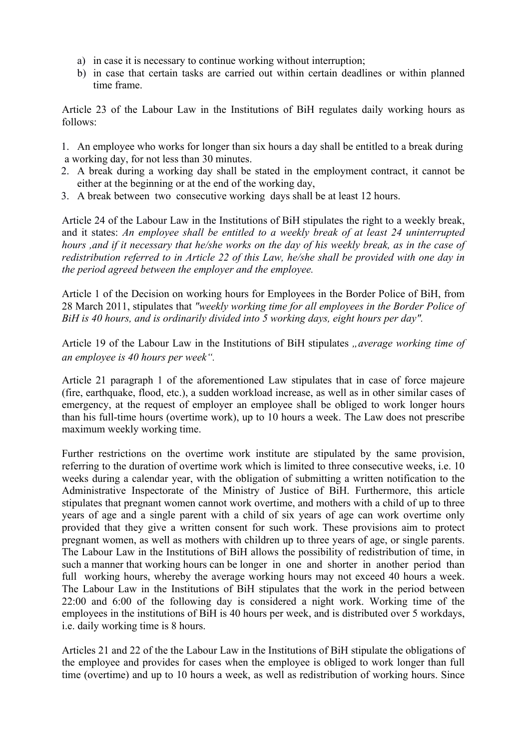- a) in case it is necessary to continue working without interruption;
- b) in case that certain tasks are carried out within certain deadlines or within planned time frame.

Article 23 of the Labour Law in the Institutions of BiH regulates daily working hours as follows:

1. An employee who works for longer than six hours a day shall be entitled to a break during a working day, for not less than 30 minutes.

- 2. A break during a working day shall be stated in the employment contract, it cannot be either at the beginning or at the end of the working day,
- 3. A break between two consecutive working days shall be at least 12 hours.

Article 24 of the Labour Law in the Institutions of BiH stipulates the right to a weekly break, and it states: *An employee shall be entitled to a weekly break of at least 24 uninterrupted hours ,and if it necessary that he/she works on the day of his weekly break, as in the case of redistribution referred to in Article 22 of this Law, he/she shall be provided with one day in the period agreed between the employer and the employee.*

Article 1 of the Decision on working hours for Employees in the Border Police of BiH, from 28 March 2011, stipulates that *"weekly working time for all employees in the Border Police of BiH is 40 hours, and is ordinarily divided into 5 working days, eight hours per day".*

Article 19 of the Labour Law in the Institutions of BiH stipulates "average working time of *an employee is 40 hours per week".*

Article 21 paragraph 1 of the aforementioned Law stipulates that in case of force majeure (fire, earthquake, flood, etc.), a sudden workload increase, as well as in other similar cases of emergency, at the request of employer an employee shall be obliged to work longer hours than his full-time hours (overtime work), up to 10 hours a week. The Law does not prescribe maximum weekly working time.

Further restrictions on the overtime work institute are stipulated by the same provision, referring to the duration of overtime work which is limited to three consecutive weeks, i.e. 10 weeks during a calendar year, with the obligation of submitting a written notification to the Administrative Inspectorate of the Ministry of Justice of BiH. Furthermore, this article stipulates that pregnant women cannot work overtime, and mothers with a child of up to three years of age and a single parent with a child of six years of age can work overtime only provided that they give a written consent for such work. These provisions aim to protect pregnant women, as well as mothers with children up to three years of age, or single parents. The Labour Law in the Institutions of BiH allows the possibility of redistribution of time, in such a manner that working hours can be longer in one and shorter in another period than full working hours, whereby the average working hours may not exceed 40 hours a week. The Labour Law in the Institutions of BiH stipulates that the work in the period between 22:00 and 6:00 of the following day is considered a night work. Working time of the employees in the institutions of BiH is 40 hours per week, and is distributed over 5 workdays, i.e. daily working time is 8 hours.

Articles 21 and 22 of the the Labour Law in the Institutions of BiH stipulate the obligations of the employee and provides for cases when the employee is obliged to work longer than full time (overtime) and up to 10 hours a week, as well as redistribution of working hours. Since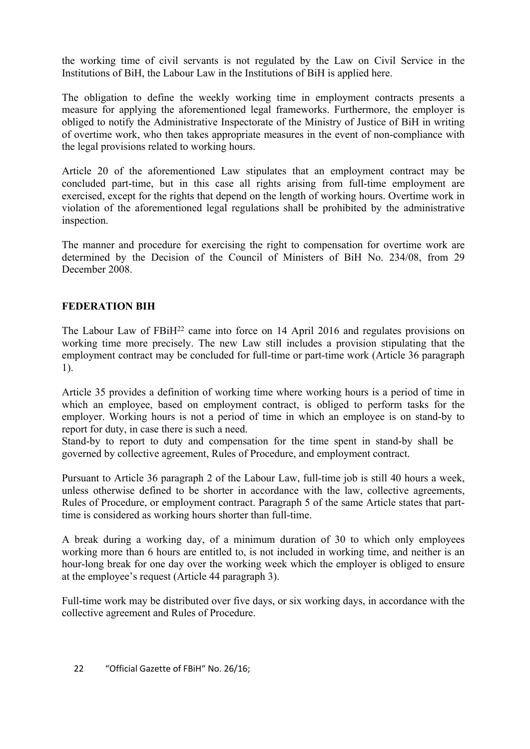the working time of civil servants is not regulated by the Law on Civil Service in the Institutions of BiH, the Labour Law in the Institutions of BiH is applied here.

The obligation to define the weekly working time in employment contracts presents a measure for applying the aforementioned legal frameworks. Furthermore, the employer is obliged to notify the Administrative Inspectorate of the Ministry of Justice of BiH in writing of overtime work, who then takes appropriate measures in the event of non-compliance with the legal provisions related to working hours.

Article 20 of the aforementioned Law stipulates that an employment contract may be concluded part-time, but in this case all rights arising from full-time employment are exercised, except for the rights that depend on the length of working hours. Overtime work in violation of the aforementioned legal regulations shall be prohibited by the administrative inspection.

The manner and procedure for exercising the right to compensation for overtime work are determined by the Decision of the Council of Ministers of BiH No. 234/08, from 29 December 2008.

# **FEDERATION BIH**

The Labour Law of FBiH<sup>22</sup> came into force on 14 April 2016 and regulates provisions on working time more precisely. The new Law still includes a provision stipulating that the employment contract may be concluded for full-time or part-time work (Article 36 paragraph 1).

Article 35 provides a definition of working time where working hours is a period of time in which an employee, based on employment contract, is obliged to perform tasks for the employer. Working hours is not a period of time in which an employee is on stand-by to report for duty, in case there is such a need.

Stand-by to report to duty and compensation for the time spent in stand-by shall be governed by collective agreement, Rules of Procedure, and employment contract.

Pursuant to Article 36 paragraph 2 of the Labour Law, full-time job is still 40 hours a week, unless otherwise defined to be shorter in accordance with the law, collective agreements, Rules of Procedure, or employment contract. Paragraph 5 of the same Article states that parttime is considered as working hours shorter than full-time.

A break during a working day, of a minimum duration of 30 to which only employees working more than 6 hours are entitled to, is not included in working time, and neither is an hour-long break for one day over the working week which the employer is obliged to ensure at the employee's request (Article 44 paragraph 3).

Full-time work may be distributed over five days, or six working days, in accordance with the collective agreement and Rules of Procedure.

22 "Official Gazette of FBiH" No. 26/16;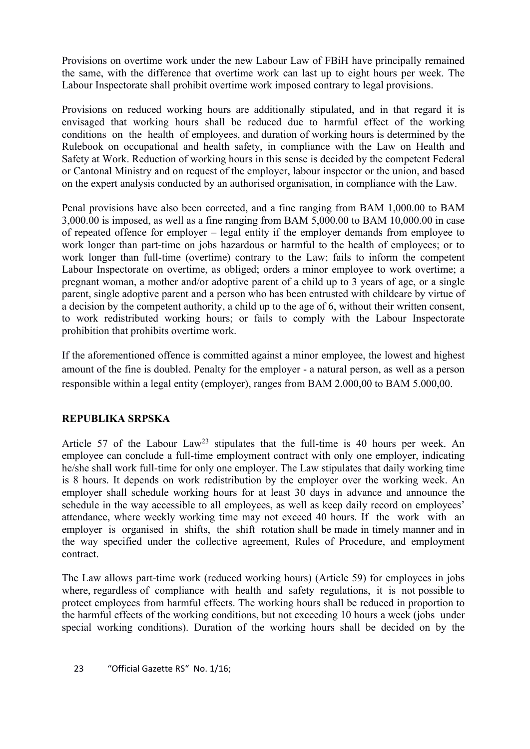Provisions on overtime work under the new Labour Law of FBiH have principally remained the same, with the difference that overtime work can last up to eight hours per week. The Labour Inspectorate shall prohibit overtime work imposed contrary to legal provisions.

Provisions on reduced working hours are additionally stipulated, and in that regard it is envisaged that working hours shall be reduced due to harmful effect of the working conditions on the health of employees, and duration of working hours is determined by the Rulebook on occupational and health safety, in compliance with the Law on Health and Safety at Work. Reduction of working hours in this sense is decided by the competent Federal or Cantonal Ministry and on request of the employer, labour inspector or the union, and based on the expert analysis conducted by an authorised organisation, in compliance with the Law.

Penal provisions have also been corrected, and a fine ranging from BAM 1,000.00 to BAM 3,000.00 is imposed, as well as a fine ranging from BAM 5,000.00 to BAM 10,000.00 in case of repeated offence for employer – legal entity if the employer demands from employee to work longer than part-time on jobs hazardous or harmful to the health of employees; or to work longer than full-time (overtime) contrary to the Law; fails to inform the competent Labour Inspectorate on overtime, as obliged; orders a minor employee to work overtime; a pregnant woman, a mother and/or adoptive parent of a child up to 3 years of age, or a single parent, single adoptive parent and a person who has been entrusted with childcare by virtue of a decision by the competent authority, a child up to the age of 6, without their written consent, to work redistributed working hours; or fails to comply with the Labour Inspectorate prohibition that prohibits overtime work.

If the aforementioned offence is committed against a minor employee, the lowest and highest amount of the fine is doubled. Penalty for the employer - a natural person, as well as a person responsible within a legal entity (employer), ranges from BAM 2.000,00 to BAM 5.000,00.

# **REPUBLIKA SRPSKA**

Article 57 of the Labour Law<sup>23</sup> stipulates that the full-time is 40 hours per week. An employee can conclude a full-time employment contract with only one employer, indicating he/she shall work full-time for only one employer. The Law stipulates that daily working time is 8 hours. It depends on work redistribution by the employer over the working week. An employer shall schedule working hours for at least 30 days in advance and announce the schedule in the way accessible to all employees, as well as keep daily record on employees' attendance, where weekly working time may not exceed 40 hours. If the work with an employer is organised in shifts, the shift rotation shall be made in timely manner and in the way specified under the collective agreement, Rules of Procedure, and employment contract.

The Law allows part-time work (reduced working hours) (Article 59) for employees in jobs where, regardless of compliance with health and safety regulations, it is not possible to protect employees from harmful effects. The working hours shall be reduced in proportion to the harmful effects of the working conditions, but not exceeding 10 hours a week (jobs under special working conditions). Duration of the working hours shall be decided on by the

23 "Official Gazette RS" No. 1/16;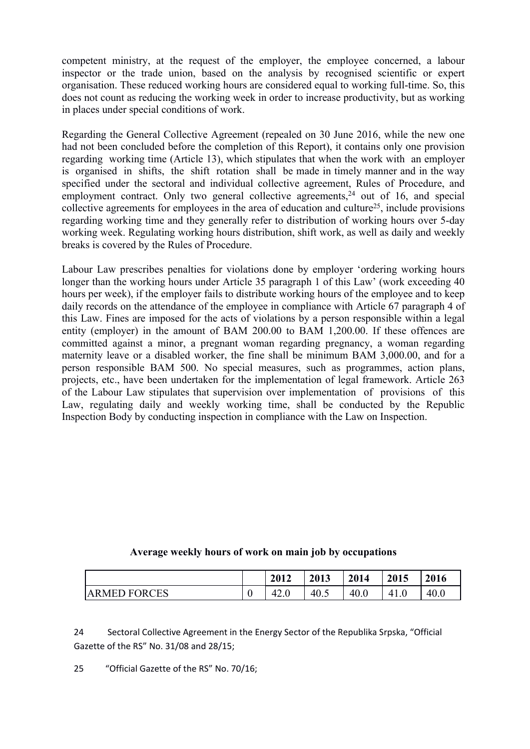competent ministry, at the request of the employer, the employee concerned, a labour inspector or the trade union, based on the analysis by recognised scientific or expert organisation. These reduced working hours are considered equal to working full-time. So, this does not count as reducing the working week in order to increase productivity, but as working in places under special conditions of work.

Regarding the General Collective Agreement (repealed on 30 June 2016, while the new one had not been concluded before the completion of this Report), it contains only one provision regarding working time (Article 13), which stipulates that when the work with an employer is organised in shifts, the shift rotation shall be made in timely manner and in the way specified under the sectoral and individual collective agreement, Rules of Procedure, and employment contract. Only two general collective agreements,  $24$  out of 16, and special collective agreements for employees in the area of education and culture<sup>25</sup>, include provisions regarding working time and they generally refer to distribution of working hours over 5-day working week. Regulating working hours distribution, shift work, as well as daily and weekly breaks is covered by the Rules of Procedure.

Labour Law prescribes penalties for violations done by employer 'ordering working hours longer than the working hours under Article 35 paragraph 1 of this Law' (work exceeding 40 hours per week), if the employer fails to distribute working hours of the employee and to keep daily records on the attendance of the employee in compliance with Article 67 paragraph 4 of this Law. Fines are imposed for the acts of violations by a person responsible within a legal entity (employer) in the amount of BAM 200.00 to BAM 1,200.00. If these offences are committed against a minor, a pregnant woman regarding pregnancy, a woman regarding maternity leave or a disabled worker, the fine shall be minimum BAM 3,000.00, and for a person responsible BAM 500. No special measures, such as programmes, action plans, projects, etc., have been undertaken for the implementation of legal framework. Article 263 of the Labour Law stipulates that supervision over implementation of provisions of this Law, regulating daily and weekly working time, shall be conducted by the Republic Inspection Body by conducting inspection in compliance with the Law on Inspection.

#### **Average weekly hours of work on main job by occupations**

|                     | 2012           | 2013 | 2014 | 2015  | 2016 |
|---------------------|----------------|------|------|-------|------|
| <b>ARMED FORCES</b> | $\sim$<br>42.U | 40.5 | 40.0 | T 1.V | 40.0 |

24 Sectoral Collective Agreement in the Energy Sector of the Republika Srpska, "Official Gazette of the RS" No. 31/08 and 28/15;

25 "Official Gazette of the RS" No. 70/16;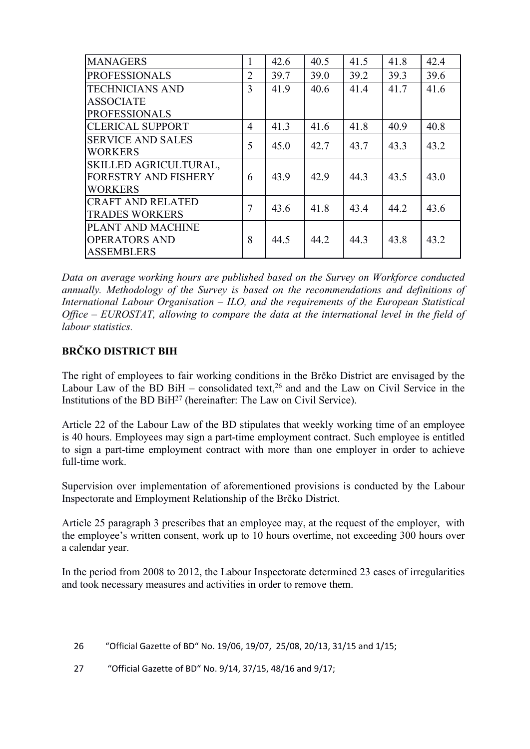| <b>MANAGERS</b>             | 1              | 42.6 | 40.5 | 41.5 | 41.8 | 42.4 |
|-----------------------------|----------------|------|------|------|------|------|
| <b>PROFESSIONALS</b>        | $\overline{2}$ | 39.7 | 39.0 | 39.2 | 39.3 | 39.6 |
| <b>TECHNICIANS AND</b>      | 3              | 41.9 | 40.6 | 41.4 | 41.7 | 41.6 |
| <b>ASSOCIATE</b>            |                |      |      |      |      |      |
| <b>PROFESSIONALS</b>        |                |      |      |      |      |      |
| <b>CLERICAL SUPPORT</b>     | 4              | 41.3 | 41.6 | 41.8 | 40.9 | 40.8 |
| <b>SERVICE AND SALES</b>    | 5              | 45.0 | 42.7 | 43.7 | 43.3 | 43.2 |
| <b>WORKERS</b>              |                |      |      |      |      |      |
| SKILLED AGRICULTURAL,       |                |      |      |      |      |      |
| <b>FORESTRY AND FISHERY</b> | 6              | 43.9 | 42.9 | 44.3 | 43.5 | 43.0 |
| <b>WORKERS</b>              |                |      |      |      |      |      |
| <b>CRAFT AND RELATED</b>    | $\overline{7}$ | 43.6 | 41.8 | 43.4 | 44.2 | 43.6 |
| <b>TRADES WORKERS</b>       |                |      |      |      |      |      |
| PLANT AND MACHINE           |                |      |      |      |      |      |
| <b>OPERATORS AND</b>        | 8              | 44.5 | 44.2 | 44.3 | 43.8 | 43.2 |
| <b>ASSEMBLERS</b>           |                |      |      |      |      |      |

*Data on average working hours are published based on the Survey on Workforce conducted annually. Methodology of the Survey is based on the recommendations and definitions of International Labour Organisation – ILO, and the requirements of the European Statistical Office – EUROSTAT, allowing to compare the data at the international level in the field of labour statistics.*

# **BRČKO DISTRICT BIH**

The right of employees to fair working conditions in the Brčko District are envisaged by the Labour Law of the BD BiH – consolidated text,  $26$  and and the Law on Civil Service in the Institutions of the BD BiH<sup>27</sup> (hereinafter: The Law on Civil Service).

Article 22 of the Labour Law of the BD stipulates that weekly working time of an employee is 40 hours. Employees may sign a part-time employment contract. Such employee is entitled to sign a part-time employment contract with more than one employer in order to achieve full-time work.

Supervision over implementation of aforementioned provisions is conducted by the Labour Inspectorate and Employment Relationship of the Brčko District.

Article 25 paragraph 3 prescribes that an employee may, at the request of the employer, with the employee's written consent, work up to 10 hours overtime, not exceeding 300 hours over a calendar year.

In the period from 2008 to 2012, the Labour Inspectorate determined 23 cases of irregularities and took necessary measures and activities in order to remove them.

- 26 "Official Gazette of BD" No. 19/06, 19/07, 25/08, 20/13, 31/15 and 1/15;
- 27 "Official Gazette of BD" No. 9/14, 37/15, 48/16 and 9/17;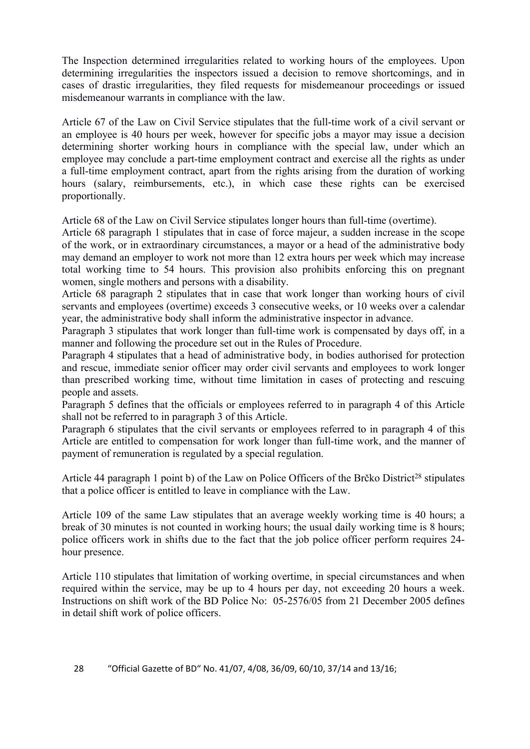The Inspection determined irregularities related to working hours of the employees. Upon determining irregularities the inspectors issued a decision to remove shortcomings, and in cases of drastic irregularities, they filed requests for misdemeanour proceedings or issued misdemeanour warrants in compliance with the law.

Article 67 of the Law on Civil Service stipulates that the full-time work of a civil servant or an employee is 40 hours per week, however for specific jobs a mayor may issue a decision determining shorter working hours in compliance with the special law, under which an employee may conclude a part-time employment contract and exercise all the rights as under a full-time employment contract, apart from the rights arising from the duration of working hours (salary, reimbursements, etc.), in which case these rights can be exercised proportionally.

Article 68 of the Law on Civil Service stipulates longer hours than full-time (overtime).

Article 68 paragraph 1 stipulates that in case of force majeur, a sudden increase in the scope of the work, or in extraordinary circumstances, a mayor or a head of the administrative body may demand an employer to work not more than 12 extra hours per week which may increase total working time to 54 hours. This provision also prohibits enforcing this on pregnant women, single mothers and persons with a disability.

Article 68 paragraph 2 stipulates that in case that work longer than working hours of civil servants and employees (overtime) exceeds 3 consecutive weeks, or 10 weeks over a calendar year, the administrative body shall inform the administrative inspector in advance.

Paragraph 3 stipulates that work longer than full-time work is compensated by days off, in a manner and following the procedure set out in the Rules of Procedure.

Paragraph 4 stipulates that a head of administrative body, in bodies authorised for protection and rescue, immediate senior officer may order civil servants and employees to work longer than prescribed working time, without time limitation in cases of protecting and rescuing people and assets.

Paragraph 5 defines that the officials or employees referred to in paragraph 4 of this Article shall not be referred to in paragraph 3 of this Article.

Paragraph 6 stipulates that the civil servants or employees referred to in paragraph 4 of this Article are entitled to compensation for work longer than full-time work, and the manner of payment of remuneration is regulated by a special regulation.

Article 44 paragraph 1 point b) of the Law on Police Officers of the Brčko District<sup>28</sup> stipulates that a police officer is entitled to leave in compliance with the Law.

Article 109 of the same Law stipulates that an average weekly working time is 40 hours; a break of 30 minutes is not counted in working hours; the usual daily working time is 8 hours; police officers work in shifts due to the fact that the job police officer perform requires 24 hour presence.

Article 110 stipulates that limitation of working overtime, in special circumstances and when required within the service, may be up to 4 hours per day, not exceeding 20 hours a week. Instructions on shift work of the BD Police No: 05-2576/05 from 21 December 2005 defines in detail shift work of police officers.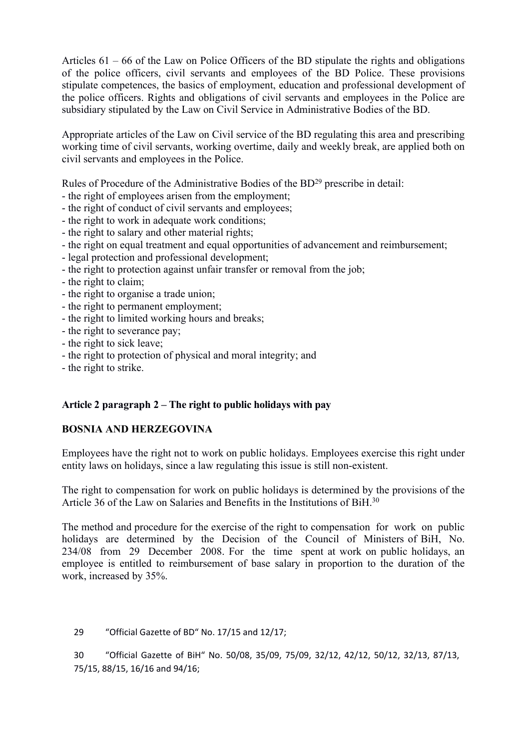Articles 61 – 66 of the Law on Police Officers of the BD stipulate the rights and obligations of the police officers, civil servants and employees of the BD Police. These provisions stipulate competences, the basics of employment, education and professional development of the police officers. Rights and obligations of civil servants and employees in the Police are subsidiary stipulated by the Law on Civil Service in Administrative Bodies of the BD.

Appropriate articles of the Law on Civil service of the BD regulating this area and prescribing working time of civil servants, working overtime, daily and weekly break, are applied both on civil servants and employees in the Police.

Rules of Procedure of the Administrative Bodies of the BD<sup>29</sup> prescribe in detail:

- the right of employees arisen from the employment;
- the right of conduct of civil servants and employees;
- the right to work in adequate work conditions;
- the right to salary and other material rights;
- the right on equal treatment and equal opportunities of advancement and reimbursement;
- legal protection and professional development;
- the right to protection against unfair transfer or removal from the job;
- the right to claim;
- the right to organise a trade union;
- the right to permanent employment;
- the right to limited working hours and breaks;
- the right to severance pay;
- the right to sick leave;
- the right to protection of physical and moral integrity; and
- the right to strike.

# **Article 2 paragraph 2 – The right to public holidays with pay**

# **BOSNIA AND HERZEGOVINA**

Employees have the right not to work on public holidays. Employees exercise this right under entity laws on holidays, since a law regulating this issue is still non-existent.

The right to compensation for work on public holidays is determined by the provisions of the Article 36 of the Law on Salaries and Benefits in the Institutions of BiH 30

The method and procedure for the exercise of the right to compensation for work on public holidays are determined by the Decision of the Council of Ministers of BiH, No. 234/08 from 29 December 2008. For the time spent at work on public holidays, an employee is entitled to reimbursement of base salary in proportion to the duration of the work, increased by 35%.

29 "Official Gazette of BD" No. 17/15 and 12/17;

30 "Official Gazette of BiH" No. 50/08, 35/09, 75/09, 32/12, 42/12, 50/12, 32/13, 87/13, 75/15, 88/15, 16/16 and 94/16;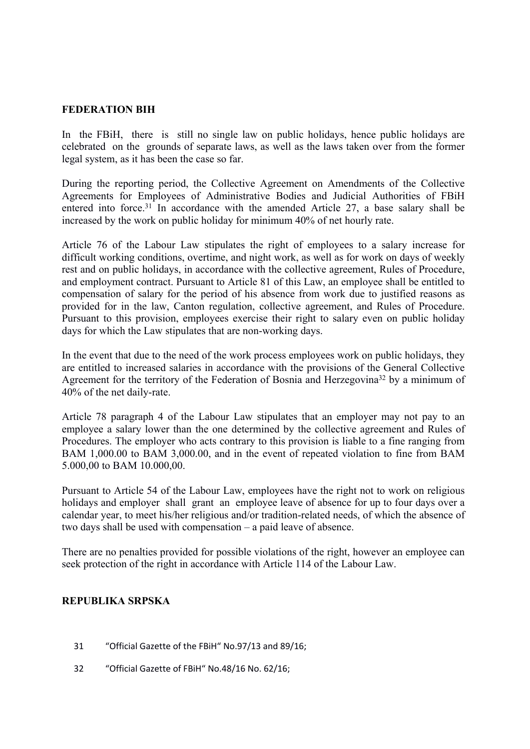#### **FEDERATION BIH**

In the FBiH, there is still no single law on public holidays, hence public holidays are celebrated on the grounds of separate laws, as well as the laws taken over from the former legal system, as it has been the case so far.

During the reporting period, the Collective Agreement on Amendments of the Collective Agreements for Employees of Administrative Bodies and Judicial Authorities of FBiH entered into force.<sup>31</sup> In accordance with the amended Article 27, a base salary shall be increased by the work on public holiday for minimum 40% of net hourly rate.

Article 76 of the Labour Law stipulates the right of employees to a salary increase for difficult working conditions, overtime, and night work, as well as for work on days of weekly rest and on public holidays, in accordance with the collective agreement, Rules of Procedure, and employment contract. Pursuant to Article 81 of this Law, an employee shall be entitled to compensation of salary for the period of his absence from work due to justified reasons as provided for in the law, Canton regulation, collective agreement, and Rules of Procedure. Pursuant to this provision, employees exercise their right to salary even on public holiday days for which the Law stipulates that are non-working days.

In the event that due to the need of the work process employees work on public holidays, they are entitled to increased salaries in accordance with the provisions of the General Collective Agreement for the territory of the Federation of Bosnia and Herzegovina<sup>32</sup> by a minimum of 40% of the net daily-rate.

Article 78 paragraph 4 of the Labour Law stipulates that an employer may not pay to an employee a salary lower than the one determined by the collective agreement and Rules of Procedures. The employer who acts contrary to this provision is liable to a fine ranging from BAM 1,000.00 to BAM 3,000.00, and in the event of repeated violation to fine from BAM 5.000,00 to BAM 10.000,00.

Pursuant to Article 54 of the Labour Law, employees have the right not to work on religious holidays and employer shall grant an employee leave of absence for up to four days over a calendar year, to meet his/her religious and/or tradition-related needs, of which the absence of two days shall be used with compensation – a paid leave of absence.

There are no penalties provided for possible violations of the right, however an employee can seek protection of the right in accordance with Article 114 of the Labour Law.

### **REPUBLIKA SRPSKA**

- 31 "Official Gazette of the FBiH" No.97/13 and 89/16;
- 32 "Official Gazette of FBiH" No.48/16 No. 62/16;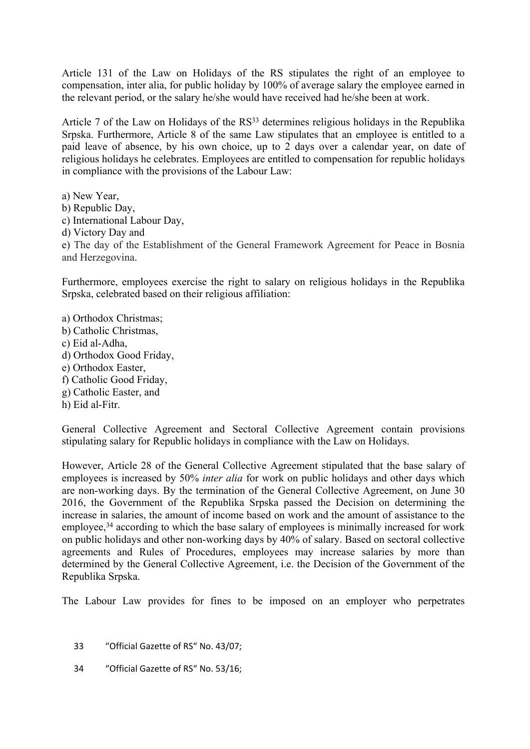Article 131 of the Law on Holidays of the RS stipulates the right of an employee to compensation, inter alia, for public holiday by 100% of average salary the employee earned in the relevant period, or the salary he/she would have received had he/she been at work.

Article 7 of the Law on Holidays of the RS<sup>33</sup> determines religious holidays in the Republika Srpska. Furthermore, Article 8 of the same Law stipulates that an employee is entitled to a paid leave of absence, by his own choice, up to 2 days over a calendar year, on date of religious holidays he celebrates. Employees are entitled to compensation for republic holidays in compliance with the provisions of the Labour Law:

a) New Year, b) Republic Day, c) International Labour Day, d) Victory Day and e) The day of the Establishment of the General Framework Agreement for Peace in Bosnia and Herzegovina.

Furthermore, employees exercise the right to salary on religious holidays in the Republika Srpska, celebrated based on their religious affiliation:

a) Orthodox Christmas; b) Catholic Christmas, c) Eid al-Adha, d) Orthodox Good Friday, e) Orthodox Easter, f) Catholic Good Friday, g) Catholic Easter, and h) Eid al-Fitr.

General Collective Agreement and Sectoral Collective Agreement contain provisions stipulating salary for Republic holidays in compliance with the Law on Holidays.

However, Article 28 of the General Collective Agreement stipulated that the base salary of employees is increased by 50% *inter alia* for work on public holidays and other days which are non-working days. By the termination of the General Collective Agreement, on June 30 2016, the Government of the Republika Srpska passed the Decision on determining the increase in salaries, the amount of income based on work and the amount of assistance to the employee,<sup>34</sup> according to which the base salary of employees is minimally increased for work on public holidays and other non-working days by 40% of salary. Based on sectoral collective agreements and Rules of Procedures, employees may increase salaries by more than determined by the General Collective Agreement, i.e. the Decision of the Government of the Republika Srpska.

The Labour Law provides for fines to be imposed on an employer who perpetrates

- 33 "Official Gazette of RS" No. 43/07;
- 34 "Official Gazette of RS" No. 53/16;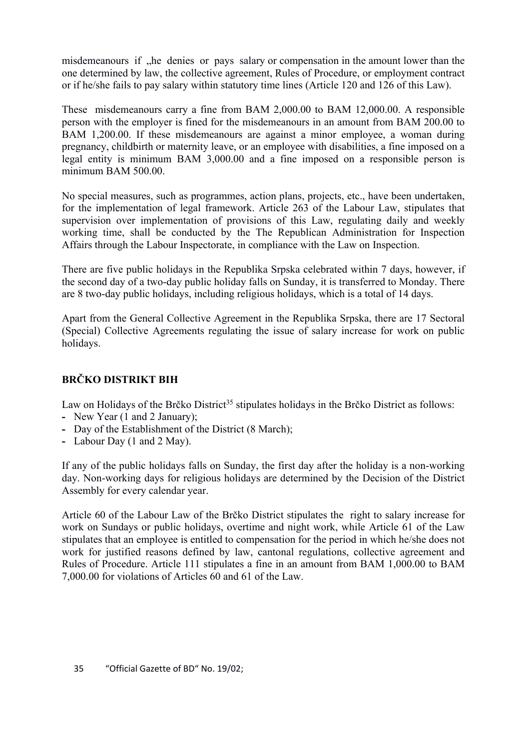misdemeanours if , he denies or pays salary or compensation in the amount lower than the one determined by law, the collective agreement, Rules of Procedure, or employment contract or if he/she fails to pay salary within statutory time lines (Article 120 and 126 of this Law).

These misdemeanours carry a fine from BAM 2,000.00 to BAM 12,000.00. A responsible person with the employer is fined for the misdemeanours in an amount from BAM 200.00 to BAM 1,200.00. If these misdemeanours are against a minor employee, a woman during pregnancy, childbirth or maternity leave, or an employee with disabilities, a fine imposed on a legal entity is minimum BAM 3,000.00 and a fine imposed on a responsible person is minimum BAM 500.00.

No special measures, such as programmes, action plans, projects, etc., have been undertaken, for the implementation of legal framework. Article 263 of the Labour Law, stipulates that supervision over implementation of provisions of this Law, regulating daily and weekly working time, shall be conducted by the The Republican Administration for Inspection Affairs through the Labour Inspectorate, in compliance with the Law on Inspection.

There are five public holidays in the Republika Srpska celebrated within 7 days, however, if the second day of a two-day public holiday falls on Sunday, it is transferred to Monday. There are 8 two-day public holidays, including religious holidays, which is a total of 14 days.

Apart from the General Collective Agreement in the Republika Srpska, there are 17 Sectoral (Special) Collective Agreements regulating the issue of salary increase for work on public holidays.

# **BRČKO DISTRIKT BIH**

Law on Holidays of the Brčko District<sup>35</sup> stipulates holidays in the Brčko District as follows:

- **-** New Year (1 and 2 January);
- **-** Day of the Establishment of the District (8 March);
- **-** Labour Day (1 and 2 May).

If any of the public holidays falls on Sunday, the first day after the holiday is a non-working day. Non-working days for religious holidays are determined by the Decision of the District Assembly for every calendar year.

Article 60 of the Labour Law of the Brčko District stipulates the right to salary increase for work on Sundays or public holidays, overtime and night work, while Article 61 of the Law stipulates that an employee is entitled to compensation for the period in which he/she does not work for justified reasons defined by law, cantonal regulations, collective agreement and Rules of Procedure. Article 111 stipulates a fine in an amount from BAM 1,000.00 to BAM 7,000.00 for violations of Articles 60 and 61 of the Law.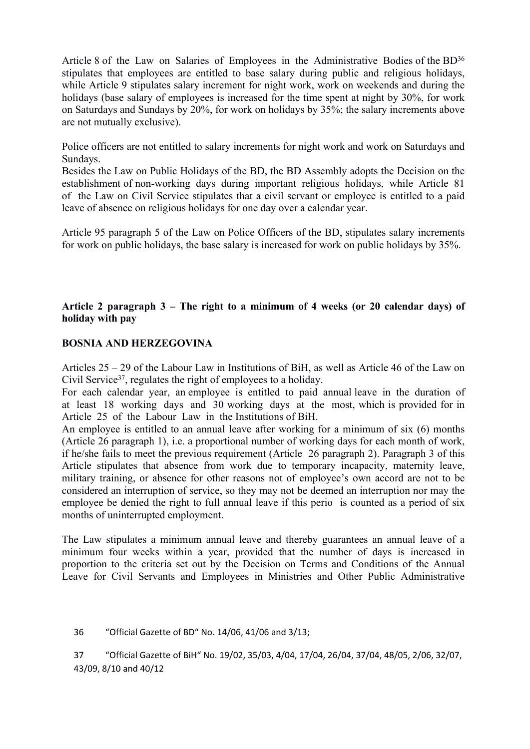Article 8 of the Law on Salaries of Employees in the Administrative Bodies of the BD<sup>36</sup> stipulates that employees are entitled to base salary during public and religious holidays, while Article 9 stipulates salary increment for night work, work on weekends and during the holidays (base salary of employees is increased for the time spent at night by 30%, for work on Saturdays and Sundays by 20%, for work on holidays by 35%; the salary increments above are not mutually exclusive).

Police officers are not entitled to salary increments for night work and work on Saturdays and Sundays.

Besides the Law on Public Holidays of the BD, the BD Assembly adopts the Decision on the establishment of non-working days during important religious holidays, while Article 81 of the Law on Civil Service stipulates that a civil servant or employee is entitled to a paid leave of absence on religious holidays for one day over a calendar year.

Article 95 paragraph 5 of the Law on Police Officers of the BD, stipulates salary increments for work on public holidays, the base salary is increased for work on public holidays by 35%.

# **Article 2 paragraph 3 – The right to a minimum of 4 weeks (or 20 calendar days) of holiday with pay**

#### **BOSNIA AND HERZEGOVINA**

Articles 25 – 29 of the Labour Law in Institutions of BiH, as well as Article 46 of the Law on Civil Service<sup>37</sup>, regulates the right of employees to a holiday.

For each calendar year, an employee is entitled to paid annual leave in the duration of at least 18 working days and 30 working days at the most, which is provided for in Article 25 of the Labour Law in the Institutions of BiH.

An employee is entitled to an annual leave after working for a minimum of six (6) months (Article 26 paragraph 1), i.e. a proportional number of working days for each month of work, if he/she fails to meet the previous requirement (Article 26 paragraph 2). Paragraph 3 of this Article stipulates that absence from work due to temporary incapacity, maternity leave, military training, or absence for other reasons not of employee's own accord are not to be considered an interruption of service, so they may not be deemed an interruption nor may the employee be denied the right to full annual leave if this perio is counted as a period of six months of uninterrupted employment.

The Law stipulates a minimum annual leave and thereby guarantees an annual leave of a minimum four weeks within a year, provided that the number of days is increased in proportion to the criteria set out by the Decision on Terms and Conditions of the Annual Leave for Civil Servants and Employees in Ministries and Other Public Administrative

36 "Official Gazette of BD" No. 14/06, 41/06 and 3/13;

37 "Official Gazette of BiH" No. 19/02, 35/03, 4/04, 17/04, 26/04, 37/04, 48/05, 2/06, 32/07, 43/09, 8/10 and 40/12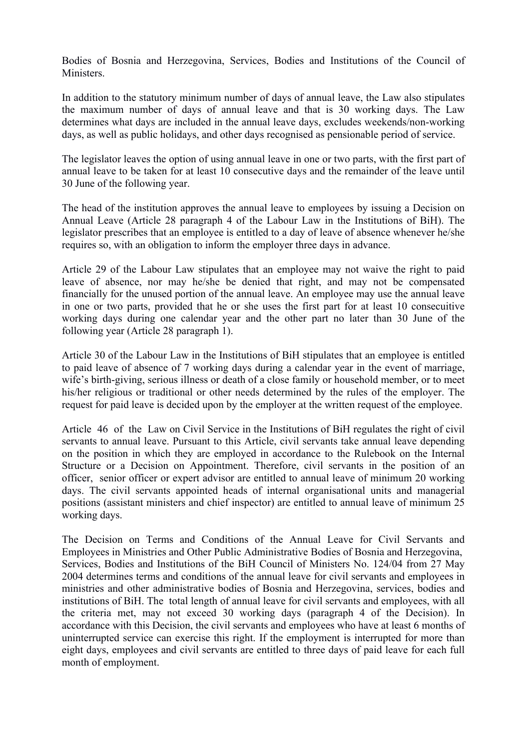Bodies of Bosnia and Herzegovina, Services, Bodies and Institutions of the Council of Ministers.

In addition to the statutory minimum number of days of annual leave, the Law also stipulates the maximum number of days of annual leave and that is 30 working days. The Law determines what days are included in the annual leave days, excludes weekends/non-working days, as well as public holidays, and other days recognised as pensionable period of service.

The legislator leaves the option of using annual leave in one or two parts, with the first part of annual leave to be taken for at least 10 consecutive days and the remainder of the leave until 30 June of the following year.

The head of the institution approves the annual leave to employees by issuing a Decision on Annual Leave (Article 28 paragraph 4 of the Labour Law in the Institutions of BiH). The legislator prescribes that an employee is entitled to a day of leave of absence whenever he/she requires so, with an obligation to inform the employer three days in advance.

Article 29 of the Labour Law stipulates that an employee may not waive the right to paid leave of absence, nor may he/she be denied that right, and may not be compensated financially for the unused portion of the annual leave. An employee may use the annual leave in one or two parts, provided that he or she uses the first part for at least 10 consecuitive working days during one calendar year and the other part no later than 30 June of the following year (Article 28 paragraph 1).

Article 30 of the Labour Law in the Institutions of BiH stipulates that an employee is entitled to paid leave of absence of 7 working days during a calendar year in the event of marriage, wife's birth-giving, serious illness or death of a close family or household member, or to meet his/her religious or traditional or other needs determined by the rules of the employer. The request for paid leave is decided upon by the employer at the written request of the employee.

Article 46 of the Law on Civil Service in the Institutions of BiH regulates the right of civil servants to annual leave. Pursuant to this Article, civil servants take annual leave depending on the position in which they are employed in accordance to the Rulebook on the Internal Structure or a Decision on Appointment. Therefore, civil servants in the position of an officer, senior officer or expert advisor are entitled to annual leave of minimum 20 working days. The civil servants appointed heads of internal organisational units and managerial positions (assistant ministers and chief inspector) are entitled to annual leave of minimum 25 working days.

The Decision on Terms and Conditions of the Annual Leave for Civil Servants and Employees in Ministries and Other Public Administrative Bodies of Bosnia and Herzegovina, Services, Bodies and Institutions of the BiH Council of Ministers No. 124/04 from 27 May 2004 determines terms and conditions of the annual leave for civil servants and employees in ministries and other administrative bodies of Bosnia and Herzegovina, services, bodies and institutions of BiH. The total length of annual leave for civil servants and employees, with all the criteria met, may not exceed 30 working days (paragraph 4 of the Decision). In accordance with this Decision, the civil servants and employees who have at least 6 months of uninterrupted service can exercise this right. If the employment is interrupted for more than eight days, employees and civil servants are entitled to three days of paid leave for each full month of employment.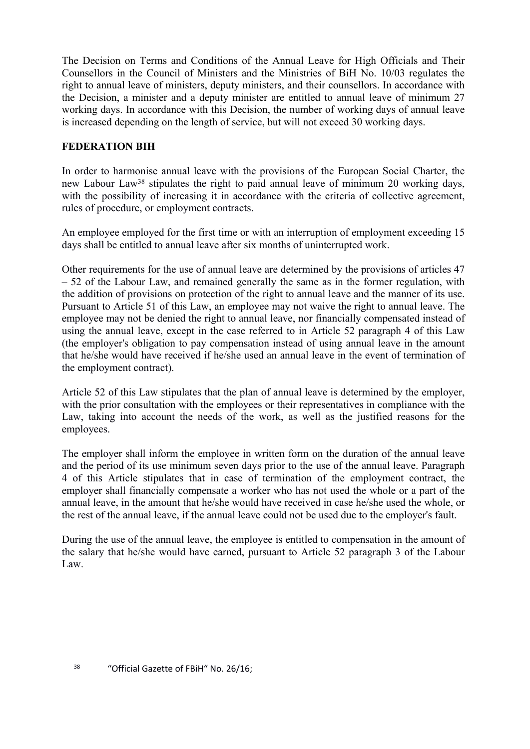The Decision on Terms and Conditions of the Annual Leave for High Officials and Their Counsellors in the Council of Ministers and the Ministries of BiH No. 10/03 regulates the right to annual leave of ministers, deputy ministers, and their counsellors. In accordance with the Decision, a minister and a deputy minister are entitled to annual leave of minimum 27 working days. In accordance with this Decision, the number of working days of annual leave is increased depending on the length of service, but will not exceed 30 working days.

# **FEDERATION BIH**

In order to harmonise annual leave with the provisions of the European Social Charter, the new Labour Law<sup>38</sup> stipulates the right to paid annual leave of minimum 20 working days, with the possibility of increasing it in accordance with the criteria of collective agreement, rules of procedure, or employment contracts.

An employee employed for the first time or with an interruption of employment exceeding 15 days shall be entitled to annual leave after six months of uninterrupted work.

Other requirements for the use of annual leave are determined by the provisions of articles 47 – 52 of the Labour Law, and remained generally the same as in the former regulation, with the addition of provisions on protection of the right to annual leave and the manner of its use. Pursuant to Article 51 of this Law, an employee may not waive the right to annual leave. The employee may not be denied the right to annual leave, nor financially compensated instead of using the annual leave, except in the case referred to in Article 52 paragraph 4 of this Law (the employer's obligation to pay compensation instead of using annual leave in the amount that he/she would have received if he/she used an annual leave in the event of termination of the employment contract).

Article 52 of this Law stipulates that the plan of annual leave is determined by the employer, with the prior consultation with the employees or their representatives in compliance with the Law, taking into account the needs of the work, as well as the justified reasons for the employees.

The employer shall inform the employee in written form on the duration of the annual leave and the period of its use minimum seven days prior to the use of the annual leave. Paragraph 4 of this Article stipulates that in case of termination of the employment contract, the employer shall financially compensate a worker who has not used the whole or a part of the annual leave, in the amount that he/she would have received in case he/she used the whole, or the rest of the annual leave, if the annual leave could not be used due to the employer's fault.

During the use of the annual leave, the employee is entitled to compensation in the amount of the salary that he/she would have earned, pursuant to Article 52 paragraph 3 of the Labour Law.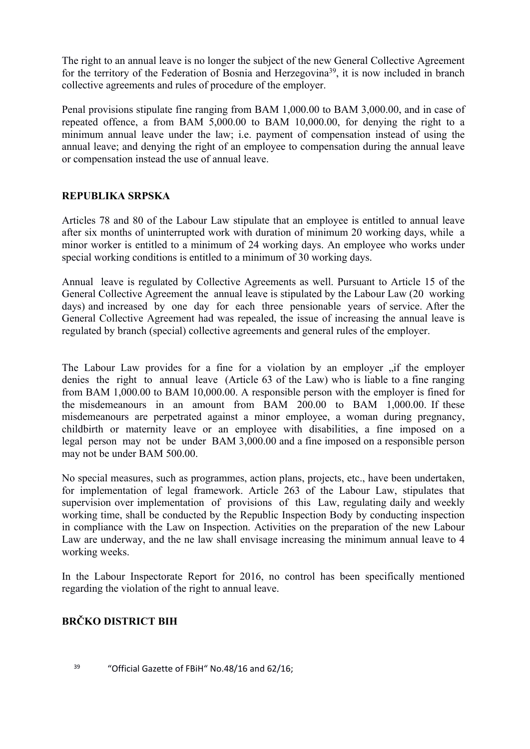The right to an annual leave is no longer the subject of the new General Collective Agreement for the territory of the Federation of Bosnia and Herzegovina<sup>39</sup>, it is now included in branch collective agreements and rules of procedure of the employer.

Penal provisions stipulate fine ranging from BAM 1,000.00 to BAM 3,000.00, and in case of repeated offence, a from BAM 5,000.00 to BAM 10,000.00, for denying the right to a minimum annual leave under the law; i.e. payment of compensation instead of using the annual leave; and denying the right of an employee to compensation during the annual leave or compensation instead the use of annual leave.

# **REPUBLIKA SRPSKA**

Articles 78 and 80 of the Labour Law stipulate that an employee is entitled to annual leave after six months of uninterrupted work with duration of minimum 20 working days, while a minor worker is entitled to a minimum of 24 working days. An employee who works under special working conditions is entitled to a minimum of 30 working days.

Annual leave is regulated by Collective Agreements as well. Pursuant to Article 15 of the General Collective Agreement the annual leave is stipulated by the Labour Law (20 working days) and increased by one day for each three pensionable years of service. After the General Collective Agreement had was repealed, the issue of increasing the annual leave is regulated by branch (special) collective agreements and general rules of the employer.

The Labour Law provides for a fine for a violation by an employer , if the employer denies the right to annual leave (Article 63 of the Law) who is liable to a fine ranging from BAM 1,000.00 to BAM 10,000.00. A responsible person with the employer is fined for the misdemeanours in an amount from BAM 200.00 to BAM 1,000.00. If these misdemeanours are perpetrated against a minor employee, a woman during pregnancy, childbirth or maternity leave or an employee with disabilities, a fine imposed on a legal person may not be under BAM 3,000.00 and a fine imposed on a responsible person may not be under BAM 500.00.

No special measures, such as programmes, action plans, projects, etc., have been undertaken, for implementation of legal framework. Article 263 of the Labour Law, stipulates that supervision over implementation of provisions of this Law, regulating daily and weekly working time, shall be conducted by the Republic Inspection Body by conducting inspection in compliance with the Law on Inspection. Activities on the preparation of the new Labour Law are underway, and the ne law shall envisage increasing the minimum annual leave to 4 working weeks.

In the Labour Inspectorate Report for 2016, no control has been specifically mentioned regarding the violation of the right to annual leave.

# **BRČKO DISTRICT BIH**

<sup>39</sup> "Official Gazette of FBiH" No.48/16 and 62/16: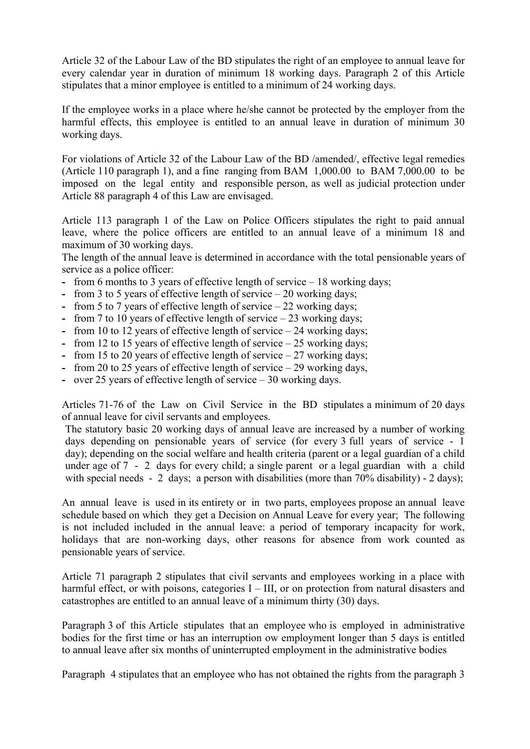Article 32 of the Labour Law of the BD stipulates the right of an employee to annual leave for every calendar year in duration of minimum 18 working days. Paragraph 2 of this Article stipulates that a minor employee is entitled to a minimum of 24 working days.

If the employee works in a place where he/she cannot be protected by the employer from the harmful effects, this employee is entitled to an annual leave in duration of minimum 30 working days.

For violations of Article 32 of the Labour Law of the BD /amended/, effective legal remedies (Article 110 paragraph 1), and a fine ranging from BAM 1,000.00 to BAM 7,000.00 to be imposed on the legal entity and responsible person, as well as judicial protection under Article 88 paragraph 4 of this Law are envisaged.

Article 113 paragraph 1 of the Law on Police Officers stipulates the right to paid annual leave, where the police officers are entitled to an annual leave of a minimum 18 and maximum of 30 working days.

The length of the annual leave is determined in accordance with the total pensionable years of service as a police officer:

- **-** from 6 months to 3 years of effective length of service 18 working days;
- **-** from 3 to 5 years of effective length of service 20 working days;
- **-** from 5 to 7 years of effective length of service 22 working days;
- **-** from 7 to 10 years of effective length of service 23 working days;
- **-** from 10 to 12 years of effective length of service 24 working days;
- **-** from 12 to 15 years of effective length of service 25 working days;
- **-** from 15 to 20 years of effective length of service 27 working days;
- **-** from 20 to 25 years of effective length of service 29 working days,
- **-** over 25 years of effective length of service 30 working days.

Articles 71-76 of the Law on Civil Service in the BD stipulates a minimum of 20 days of annual leave for civil servants and employees.

The statutory basic 20 working days of annual leave are increased by a number of working days depending on pensionable years of service (for every 3 full years of service - 1 day); depending on the social welfare and health criteria (parent or a legal guardian of a child under age of 7 - 2 days for every child; a single parent or a legal guardian with a child with special needs - 2 days; a person with disabilities (more than 70% disability) - 2 days);

An annual leave is used in its entirety or in two parts, employees propose an annual leave schedule based on which they get a Decision on Annual Leave for every year; The following is not included included in the annual leave: a period of temporary incapacity for work, holidays that are non-working days, other reasons for absence from work counted as pensionable years of service.

Article 71 paragraph 2 stipulates that civil servants and employees working in a place with harmful effect, or with poisons, categories I – III, or on protection from natural disasters and catastrophes are entitled to an annual leave of a minimum thirty (30) days.

Paragraph 3 of this Article stipulates that an employee who is employed in administrative bodies for the first time or has an interruption ow employment longer than 5 days is entitled to annual leave after six months of uninterrupted employment in the administrative bodies

Paragraph 4 stipulates that an employee who has not obtained the rights from the paragraph 3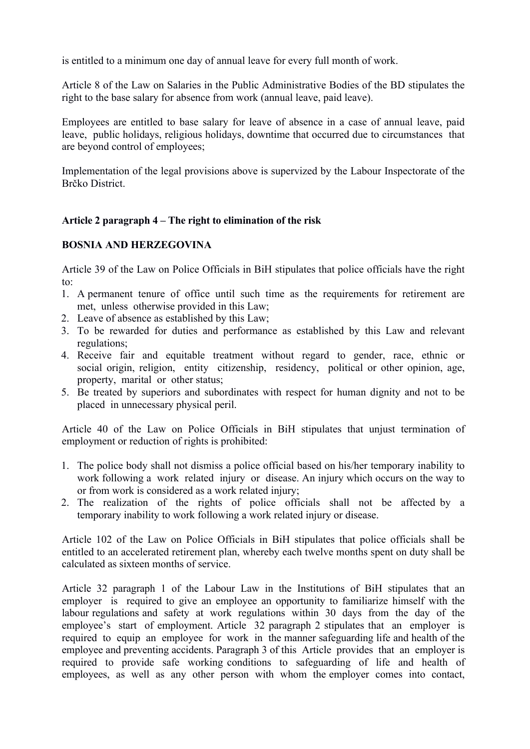is entitled to a minimum one day of annual leave for every full month of work.

Article 8 of the Law on Salaries in the Public Administrative Bodies of the BD stipulates the right to the base salary for absence from work (annual leave, paid leave).

Employees are entitled to base salary for leave of absence in a case of annual leave, paid leave, public holidays, religious holidays, downtime that occurred due to circumstances that are beyond control of employees;

Implementation of the legal provisions above is supervized by the Labour Inspectorate of the Brčko District.

#### **Article 2 paragraph 4 – The right to elimination of the risk**

#### **BOSNIA AND HERZEGOVINA**

Article 39 of the Law on Police Officials in BiH stipulates that police officials have the right to:

- 1. A permanent tenure of office until such time as the requirements for retirement are met, unless otherwise provided in this Law;
- 2. Leave of absence as established by this Law;
- 3. To be rewarded for duties and performance as established by this Law and relevant regulations;
- 4. Receive fair and equitable treatment without regard to gender, race, ethnic or social origin, religion, entity citizenship, residency, political or other opinion, age, property, marital or other status;
- 5. Be treated by superiors and subordinates with respect for human dignity and not to be placed in unnecessary physical peril.

Article 40 of the Law on Police Officials in BiH stipulates that unjust termination of employment or reduction of rights is prohibited:

- 1. The police body shall not dismiss a police official based on his/her temporary inability to work following a work related injury or disease. An injury which occurs on the way to or from work is considered as a work related injury;
- 2. The realization of the rights of police officials shall not be affected by a temporary inability to work following a work related injury or disease.

Article 102 of the Law on Police Officials in BiH stipulates that police officials shall be entitled to an accelerated retirement plan, whereby each twelve months spent on duty shall be calculated as sixteen months of service.

Article 32 paragraph 1 of the Labour Law in the Institutions of BiH stipulates that an employer is required to give an employee an opportunity to familiarize himself with the labour regulations and safety at work regulations within 30 days from the day of the employee's start of employment. Article 32 paragraph 2 stipulates that an employer is required to equip an employee for work in the manner safeguarding life and health of the employee and preventing accidents. Paragraph 3 of this Article provides that an employer is required to provide safe working conditions to safeguarding of life and health of employees, as well as any other person with whom the employer comes into contact,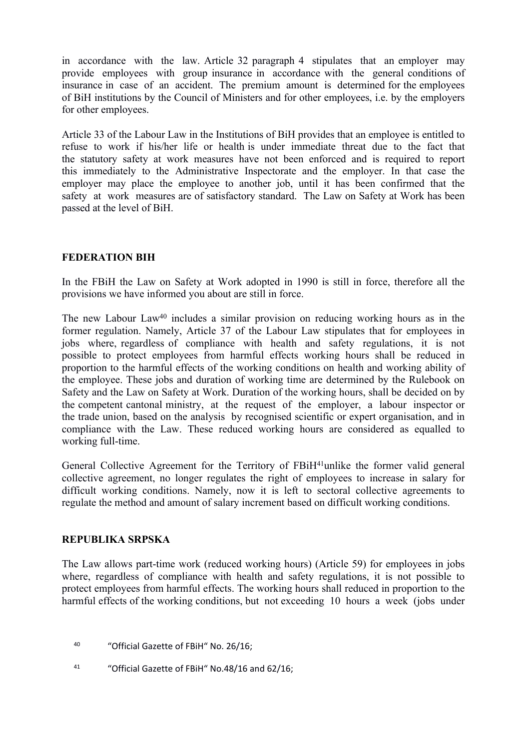in accordance with the law. Article 32 paragraph 4 stipulates that an employer may provide employees with group insurance in accordance with the general conditions of insurance in case of an accident. The premium amount is determined for the employees of BiH institutions by the Council of Ministers and for other employees, i.e. by the employers for other employees.

Article 33 of the Labour Law in the Institutions of BiH provides that an employee is entitled to refuse to work if his/her life or health is under immediate threat due to the fact that the statutory safety at work measures have not been enforced and is required to report this immediately to the Administrative Inspectorate and the employer. In that case the employer may place the employee to another job, until it has been confirmed that the safety at work measures are of satisfactory standard. The Law on Safety at Work has been passed at the level of BiH.

#### **FEDERATION BIH**

In the FBiH the Law on Safety at Work adopted in 1990 is still in force, therefore all the provisions we have informed you about are still in force.

The new Labour Law<sup>40</sup> includes a similar provision on reducing working hours as in the former regulation. Namely, Article 37 of the Labour Law stipulates that for employees in jobs where, regardless of compliance with health and safety regulations, it is not possible to protect employees from harmful effects working hours shall be reduced in proportion to the harmful effects of the working conditions on health and working ability of the employee. These jobs and duration of working time are determined by the Rulebook on Safety and the Law on Safety at Work. Duration of the working hours, shall be decided on by the competent cantonal ministry, at the request of the employer, a labour inspector or the trade union, based on the analysis by recognised scientific or expert organisation, and in compliance with the Law. These reduced working hours are considered as equalled to working full-time.

General Collective Agreement for the Territory of FBiH<sup>41</sup>unlike the former valid general collective agreement, no longer regulates the right of employees to increase in salary for difficult working conditions. Namely, now it is left to sectoral collective agreements to regulate the method and amount of salary increment based on difficult working conditions.

#### **REPUBLIKA SRPSKA**

The Law allows part-time work (reduced working hours) (Article 59) for employees in jobs where, regardless of compliance with health and safety regulations, it is not possible to protect employees from harmful effects. The working hours shall reduced in proportion to the harmful effects of the working conditions, but not exceeding 10 hours a week (jobs under

- <sup>40</sup> "Official Gazette of FBiH" No. 26/16;
- 41 "Official Gazette of FBiH" No.48/16 and 62/16;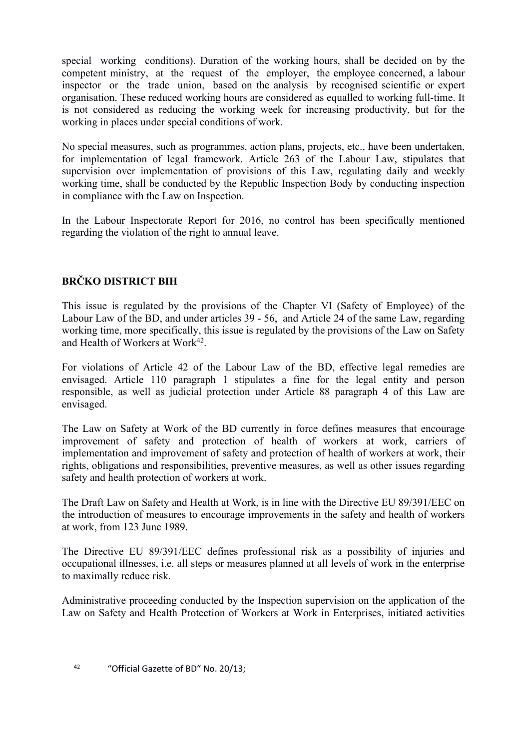special working conditions). Duration of the working hours, shall be decided on by the competent ministry, at the request of the employer, the employee concerned, a labour inspector or the trade union, based on the analysis by recognised scientific or expert organisation. These reduced working hours are considered as equalled to working full-time. It is not considered as reducing the working week for increasing productivity, but for the working in places under special conditions of work.

No special measures, such as programmes, action plans, projects, etc., have been undertaken, for implementation of legal framework. Article 263 of the Labour Law, stipulates that supervision over implementation of provisions of this Law, regulating daily and weekly working time, shall be conducted by the Republic Inspection Body by conducting inspection in compliance with the Law on Inspection.

In the Labour Inspectorate Report for 2016, no control has been specifically mentioned regarding the violation of the right to annual leave.

# **BRČKO DISTRICT BIH**

This issue is regulated by the provisions of the Chapter VI (Safety of Employee) of the Labour Law of the BD, and under articles 39 - 56, and Article 24 of the same Law, regarding working time, more specifically, this issue is regulated by the provisions of the Law on Safety and Health of Workers at Work<sup>[42](http://skupstinabd.ba/3-zakon/sr/Zakon%20o%20sigurnosti%20i%20zas--titi%20zdravlja%20radnika%20na%20radu/000%2020-13%20Zakon%20o%20sigurnosti%20i%20zas--titi%20zdravlja%20radnika%20na%20radu.pdf)</sup>.

For violations of Article 42 of the Labour Law of the BD, effective legal remedies are envisaged. Article 110 paragraph 1 stipulates a fine for the legal entity and person responsible, as well as judicial protection under Article 88 paragraph 4 of this Law are envisaged.

The Law on Safety at Work of the BD currently in force defines measures that encourage improvement of safety and protection of health of workers at work, carriers of implementation and improvement of safety and protection of health of workers at work, their rights, obligations and responsibilities, preventive measures, as well as other issues regarding safety and health protection of workers at work.

The Draft Law on Safety and Health at Work, is in line with the Directive EU 89/391/EEC on the introduction of measures to encourage improvements in the safety and health of workers at work, from 123 June 1989.

The Directive EU 89/391/EEC defines professional risk as a possibility of injuries and occupational illnesses, i.e. all steps or measures planned at all levels of work in the enterprise to maximally reduce risk.

Administrative proceeding conducted by the Inspection supervision on the application of the Law on Safety and Health Protection of Workers at Work in Enterprises, initiated activities

42 "Official Gazette of BD" No. 20/13;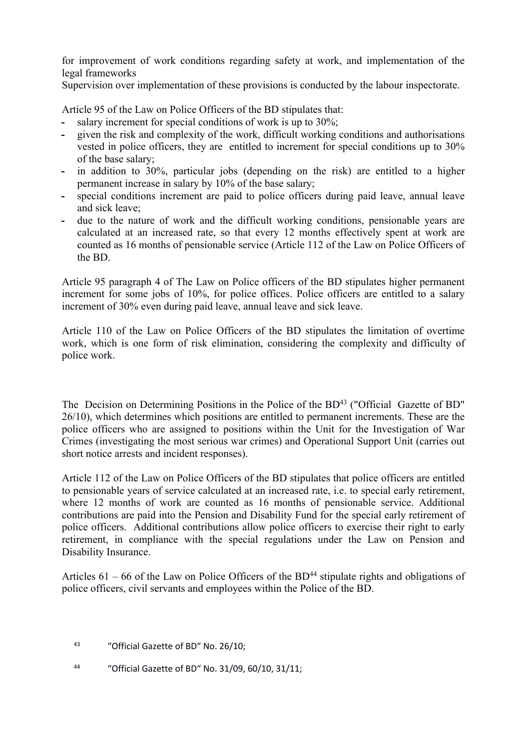for improvement of work conditions regarding safety at work, and implementation of the legal frameworks

Supervision over implementation of these provisions is conducted by the labour inspectorate.

Article 95 of the Law on Police Officers of the BD stipulates that:

- **-** salary increment for special conditions of work is up to 30%;
- **-** given the risk and complexity of the work, difficult working conditions and authorisations vested in police officers, they are entitled to increment for special conditions up to 30% of the base salary;
- **-** in addition to 30%, particular jobs (depending on the risk) are entitled to a higher permanent increase in salary by 10% of the base salary;
- **-** special conditions increment are paid to police officers during paid leave, annual leave and sick leave;
- **-** due to the nature of work and the difficult working conditions, pensionable years are calculated at an increased rate, so that every 12 months effectively spent at work are counted as 16 months of pensionable service (Article 112 of the Law on Police Officers of the BD.

Article 95 paragraph 4 of The Law on Police officers of the BD stipulates higher permanent increment for some jobs of 10%, for police offices. Police officers are entitled to a salary increment of 30% even during paid leave, annual leave and sick leave.

Article 110 of the Law on Police Officers of the BD stipulates the limitation of overtime work, which is one form of risk elimination, considering the complexity and difficulty of police work.

The Decision on Determining Positions in the Police of the BD<sup>43</sup> ("Official Gazette of BD" 26/10), which determines which positions are entitled to permanent increments. These are the police officers who are assigned to positions within the Unit for the Investigation of War Crimes (investigating the most serious war crimes) and Operational Support Unit (carries out short notice arrests and incident responses).

Article 112 of the Law on Police Officers of the BD stipulates that police officers are entitled to pensionable years of service calculated at an increased rate, i.e. to special early retirement, where 12 months of work are counted as 16 months of pensionable service. Additional contributions are paid into the Pension and Disability Fund for the special early retirement of police officers. Additional contributions allow police officers to exercise their right to early retirement, in compliance with the special regulations under the Law on Pension and Disability Insurance.

Articles  $61 - 66$  of the Law on Police Officers of the BD<sup>44</sup> stipulate rights and obligations of police officers, civil servants and employees within the Police of the BD.

- <sup>43</sup> "Official Gazette of BD" No. 26/10;
- 44 "Official Gazette of BD" No. 31/09, 60/10, 31/11;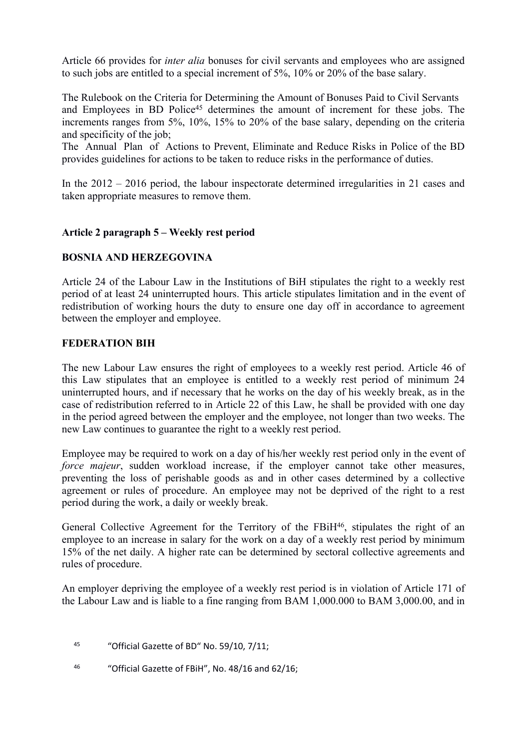Article 66 provides for *inter alia* bonuses for civil servants and employees who are assigned to such jobs are entitled to a special increment of 5%, 10% or 20% of the base salary.

The Rulebook on the Criteria for Determining the Amount of Bonuses Paid to Civil Servants and Employees in BD Police<sup>45</sup> determines the amount of increment for these jobs. The increments ranges from 5%, 10%, 15% to 20% of the base salary, depending on the criteria and specificity of the job;

The Annual Plan of Actions to Prevent, Eliminate and Reduce Risks in Police of the BD provides guidelines for actions to be taken to reduce risks in the performance of duties.

In the 2012 – 2016 period, the labour inspectorate determined irregularities in 21 cases and taken appropriate measures to remove them.

# **Article 2 paragraph 5 – Weekly rest period**

# **BOSNIA AND HERZEGOVINA**

Article 24 of the Labour Law in the Institutions of BiH stipulates the right to a weekly rest period of at least 24 uninterrupted hours. This article stipulates limitation and in the event of redistribution of working hours the duty to ensure one day off in accordance to agreement between the employer and employee.

# **FEDERATION BIH**

The new Labour Law ensures the right of employees to a weekly rest period. Article 46 of this Law stipulates that an employee is entitled to a weekly rest period of minimum 24 uninterrupted hours, and if necessary that he works on the day of his weekly break, as in the case of redistribution referred to in Article 22 of this Law, he shall be provided with one day in the period agreed between the employer and the employee, not longer than two weeks. The new Law continues to guarantee the right to a weekly rest period.

Employee may be required to work on a day of his/her weekly rest period only in the event of *force majeur*, sudden workload increase, if the employer cannot take other measures, preventing the loss of perishable goods as and in other cases determined by a collective agreement or rules of procedure. An employee may not be deprived of the right to a rest period during the work, a daily or weekly break.

General Collective Agreement for the Territory of the FBiH<sup>46</sup>, stipulates the right of an employee to an increase in salary for the work on a day of a weekly rest period by minimum 15% of the net daily. A higher rate can be determined by sectoral collective agreements and rules of procedure.

An employer depriving the employee of a weekly rest period is in violation of Article 171 of the Labour Law and is liable to a fine ranging from BAM 1,000.000 to BAM 3,000.00, and in

- <sup>45</sup> "Official Gazette of BD" No. 59/10, 7/11;
- 46 "Official Gazette of FBiH", No. 48/16 and 62/16;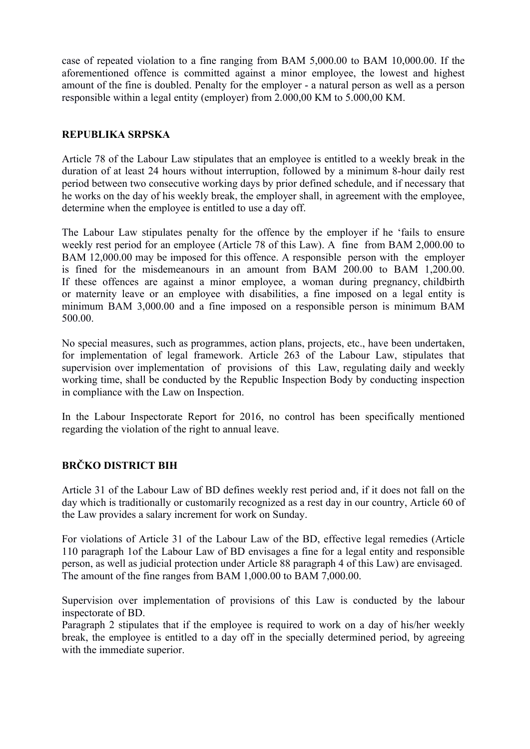case of repeated violation to a fine ranging from BAM 5,000.00 to BAM 10,000.00. If the aforementioned offence is committed against a minor employee, the lowest and highest amount of the fine is doubled. Penalty for the employer - a natural person as well as a person responsible within a legal entity (employer) from 2.000,00 KM to 5.000,00 KM.

# **REPUBLIKA SRPSKA**

Article 78 of the Labour Law stipulates that an employee is entitled to a weekly break in the duration of at least 24 hours without interruption, followed by a minimum 8-hour daily rest period between two consecutive working days by prior defined schedule, and if necessary that he works on the day of his weekly break, the employer shall, in agreement with the employee, determine when the employee is entitled to use a day off.

The Labour Law stipulates penalty for the offence by the employer if he 'fails to ensure weekly rest period for an employee (Article 78 of this Law). A fine from BAM 2,000.00 to BAM 12,000.00 may be imposed for this offence. A responsible person with the employer is fined for the misdemeanours in an amount from BAM 200.00 to BAM 1,200.00. If these offences are against a minor employee, a woman during pregnancy, childbirth or maternity leave or an employee with disabilities, a fine imposed on a legal entity is minimum BAM 3,000.00 and a fine imposed on a responsible person is minimum BAM 500.00.

No special measures, such as programmes, action plans, projects, etc., have been undertaken, for implementation of legal framework. Article 263 of the Labour Law, stipulates that supervision over implementation of provisions of this Law, regulating daily and weekly working time, shall be conducted by the Republic Inspection Body by conducting inspection in compliance with the Law on Inspection.

In the Labour Inspectorate Report for 2016, no control has been specifically mentioned regarding the violation of the right to annual leave.

# **BRČKO DISTRICT BIH**

Article 31 of the Labour Law of BD defines weekly rest period and, if it does not fall on the day which is traditionally or customarily recognized as a rest day in our country, Article 60 of the Law provides a salary increment for work on Sunday.

For violations of Article 31 of the Labour Law of the BD, effective legal remedies (Article 110 paragraph 1of the Labour Law of BD envisages a fine for a legal entity and responsible person, as well as judicial protection under Article 88 paragraph 4 of this Law) are envisaged. The amount of the fine ranges from BAM 1,000.00 to BAM 7,000.00.

Supervision over implementation of provisions of this Law is conducted by the labour inspectorate of BD.

Paragraph 2 stipulates that if the employee is required to work on a day of his/her weekly break, the employee is entitled to a day off in the specially determined period, by agreeing with the immediate superior.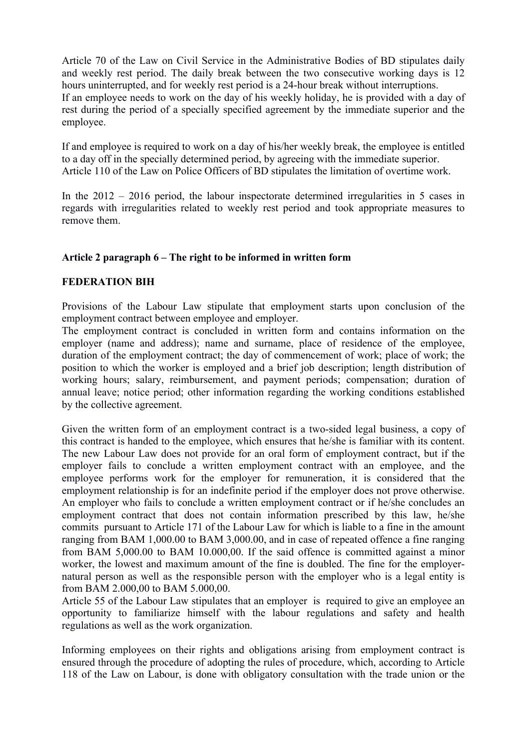Article 70 of the Law on Civil Service in the Administrative Bodies of BD stipulates daily and weekly rest period. The daily break between the two consecutive working days is 12 hours uninterrupted, and for weekly rest period is a 24-hour break without interruptions. If an employee needs to work on the day of his weekly holiday, he is provided with a day of rest during the period of a specially specified agreement by the immediate superior and the employee.

If and employee is required to work on a day of his/her weekly break, the employee is entitled to a day off in the specially determined period, by agreeing with the immediate superior. Article 110 of the Law on Police Officers of BD stipulates the limitation of overtime work.

In the 2012 – 2016 period, the labour inspectorate determined irregularities in 5 cases in regards with irregularities related to weekly rest period and took appropriate measures to remove them.

#### **Article 2 paragraph 6 – The right to be informed in written form**

#### **FEDERATION BIH**

Provisions of the Labour Law stipulate that employment starts upon conclusion of the employment contract between employee and employer.

The employment contract is concluded in written form and contains information on the employer (name and address); name and surname, place of residence of the employee, duration of the employment contract; the day of commencement of work; place of work; the position to which the worker is employed and a brief job description; length distribution of working hours; salary, reimbursement, and payment periods; compensation; duration of annual leave; notice period; other information regarding the working conditions established by the collective agreement.

Given the written form of an employment contract is a two-sided legal business, a copy of this contract is handed to the employee, which ensures that he/she is familiar with its content. The new Labour Law does not provide for an oral form of employment contract, but if the employer fails to conclude a written employment contract with an employee, and the employee performs work for the employer for remuneration, it is considered that the employment relationship is for an indefinite period if the employer does not prove otherwise. An employer who fails to conclude a written employment contract or if he/she concludes an employment contract that does not contain information prescribed by this law, he/she commits pursuant to Article 171 of the Labour Law for which is liable to a fine in the amount ranging from BAM 1,000.00 to BAM 3,000.00, and in case of repeated offence a fine ranging from BAM 5,000.00 to BAM 10.000,00. If the said offence is committed against a minor worker, the lowest and maximum amount of the fine is doubled. The fine for the employernatural person as well as the responsible person with the employer who is a legal entity is from BAM 2.000,00 to BAM 5.000,00.

Article 55 of the Labour Law stipulates that an employer is required to give an employee an opportunity to familiarize himself with the labour regulations and safety and health regulations as well as the work organization.

Informing employees on their rights and obligations arising from employment contract is ensured through the procedure of adopting the rules of procedure, which, according to Article 118 of the Law on Labour, is done with obligatory consultation with the trade union or the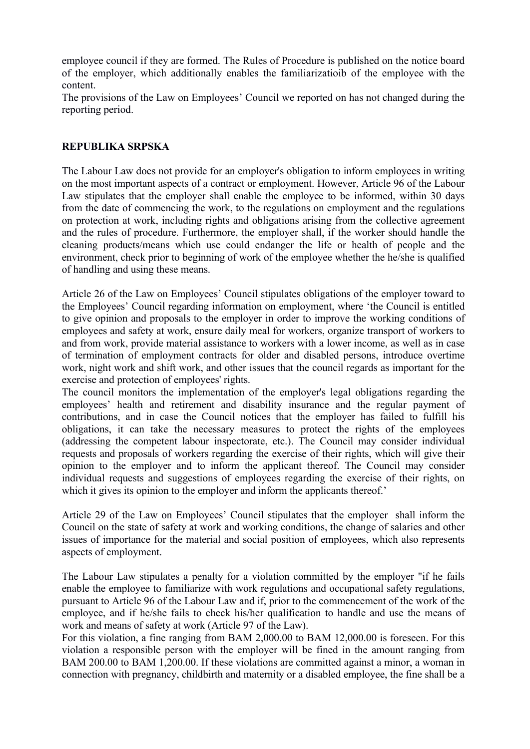employee council if they are formed. The Rules of Procedure is published on the notice board of the employer, which additionally enables the familiarizatioib of the employee with the content.

The provisions of the Law on Employees' Council we reported on has not changed during the reporting period.

#### **REPUBLIKA SRPSKA**

The Labour Law does not provide for an employer's obligation to inform employees in writing on the most important aspects of a contract or employment. However, Article 96 of the Labour Law stipulates that the employer shall enable the employee to be informed, within 30 days from the date of commencing the work, to the regulations on employment and the regulations on protection at work, including rights and obligations arising from the collective agreement and the rules of procedure. Furthermore, the employer shall, if the worker should handle the cleaning products/means which use could endanger the life or health of people and the environment, check prior to beginning of work of the employee whether the he/she is qualified of handling and using these means.

Article 26 of the Law on Employees' Council stipulates obligations of the employer toward to the Employees' Council regarding information on employment, where 'the Council is entitled to give opinion and proposals to the employer in order to improve the working conditions of employees and safety at work, ensure daily meal for workers, organize transport of workers to and from work, provide material assistance to workers with a lower income, as well as in case of termination of employment contracts for older and disabled persons, introduce overtime work, night work and shift work, and other issues that the council regards as important for the exercise and protection of employees' rights.

The council monitors the implementation of the employer's legal obligations regarding the employees' health and retirement and disability insurance and the regular payment of contributions, and in case the Council notices that the employer has failed to fulfill his obligations, it can take the necessary measures to protect the rights of the employees (addressing the competent labour inspectorate, etc.). The Council may consider individual requests and proposals of workers regarding the exercise of their rights, which will give their opinion to the employer and to inform the applicant thereof. The Council may consider individual requests and suggestions of employees regarding the exercise of their rights, on which it gives its opinion to the employer and inform the applicants thereof.'

Article 29 of the Law on Employees' Council stipulates that the employer shall inform the Council on the state of safety at work and working conditions, the change of salaries and other issues of importance for the material and social position of employees, which also represents aspects of employment.

The Labour Law stipulates a penalty for a violation committed by the employer "if he fails enable the employee to familiarize with work regulations and occupational safety regulations, pursuant to Article 96 of the Labour Law and if, prior to the commencement of the work of the employee, and if he/she fails to check his/her qualification to handle and use the means of work and means of safety at work (Article 97 of the Law).

For this violation, a fine ranging from BAM 2,000.00 to BAM 12,000.00 is foreseen. For this violation a responsible person with the employer will be fined in the amount ranging from BAM 200.00 to BAM 1,200.00. If these violations are committed against a minor, a woman in connection with pregnancy, childbirth and maternity or a disabled employee, the fine shall be a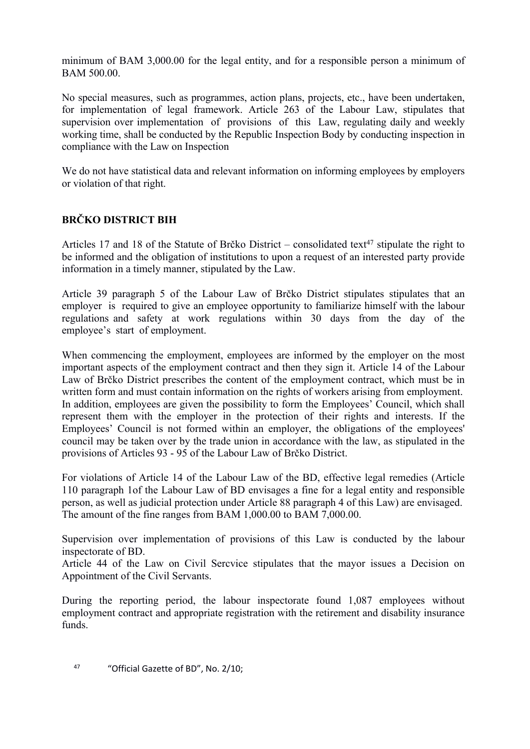minimum of BAM 3,000.00 for the legal entity, and for a responsible person a minimum of BAM 500.00.

No special measures, such as programmes, action plans, projects, etc., have been undertaken, for implementation of legal framework. Article 263 of the Labour Law, stipulates that supervision over implementation of provisions of this Law, regulating daily and weekly working time, shall be conducted by the Republic Inspection Body by conducting inspection in compliance with the Law on Inspection

We do not have statistical data and relevant information on informing employees by employers or violation of that right.

# **BRČKO DISTRICT BIH**

Articles 17 and 18 of the Statute of Brčko District – consolidated text<sup>47</sup> stipulate the right to be informed and the obligation of institutions to upon a request of an interested party provide information in a timely manner, stipulated by the Law.

Article 39 paragraph 5 of the Labour Law of Brčko District stipulates stipulates that an employer is required to give an employee opportunity to familiarize himself with the labour regulations and safety at work regulations within 30 days from the day of the employee's start of employment.

When commencing the employment, employees are informed by the employer on the most important aspects of the employment contract and then they sign it. Article 14 of the Labour Law of Brčko District prescribes the content of the employment contract, which must be in written form and must contain information on the rights of workers arising from employment. In addition, employees are given the possibility to form the Employees' Council, which shall represent them with the employer in the protection of their rights and interests. If the Employees' Council is not formed within an employer, the obligations of the employees' council may be taken over by the trade union in accordance with the law, as stipulated in the provisions of Articles 93 - 95 of the Labour Law of Brčko District.

For violations of Article 14 of the Labour Law of the BD, effective legal remedies (Article 110 paragraph 1of the Labour Law of BD envisages a fine for a legal entity and responsible person, as well as judicial protection under Article 88 paragraph 4 of this Law) are envisaged. The amount of the fine ranges from BAM 1,000.00 to BAM 7,000.00.

Supervision over implementation of provisions of this Law is conducted by the labour inspectorate of BD.

Article 44 of the Law on Civil Sercvice stipulates that the mayor issues a Decision on Appointment of the Civil Servants.

During the reporting period, the labour inspectorate found 1,087 employees without employment contract and appropriate registration with the retirement and disability insurance funds.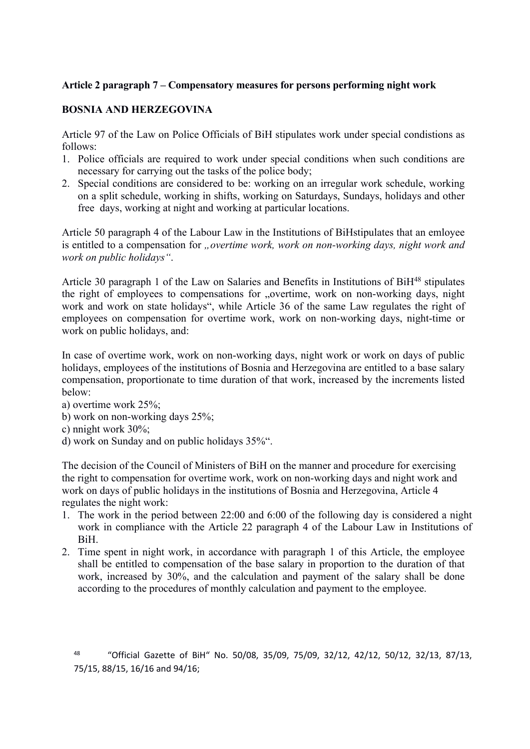# **Article 2 paragraph 7 – Compensatory measures for persons performing night work**

# **BOSNIA AND HERZEGOVINA**

Article 97 of the Law on Police Officials of BiH stipulates work under special condistions as follows:

- 1. Police officials are required to work under special conditions when such conditions are necessary for carrying out the tasks of the police body;
- 2. Special conditions are considered to be: working on an irregular work schedule, working on a split schedule, working in shifts, working on Saturdays, Sundays, holidays and other free days, working at night and working at particular locations.

Article 50 paragraph 4 of the Labour Law in the Institutions of BiHstipulates that an emloyee is entitled to a compensation for *"overtime work, work on non-working days, night work and work on public holidays"*.

Article 30 paragraph 1 of the Law on Salaries and Benefits in Institutions of BiH<sup>48</sup> stipulates the right of employees to compensations for "overtime, work on non-working days, night work and work on state holidays", while Article 36 of the same Law regulates the right of employees on compensation for overtime work, work on non-working days, night-time or work on public holidays, and:

In case of overtime work, work on non-working days, night work or work on days of public holidays, employees of the institutions of Bosnia and Herzegovina are entitled to a base salary compensation, proportionate to time duration of that work, increased by the increments listed below:

- a) overtime work 25%;
- b) work on non-working days 25%;
- c) nnight work 30%;
- d) work on Sunday and on public holidays 35%".

The decision of the Council of Ministers of BiH on the manner and procedure for exercising the right to compensation for overtime work, work on non-working days and night work and work on days of public holidays in the institutions of Bosnia and Herzegovina, Article 4 regulates the night work:

- 1. The work in the period between 22:00 and 6:00 of the following day is considered a night work in compliance with the Article 22 paragraph 4 of the Labour Law in Institutions of BiH.
- 2. Time spent in night work, in accordance with paragraph 1 of this Article, the employee shall be entitled to compensation of the base salary in proportion to the duration of that work, increased by 30%, and the calculation and payment of the salary shall be done according to the procedures of monthly calculation and payment to the employee.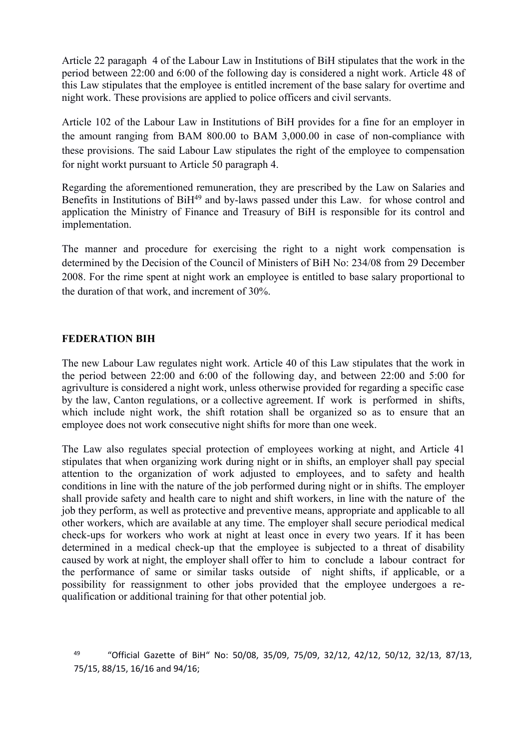Article 22 paragaph 4 of the Labour Law in Institutions of BiH stipulates that the work in the period between 22:00 and 6:00 of the following day is considered a night work. Article 48 of this Law stipulates that the employee is entitled increment of the base salary for overtime and night work. These provisions are applied to police officers and civil servants.

Article 102 of the Labour Law in Institutions of BiH provides for a fine for an employer in the amount ranging from BAM 800.00 to BAM 3,000.00 in case of non-compliance with these provisions. The said Labour Law stipulates the right of the employee to compensation for night workt pursuant to Article 50 paragraph 4.

Regarding the aforementioned remuneration, they are prescribed by the Law on Salaries and Benefits in Institutions of BiH<sup>49</sup> and by-laws passed under this Law. for whose control and application the Ministry of Finance and Treasury of BiH is responsible for its control and implementation.

The manner and procedure for exercising the right to a night work compensation is determined by the Decision of the Council of Ministers of BiH No: 234/08 from 29 December 2008. For the rime spent at night work an employee is entitled to base salary proportional to the duration of that work, and increment of 30%.

#### **FEDERATION BIH**

The new Labour Law regulates night work. Article 40 of this Law stipulates that the work in the period between 22:00 and 6:00 of the following day, and between 22:00 and 5:00 for agrivulture is considered a night work, unless otherwise provided for regarding a specific case by the law, Canton regulations, or a collective agreement. If work is performed in shifts, which include night work, the shift rotation shall be organized so as to ensure that an employee does not work consecutive night shifts for more than one week.

The Law also regulates special protection of employees working at night, and Article 41 stipulates that when organizing work during night or in shifts, an employer shall pay special attention to the organization of work adjusted to employees, and to safety and health conditions in line with the nature of the job performed during night or in shifts. The employer shall provide safety and health care to night and shift workers, in line with the nature of the job they perform, as well as protective and preventive means, appropriate and applicable to all other workers, which are available at any time. The employer shall secure periodical medical check-ups for workers who work at night at least once in every two years. If it has been determined in a medical check-up that the employee is subjected to a threat of disability caused by work at night, the employer shall offer to him to conclude a labour contract for the performance of same or similar tasks outside of night shifts, if applicable, or a possibility for reassignment to other jobs provided that the employee undergoes a requalification or additional training for that other potential job.

<sup>49</sup> "Official Gazette of BiH" No: 50/08, 35/09, 75/09, 32/12, 42/12, 50/12, 32/13, 87/13, 75/15, 88/15, 16/16 and 94/16;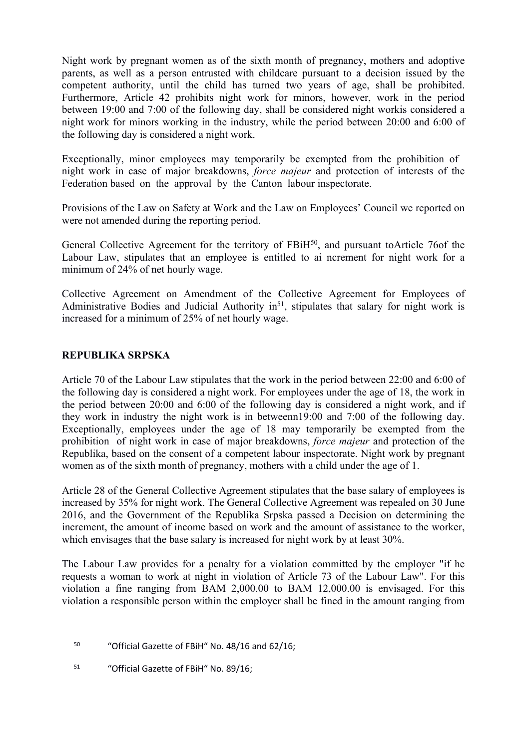Night work by pregnant women as of the sixth month of pregnancy, mothers and adoptive parents, as well as a person entrusted with childcare pursuant to a decision issued by the competent authority, until the child has turned two years of age, shall be prohibited. Furthermore, Article 42 prohibits night work for minors, however, work in the period between 19:00 and 7:00 of the following day, shall be considered night workis considered a night work for minors working in the industry, while the period between 20:00 and 6:00 of the following day is considered a night work.

Exceptionally, minor employees may temporarily be exempted from the prohibition of night work in case of major breakdowns, *force majeur* and protection of interests of the Federation based on the approval by the Canton labour inspectorate.

Provisions of the Law on Safety at Work and the Law on Employees' Council we reported on were not amended during the reporting period.

General Collective Agreement for the territory of FBiH<sup>50</sup>, and pursuant toArticle 76of the Labour Law, stipulates that an employee is entitled to ai ncrement for night work for a minimum of 24% of net hourly wage.

Collective Agreement on Amendment of the Collective Agreement for Employees of Administrative Bodies and Judicial Authority in<sup>51</sup>, stipulates that salary for night work is increased for a minimum of 25% of net hourly wage.

#### **REPUBLIKA SRPSKA**

Article 70 of the Labour Law stipulates that the work in the period between 22:00 and 6:00 of the following day is considered a night work. For employees under the age of 18, the work in the period between 20:00 and 6:00 of the following day is considered a night work, and if they work in industry the night work is in betweenn19:00 and 7:00 of the following day. Exceptionally, employees under the age of 18 may temporarily be exempted from the prohibition of night work in case of major breakdowns, *force majeur* and protection of the Republika, based on the consent of a competent labour inspectorate. Night work by pregnant women as of the sixth month of pregnancy, mothers with a child under the age of 1.

Article 28 of the General Collective Agreement stipulates that the base salary of employees is increased by 35% for night work. The General Collective Agreement was repealed on 30 June 2016, and the Government of the Republika Srpska passed a Decision on determining the increment, the amount of income based on work and the amount of assistance to the worker, which envisages that the base salary is increased for night work by at least 30%.

The Labour Law provides for a penalty for a violation committed by the employer "if he requests a woman to work at night in violation of Article 73 of the Labour Law". For this violation a fine ranging from BAM 2,000.00 to BAM 12,000.00 is envisaged. For this violation a responsible person within the employer shall be fined in the amount ranging from

- <sup>50</sup> "Official Gazette of FBiH" No. 48/16 and 62/16;
- 51 "Official Gazette of FBiH" No. 89/16;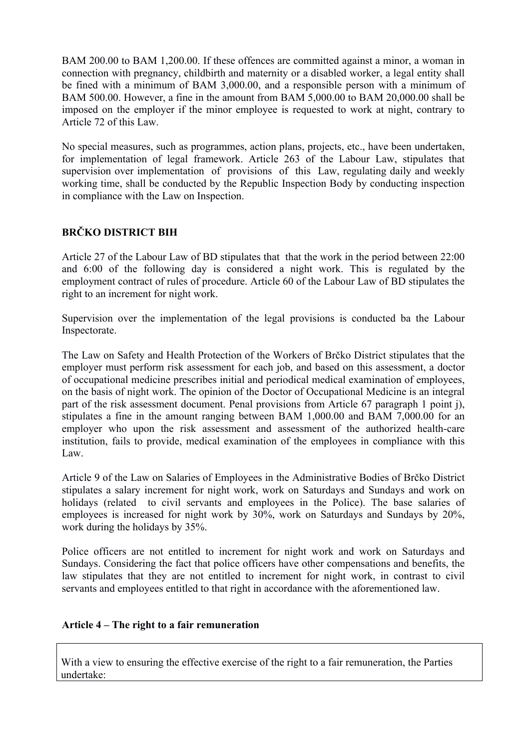BAM 200.00 to BAM 1,200.00. If these offences are committed against a minor, a woman in connection with pregnancy, childbirth and maternity or a disabled worker, a legal entity shall be fined with a minimum of BAM 3,000.00, and a responsible person with a minimum of BAM 500.00. However, a fine in the amount from BAM 5,000.00 to BAM 20,000.00 shall be imposed on the employer if the minor employee is requested to work at night, contrary to Article 72 of this Law.

No special measures, such as programmes, action plans, projects, etc., have been undertaken, for implementation of legal framework. Article 263 of the Labour Law, stipulates that supervision over implementation of provisions of this Law, regulating daily and weekly working time, shall be conducted by the Republic Inspection Body by conducting inspection in compliance with the Law on Inspection.

# **BRČKO DISTRICT BIH**

Article 27 of the Labour Law of BD stipulates that that the work in the period between 22:00 and 6:00 of the following day is considered a night work. This is regulated by the employment contract of rules of procedure. Article 60 of the Labour Law of BD stipulates the right to an increment for night work.

Supervision over the implementation of the legal provisions is conducted ba the Labour Inspectorate.

The Law on Safety and Health Protection of the Workers of Brčko District stipulates that the employer must perform risk assessment for each job, and based on this assessment, a doctor of occupational medicine prescribes initial and periodical medical examination of employees, on the basis of night work. The opinion of the Doctor of Occupational Medicine is an integral part of the risk assessment document. Penal provisions from Article 67 paragraph 1 point j), stipulates a fine in the amount ranging between BAM 1,000.00 and BAM 7,000.00 for an employer who upon the risk assessment and assessment of the authorized health-care institution, fails to provide, medical examination of the employees in compliance with this Law.

Article 9 of the Law on Salaries of Employees in the Administrative Bodies of Brčko District stipulates a salary increment for night work, work on Saturdays and Sundays and work on holidays (related to civil servants and employees in the Police). The base salaries of employees is increased for night work by 30%, work on Saturdays and Sundays by 20%, work during the holidays by 35%.

Police officers are not entitled to increment for night work and work on Saturdays and Sundays. Considering the fact that police officers have other compensations and benefits, the law stipulates that they are not entitled to increment for night work, in contrast to civil servants and employees entitled to that right in accordance with the aforementioned law.

# **Article 4 – The right to a fair remuneration**

With a view to ensuring the effective exercise of the right to a fair remuneration, the Parties undertake: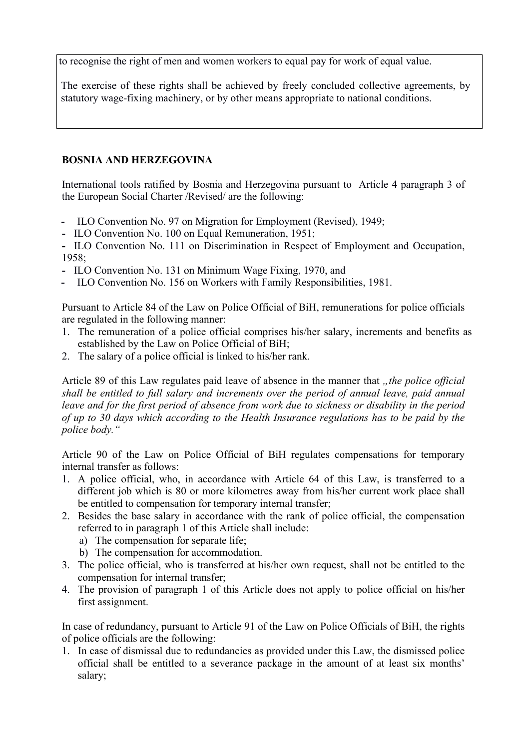to recognise the right of men and women workers to equal pay for work of equal value.

The exercise of these rights shall be achieved by freely concluded collective agreements, by statutory wage-fixing machinery, or by other means appropriate to national conditions.

# **BOSNIA AND HERZEGOVINA**

International tools ratified by Bosnia and Herzegovina pursuant to Article 4 paragraph 3 of the European Social Charter /Revised/ are the following:

- **-** ILO Convention No. 97 on Migration for Employment (Revised), 1949;
- **-** ILO Convention No. 100 on Equal Remuneration, 1951;

**-** ILO Convention No. 111 on Discrimination in Respect of Employment and Occupation, 1958;

- **-** ILO Convention No. 131 on Minimum Wage Fixing, 1970, and
- **-** ILO Convention No. 156 on Workers with Family Responsibilities, 1981.

Pursuant to Article 84 of the Law on Police Official of BiH, remunerations for police officials are regulated in the following manner:

- 1. The remuneration of a police official comprises his/her salary, increments and benefits as established by the Law on Police Official of BiH;
- 2. The salary of a police official is linked to his/her rank.

Article 89 of this Law regulates paid leave of absence in the manner that *"the police official shall be entitled to full salary and increments over the period of annual leave, paid annual leave and for the first period of absence from work due to sickness or disability in the period of up to 30 days which according to the Health Insurance regulations has to be paid by the police body."*

Article 90 of the Law on Police Official of BiH regulates compensations for temporary internal transfer as follows:

- 1. A police official, who, in accordance with Article 64 of this Law, is transferred to a different job which is 80 or more kilometres away from his/her current work place shall be entitled to compensation for temporary internal transfer;
- 2. Besides the base salary in accordance with the rank of police official, the compensation referred to in paragraph 1 of this Article shall include:
	- a) The compensation for separate life;
	- b) The compensation for accommodation.
- 3. The police official, who is transferred at his/her own request, shall not be entitled to the compensation for internal transfer;
- 4. The provision of paragraph 1 of this Article does not apply to police official on his/her first assignment.

In case of redundancy, pursuant to Article 91 of the Law on Police Officials of BiH, the rights of police officials are the following:

1. In case of dismissal due to redundancies as provided under this Law, the dismissed police official shall be entitled to a severance package in the amount of at least six months' salary;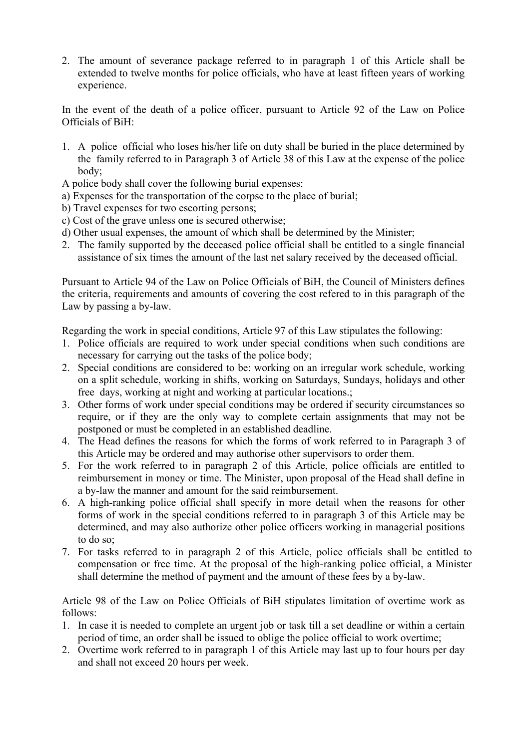2. The amount of severance package referred to in paragraph 1 of this Article shall be extended to twelve months for police officials, who have at least fifteen years of working experience.

In the event of the death of a police officer, pursuant to Article 92 of the Law on Police Officials of BiH:

- 1. A police official who loses his/her life on duty shall be buried in the place determined by the family referred to in Paragraph 3 of Article 38 of this Law at the expense of the police body;
- A police body shall cover the following burial expenses:
- a) Expenses for the transportation of the corpse to the place of burial;
- b) Travel expenses for two escorting persons;
- c) Cost of the grave unless one is secured otherwise;
- d) Other usual expenses, the amount of which shall be determined by the Minister;
- 2. The family supported by the deceased police official shall be entitled to a single financial assistance of six times the amount of the last net salary received by the deceased official.

Pursuant to Article 94 of the Law on Police Officials of BiH, the Council of Ministers defines the criteria, requirements and amounts of covering the cost refered to in this paragraph of the Law by passing a by-law.

Regarding the work in special conditions, Article 97 of this Law stipulates the following:

- 1. Police officials are required to work under special conditions when such conditions are necessary for carrying out the tasks of the police body;
- 2. Special conditions are considered to be: working on an irregular work schedule, working on a split schedule, working in shifts, working on Saturdays, Sundays, holidays and other free days, working at night and working at particular locations.;
- 3. Other forms of work under special conditions may be ordered if security circumstances so require, or if they are the only way to complete certain assignments that may not be postponed or must be completed in an established deadline.
- 4. The Head defines the reasons for which the forms of work referred to in Paragraph 3 of this Article may be ordered and may authorise other supervisors to order them.
- 5. For the work referred to in paragraph 2 of this Article, police officials are entitled to reimbursement in money or time. The Minister, upon proposal of the Head shall define in a by-law the manner and amount for the said reimbursement.
- 6. A high-ranking police official shall specify in more detail when the reasons for other forms of work in the special conditions referred to in paragraph 3 of this Article may be determined, and may also authorize other police officers working in managerial positions to do so;
- 7. For tasks referred to in paragraph 2 of this Article, police officials shall be entitled to compensation or free time. At the proposal of the high-ranking police official, a Minister shall determine the method of payment and the amount of these fees by a by-law.

Article 98 of the Law on Police Officials of BiH stipulates limitation of overtime work as follows:

- 1. In case it is needed to complete an urgent job or task till a set deadline or within a certain period of time, an order shall be issued to oblige the police official to work overtime;
- 2. Overtime work referred to in paragraph 1 of this Article may last up to four hours per day and shall not exceed 20 hours per week.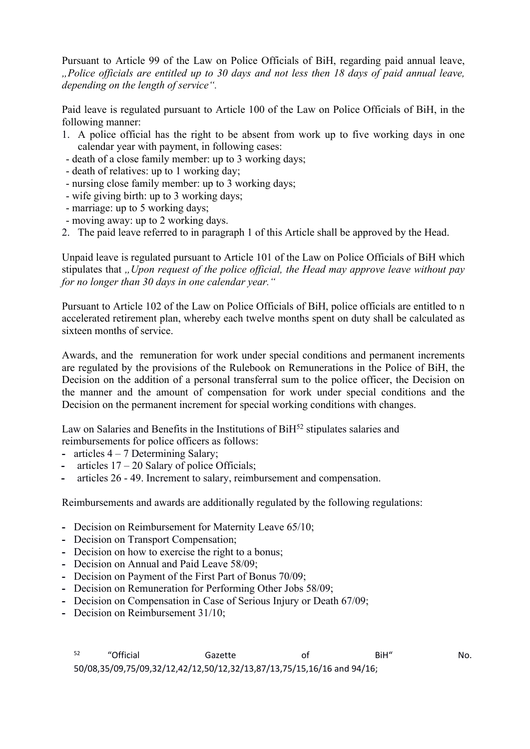Pursuant to Article 99 of the Law on Police Officials of BiH, regarding paid annual leave, *"Police officials are entitled up to 30 days and not less then 18 days of paid annual leave, depending on the length of service".*

Paid leave is regulated pursuant to Article 100 of the Law on Police Officials of BiH, in the following manner:

- 1. A police official has the right to be absent from work up to five working days in one calendar year with payment, in following cases:
- death of a close family member: up to 3 working days;
- death of relatives: up to 1 working day;
- nursing close family member: up to 3 working days;
- wife giving birth: up to 3 working days;
- marriage: up to 5 working days;
- moving away: up to 2 working days.
- 2. The paid leave referred to in paragraph 1 of this Article shall be approved by the Head.

Unpaid leave is regulated pursuant to Article 101 of the Law on Police Officials of BiH which stipulates that *"Upon request of the police official, the Head may approve leave without pay for no longer than 30 days in one calendar year."*

Pursuant to Article 102 of the Law on Police Officials of BiH, police officials are entitled to n accelerated retirement plan, whereby each twelve months spent on duty shall be calculated as sixteen months of service.

Awards, and the remuneration for work under special conditions and permanent increments are regulated by the provisions of the Rulebook on Remunerations in the Police of BiH, the Decision on the addition of a personal transferral sum to the police officer, the Decision on the manner and the amount of compensation for work under special conditions and the Decision on the permanent increment for special working conditions with changes.

Law on Salaries and Benefits in the Institutions of BiH<sup>52</sup> stipulates salaries and reimbursements for police officers as follows:

- **-** articles 4 7 Determining Salary;
- **-** articles 17 20 Salary of police Officials;
- **-** articles 26 49. Increment to salary, reimbursement and compensation.

Reimbursements and awards are additionally regulated by the following regulations:

- **-** Decision on Reimbursement for Maternity Leave 65/10;
- **-** Decision on Transport Compensation;
- **-** Decision on how to exercise the right to a bonus;
- **-** Decision on Annual and Paid Leave 58/09;
- **-** Decision on Payment of the First Part of Bonus 70/09;
- **-** Decision on Remuneration for Performing Other Jobs 58/09;
- **-** Decision on Compensation in Case of Serious Injury or Death 67/09;
- **-** Decision on Reimbursement 31/10;

<sup>52</sup> "Official Gazette of BiH" No. 50/08,35/09,75/09,32/12,42/12,50/12,32/13,87/13,75/15,16/16 and 94/16;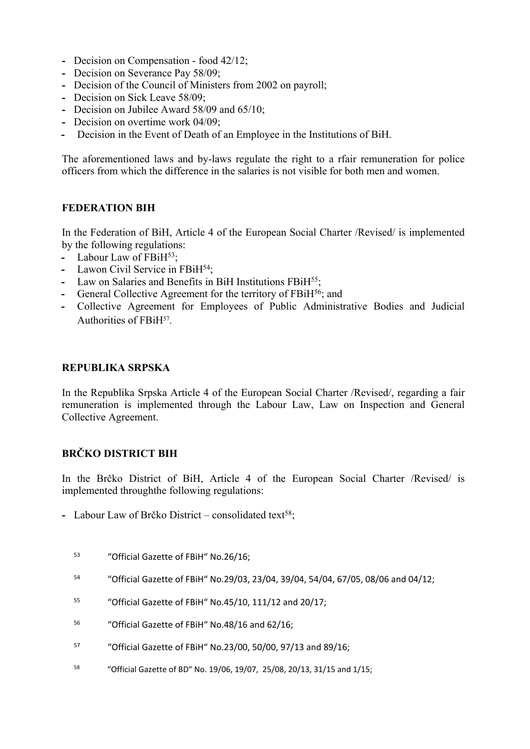- **-** Decision on Compensation food 42/12;
- **-** Decision on Severance Pay 58/09;
- **-** Decision of the Council of Ministers from 2002 on payroll;
- **-** Decision on Sick Leave 58/09;
- **-** Decision on Jubilee Award 58/09 and 65/10;
- **-** Decision on overtime work 04/09;
- **-** Decision in the Event of Death of an Employee in the Institutions of BiH.

The aforementioned laws and by-laws regulate the right to a rfair remuneration for police officers from which the difference in the salaries is not visible for both men and women.

# **FEDERATION BIH**

In the Federation of BiH, Article 4 of the European Social Charter /Revised/ is implemented by the following regulations:

- Labour Law of FBiH<sup>53</sup>;
- **-** Lawon Civil Service in FBiH<sup>54</sup>;
- **-** Law on Salaries and Benefits in BiH Institutions FBiH<sup>55</sup>;
- **-** General Collective Agreement for the territory of FBiH<sup>56</sup>; and
- **-** Collective Agreement for Employees of Public Administrative Bodies and Judicial Authorities of FBiH<sup>57</sup>.

#### **REPUBLIKA SRPSKA**

In the Republika Srpska Article 4 of the European Social Charter /Revised/, regarding a fair remuneration is implemented through the Labour Law, Law on Inspection and General Collective Agreement.

# **BRČKO DISTRICT BIH**

In the Brčko District of BiH, Article 4 of the European Social Charter /Revised/ is implemented throughthe following regulations:

- Labour Law of Brčko District consolidated text<sup>58</sup>;
	- <sup>53</sup> "Official Gazette of FBiH" No.26/16;
	- <sup>54</sup> "Official Gazette of FBiH" No.29/03, 23/04, 39/04, 54/04, 67/05, 08/06 and 04/12;
	- <sup>55</sup> "Official Gazette of FBiH" No.45/10, 111/12 and 20/17;
	- <sup>56</sup> "Official Gazette of FBiH" No.48/16 and 62/16;
	- <sup>57</sup> "Official Gazette of FBiH" No.23/00, 50/00, 97/13 and 89/16;
	- 58 "Official Gazette of BD" No. 19/06, 19/07, 25/08, 20/13, 31/15 and 1/15;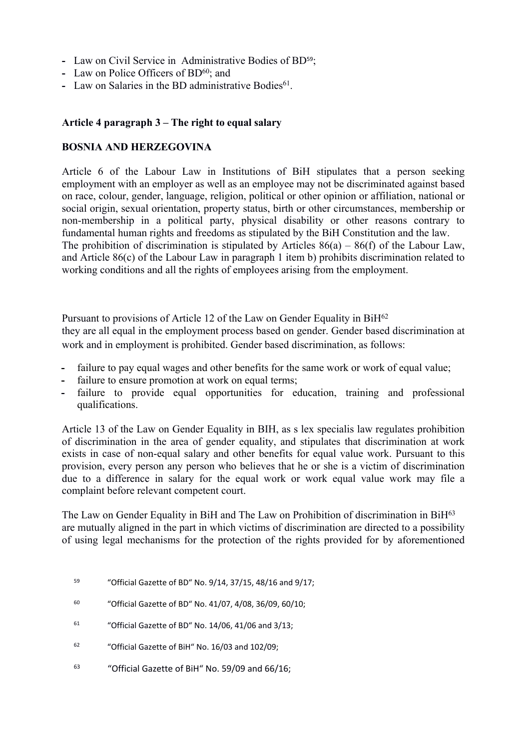- **-** Law on Civil Service in Administrative Bodies of BD59;
- **-** Law on Police Officers of BD<sup>60</sup>; and
- Law on Salaries in the BD administrative Bodies<sup>61</sup>.

#### **Article 4 paragraph 3 – The right to equal salary**

#### **BOSNIA AND HERZEGOVINA**

Article 6 of the Labour Law in Institutions of BiH stipulates that a person seeking employment with an employer as well as an employee may not be discriminated against based on race, colour, gender, language, religion, political or other opinion or affiliation, national or social origin, sexual orientation, property status, birth or other circumstances, membership or non-membership in a political party, physical disability or other reasons contrary to fundamental human rights and freedoms as stipulated by the BiH Constitution and the law. The prohibition of discrimination is stipulated by Articles  $86(a) - 86(f)$  of the Labour Law, and Article 86(c) of the Labour Law in paragraph 1 item b) prohibits discrimination related to working conditions and all the rights of employees arising from the employment.

Pursuant to provisions of Article 12 of the Law on Gender Equality in BiH<sup>62</sup> they are all equal in the employment process based on gender. Gender based discrimination at work and in employment is prohibited. Gender based discrimination, as follows:

- **-** failure to pay equal wages and other benefits for the same work or work of equal value;
- failure to ensure promotion at work on equal terms;
- failure to provide equal opportunities for education, training and professional qualifications.

Article 13 of the Law on Gender Equality in BIH, as s lex specialis law regulates prohibition of discrimination in the area of gender equality, and stipulates that discrimination at work exists in case of non-equal salary and other benefits for equal value work. Pursuant to this provision, every person any person who believes that he or she is a victim of discrimination due to a difference in salary for the equal work or work equal value work may file a complaint before relevant competent court.

The Law on Gender Equality in BiH and The Law on Prohibition of discrimination in BiH<sup>63</sup> are mutually aligned in the part in which victims of discrimination are directed to a possibility of using legal mechanisms for the protection of the rights provided for by aforementioned

- <sup>59</sup> "Official Gazette of BD" No. 9/14, 37/15, 48/16 and 9/17;
- <sup>60</sup> "Official Gazette of BD" No. 41/07, 4/08, 36/09, 60/10;
- $61$  "Official Gazette of BD" No. 14/06, 41/06 and 3/13;
- <sup>62</sup> "Official Gazette of BiH" No. 16/03 and 102/09;
- 63 "Official Gazette of BiH" No. 59/09 and 66/16;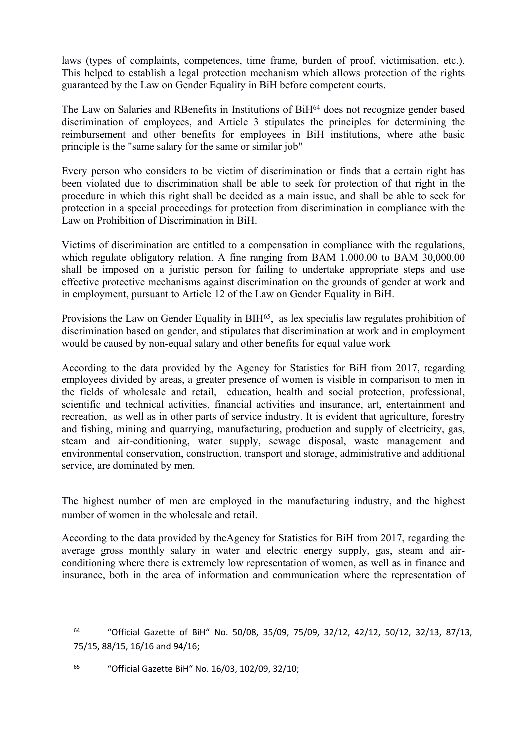laws (types of complaints, competences, time frame, burden of proof, victimisation, etc.). This helped to establish a legal protection mechanism which allows protection of the rights guaranteed by the Law on Gender Equality in BiH before competent courts.

The Law on Salaries and RBenefits in Institutions of BiH<sup>64</sup> does not recognize gender based discrimination of employees, and Article 3 stipulates the principles for determining the reimbursement and other benefits for employees in BiH institutions, where athe basic principle is the "same salary for the same or similar job"

Every person who considers to be victim of discrimination or finds that a certain right has been violated due to discrimination shall be able to seek for protection of that right in the procedure in which this right shall be decided as a main issue, and shall be able to seek for protection in a special proceedings for protection from discrimination in compliance with the Law on Prohibition of Discrimination in BiH.

Victims of discrimination are entitled to a compensation in compliance with the regulations, which regulate obligatory relation. A fine ranging from BAM 1,000.00 to BAM 30,000.00 shall be imposed on a juristic person for failing to undertake appropriate steps and use effective protective mechanisms against discrimination on the grounds of gender at work and in employment, pursuant to Article 12 of the Law on Gender Equality in BiH.

Provisions the Law on Gender Equality in BIH<sup>65</sup>, as lex specialis law regulates prohibition of discrimination based on gender, and stipulates that discrimination at work and in employment would be caused by non-equal salary and other benefits for equal value work

According to the data provided by the Agency for Statistics for BiH from 2017, regarding employees divided by areas, a greater presence of women is visible in comparison to men in the fields of wholesale and retail, education, health and social protection, professional, scientific and technical activities, financial activities and insurance, art, entertainment and recreation, as well as in other parts of service industry. It is evident that agriculture, forestry and fishing, mining and quarrying, manufacturing, production and supply of electricity, gas, steam and air-conditioning, water supply, sewage disposal, waste management and environmental conservation, construction, transport and storage, administrative and additional service, are dominated by men.

The highest number of men are employed in the manufacturing industry, and the highest number of women in the wholesale and retail.

According to the data provided by theAgency for Statistics for BiH from 2017, regarding the average gross monthly salary in water and electric energy supply, gas, steam and airconditioning where there is extremely low representation of women, as well as in finance and insurance, both in the area of information and communication where the representation of

<sup>64</sup> "Official Gazette of BiH" No. 50/08, 35/09, 75/09, 32/12, 42/12, 50/12, 32/13, 87/13, 75/15, 88/15, 16/16 and 94/16;

65 "Official Gazette BiH" No. 16/03, 102/09, 32/10;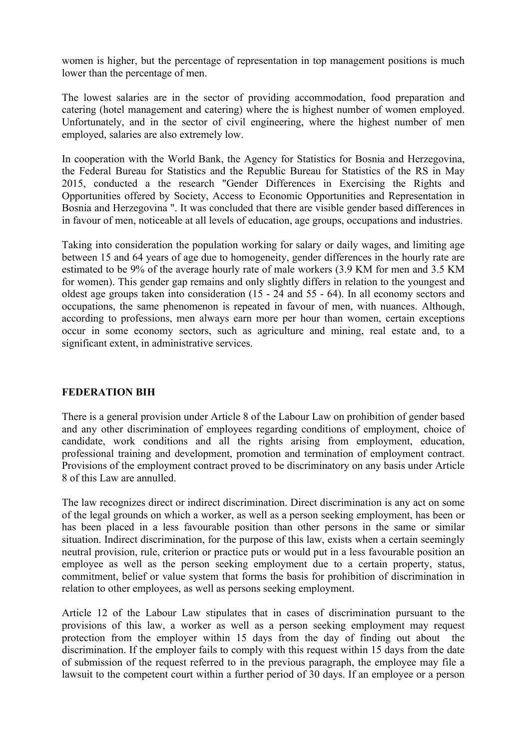women is higher, but the percentage of representation in top management positions is much lower than the percentage of men.

The lowest salaries are in the sector of providing accommodation, food preparation and catering (hotel management and catering) where the is highest number of women employed. Unfortunately, and in the sector of civil engineering, where the highest number of men employed, salaries are also extremely low.

In cooperation with the World Bank, the Agency for Statistics for Bosnia and Herzegovina, the Federal Bureau for Statistics and the Republic Bureau for Statistics of the RS in May 2015, conducted a the research "Gender Differences in Exercising the Rights and Opportunities offered by Society, Access to Economic Opportunities and Representation in Bosnia and Herzegovina ". It was concluded that there are visible gender based differences in in favour of men, noticeable at all levels of education, age groups, occupations and industries.

Taking into consideration the population working for salary or daily wages, and limiting age between 15 and 64 years of age due to homogeneity, gender differences in the hourly rate are estimated to be 9% of the average hourly rate of male workers (3.9 KM for men and 3.5 KM for women). This gender gap remains and only slightly differs in relation to the youngest and oldest age groups taken into consideration (15 - 24 and 55 - 64). In all economy sectors and occupations, the same phenomenon is repeated in favour of men, with nuances. Although, according to professions, men always earn more per hour than women, certain exceptions occur in some economy sectors, such as agriculture and mining, real estate and, to a significant extent, in administrative services.

# **FEDERATION BIH**

There is a general provision under Article 8 of the Labour Law on prohibition of gender based and any other discrimination of employees regarding conditions of employment, choice of candidate, work conditions and all the rights arising from employment, education, professional training and development, promotion and termination of employment contract. Provisions of the employment contract proved to be discriminatory on any basis under Article 8 of this Law are annulled.

The law recognizes direct or indirect discrimination. Direct discrimination is any act on some of the legal grounds on which a worker, as well as a person seeking employment, has been or has been placed in a less favourable position than other persons in the same or similar situation. Indirect discrimination, for the purpose of this law, exists when a certain seemingly neutral provision, rule, criterion or practice puts or would put in a less favourable position an employee as well as the person seeking employment due to a certain property, status, commitment, belief or value system that forms the basis for prohibition of discrimination in relation to other employees, as well as persons seeking employment.

Article 12 of the Labour Law stipulates that in cases of discrimination pursuant to the provisions of this law, a worker as well as a person seeking employment may request protection from the employer within 15 days from the day of finding out about the discrimination. If the employer fails to comply with this request within 15 days from the date of submission of the request referred to in the previous paragraph, the employee may file a lawsuit to the competent court within a further period of 30 days. If an employee or a person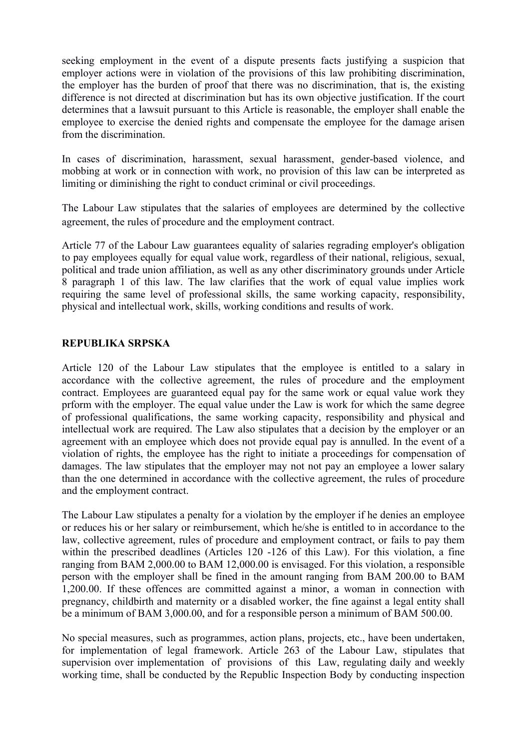seeking employment in the event of a dispute presents facts justifying a suspicion that employer actions were in violation of the provisions of this law prohibiting discrimination, the employer has the burden of proof that there was no discrimination, that is, the existing difference is not directed at discrimination but has its own objective justification. If the court determines that a lawsuit pursuant to this Article is reasonable, the employer shall enable the employee to exercise the denied rights and compensate the employee for the damage arisen from the discrimination.

In cases of discrimination, harassment, sexual harassment, gender-based violence, and mobbing at work or in connection with work, no provision of this law can be interpreted as limiting or diminishing the right to conduct criminal or civil proceedings.

The Labour Law stipulates that the salaries of employees are determined by the collective agreement, the rules of procedure and the employment contract.

Article 77 of the Labour Law guarantees equality of salaries regrading employer's obligation to pay employees equally for equal value work, regardless of their national, religious, sexual, political and trade union affiliation, as well as any other discriminatory grounds under Article 8 paragraph 1 of this law. The law clarifies that the work of equal value implies work requiring the same level of professional skills, the same working capacity, responsibility, physical and intellectual work, skills, working conditions and results of work.

#### **REPUBLIKA SRPSKA**

Article 120 of the Labour Law stipulates that the employee is entitled to a salary in accordance with the collective agreement, the rules of procedure and the employment contract. Employees are guaranteed equal pay for the same work or equal value work they prform with the employer. The equal value under the Law is work for which the same degree of professional qualifications, the same working capacity, responsibility and physical and intellectual work are required. The Law also stipulates that a decision by the employer or an agreement with an employee which does not provide equal pay is annulled. In the event of a violation of rights, the employee has the right to initiate a proceedings for compensation of damages. The law stipulates that the employer may not not pay an employee a lower salary than the one determined in accordance with the collective agreement, the rules of procedure and the employment contract.

The Labour Law stipulates a penalty for a violation by the employer if he denies an employee or reduces his or her salary or reimbursement, which he/she is entitled to in accordance to the law, collective agreement, rules of procedure and employment contract, or fails to pay them within the prescribed deadlines (Articles 120 -126 of this Law). For this violation, a fine ranging from BAM 2,000.00 to BAM 12,000.00 is envisaged. For this violation, a responsible person with the employer shall be fined in the amount ranging from BAM 200.00 to BAM 1,200.00. If these offences are committed against a minor, a woman in connection with pregnancy, childbirth and maternity or a disabled worker, the fine against a legal entity shall be a minimum of BAM 3,000.00, and for a responsible person a minimum of BAM 500.00.

No special measures, such as programmes, action plans, projects, etc., have been undertaken, for implementation of legal framework. Article 263 of the Labour Law, stipulates that supervision over implementation of provisions of this Law, regulating daily and weekly working time, shall be conducted by the Republic Inspection Body by conducting inspection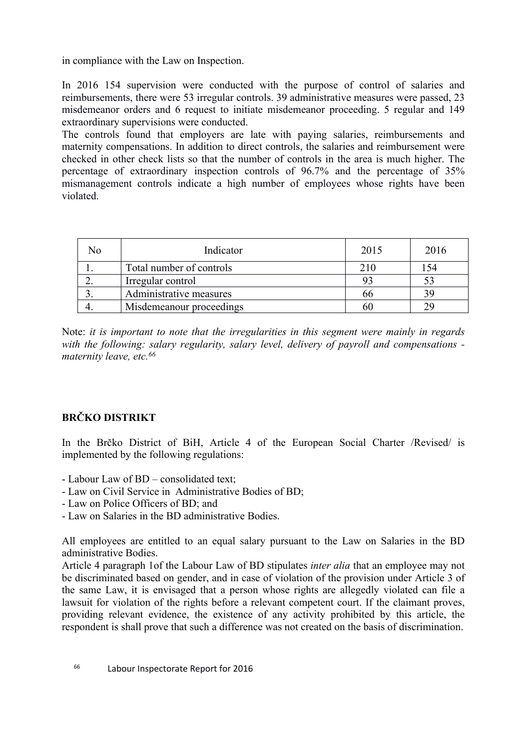in compliance with the Law on Inspection.

In 2016 154 supervision were conducted with the purpose of control of salaries and reimbursements, there were 53 irregular controls. 39 administrative measures were passed, 23 misdemeanor orders and 6 request to initiate misdemeanor proceeding. 5 regular and 149 extraordinary supervisions were conducted.

The controls found that employers are late with paying salaries, reimbursements and maternity compensations. In addition to direct controls, the salaries and reimbursement were checked in other check lists so that the number of controls in the area is much higher. The percentage of extraordinary inspection controls of 96.7% and the percentage of 35% mismanagement controls indicate a high number of employees whose rights have been violated.

| Nο | Indicator                | 2015 | 2016 |
|----|--------------------------|------|------|
|    | Total number of controls | 210  | 54   |
|    | Irregular control        |      |      |
|    | Administrative measures  | oo   | 39   |
|    | Misdemeanour proceedings |      | 29   |

Note: *it is important to note that the irregularities in this segment were mainly in regards with the following: salary regularity, salary level, delivery of payroll and compensations maternity leave, etc.<sup>66</sup>*

# **BRČKO DISTRIKT**

In the Brčko District of BiH, Article 4 of the European Social Charter /Revised/ is implemented by the following regulations:

- Labour Law of BD consolidated text;
- Law on Civil Service in Administrative Bodies of BD;
- Law on Police Officers of BD; and
- Law on Salaries in the BD administrative Bodies.

All employees are entitled to an equal salary pursuant to the Law on Salaries in the BD administrative Bodies.

Article 4 paragraph 1of the Labour Law of BD stipulates *inter alia* that an employee may not be discriminated based on gender, and in case of violation of the provision under Article 3 of the same Law, it is envisaged that a person whose rights are allegedly violated can file a lawsuit for violation of the rights before a relevant competent court. If the claimant proves, providing relevant evidence, the existence of any activity prohibited by this article, the respondent is shall prove that such a difference was not created on the basis of discrimination.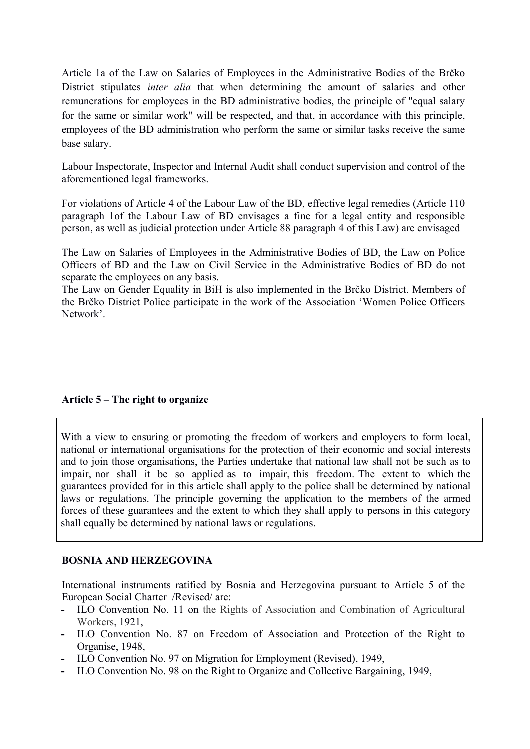Article 1a of the Law on Salaries of Employees in the Administrative Bodies of the Brčko District stipulates *inter alia* that when determining the amount of salaries and other remunerations for employees in the BD administrative bodies, the principle of "equal salary for the same or similar work" will be respected, and that, in accordance with this principle, employees of the BD administration who perform the same or similar tasks receive the same base salary.

Labour Inspectorate, Inspector and Internal Audit shall conduct supervision and control of the aforementioned legal frameworks.

For violations of Article 4 of the Labour Law of the BD, effective legal remedies (Article 110 paragraph 1of the Labour Law of BD envisages a fine for a legal entity and responsible person, as well as judicial protection under Article 88 paragraph 4 of this Law) are envisaged

The Law on Salaries of Employees in the Administrative Bodies of BD, the Law on Police Officers of BD and the Law on Civil Service in the Administrative Bodies of BD do not separate the employees on any basis.

The Law on Gender Equality in BiH is also implemented in the Brčko District. Members of the Brčko District Police participate in the work of the Association 'Women Police Officers Network'.

#### **Article 5 – The right to organize**

With a view to ensuring or promoting the freedom of workers and employers to form local, national or international organisations for the protection of their economic and social interests and to join those organisations, the Parties undertake that national law shall not be such as to impair, nor shall it be so applied as to impair, this freedom. The extent to which the guarantees provided for in this article shall apply to the police shall be determined by national laws or regulations. The principle governing the application to the members of the armed forces of these guarantees and the extent to which they shall apply to persons in this category shall equally be determined by national laws or regulations.

#### **BOSNIA AND HERZEGOVINA**

International instruments ratified by Bosnia and Herzegovina pursuant to Article 5 of the European Social Charter /Revised/ are:

- **-** ILO Convention No. 11 on the Rights of Association and Combination of Agricultural Workers, 1921,
- **-** ILO Convention No. 87 on Freedom of Association and Protection of the Right to Organise, 1948,
- **-** ILO Convention No. 97 on Migration for Employment (Revised), 1949,
- **-** ILO Convention No. 98 on the Right to Organize and Collective Bargaining, 1949,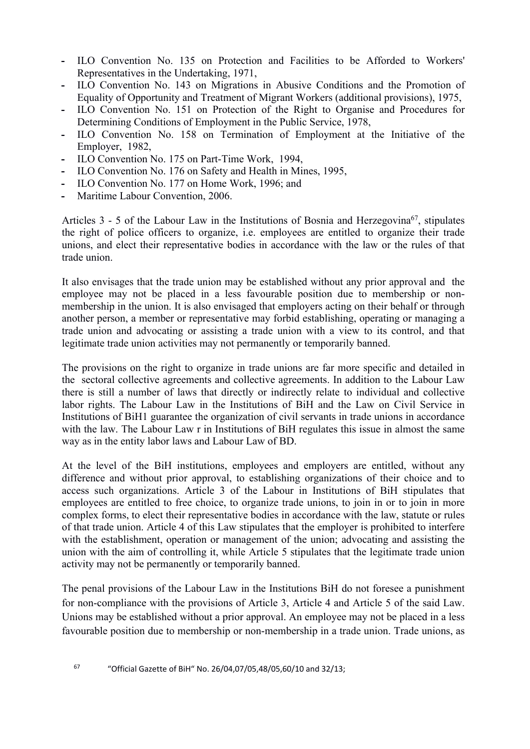- **-** ILO Convention No. 135 on Protection and Facilities to be Afforded to Workers' Representatives in the Undertaking, 1971,
- **-** ILO Convention No. 143 on Migrations in Abusive Conditions and the Promotion of Equality of Opportunity and Treatment of Migrant Workers (additional provisions), 1975,
- **-** ILO Convention No. 151 on Protection of the Right to Organise and Procedures for Determining Conditions of Employment in the Public Service, 1978,
- **-** ILO Convention No. 158 on Termination of Employment at the Initiative of the Employer, 1982,
- **-** ILO Convention No. 175 on Part-Time Work, 1994,
- **-** ILO Convention No. 176 on Safety and Health in Mines, 1995,
- **-** ILO Convention No. 177 on Home Work, 1996; and
- **-** Maritime Labour Convention, 2006.

Articles 3 - 5 of the Labour Law in the Institutions of Bosnia and Herzegovina<sup>67</sup>, stipulates the right of police officers to organize, i.e. employees are entitled to organize their trade unions, and elect their representative bodies in accordance with the law or the rules of that trade union.

It also envisages that the trade union may be established without any prior approval and the employee may not be placed in a less favourable position due to membership or nonmembership in the union. It is also envisaged that employers acting on their behalf or through another person, a member or representative may forbid establishing, operating or managing a trade union and advocating or assisting a trade union with a view to its control, and that legitimate trade union activities may not permanently or temporarily banned.

The provisions on the right to organize in trade unions are far more specific and detailed in the sectoral collective agreements and collective agreements. In addition to the Labour Law there is still a number of laws that directly or indirectly relate to individual and collective labor rights. The Labour Law in the Institutions of BiH and the Law on Civil Service in Institutions of BiH1 guarantee the organization of civil servants in trade unions in accordance with the law. The Labour Law r in Institutions of BiH regulates this issue in almost the same way as in the entity labor laws and Labour Law of BD.

At the level of the BiH institutions, employees and employers are entitled, without any difference and without prior approval, to establishing organizations of their choice and to access such organizations. Article 3 of the Labour in Institutions of BiH stipulates that employees are entitled to free choice, to organize trade unions, to join in or to join in more complex forms, to elect their representative bodies in accordance with the law, statute or rules of that trade union. Article 4 of this Law stipulates that the employer is prohibited to interfere with the establishment, operation or management of the union; advocating and assisting the union with the aim of controlling it, while Article 5 stipulates that the legitimate trade union activity may not be permanently or temporarily banned.

The penal provisions of the Labour Law in the Institutions BiH do not foresee a punishment for non-compliance with the provisions of Article 3, Article 4 and Article 5 of the said Law. Unions may be established without a prior approval. An employee may not be placed in a less favourable position due to membership or non-membership in a trade union. Trade unions, as

<sup>67</sup> "Official Gazette of BiH" No. 26/04,07/05,48/05,60/10 and 32/13;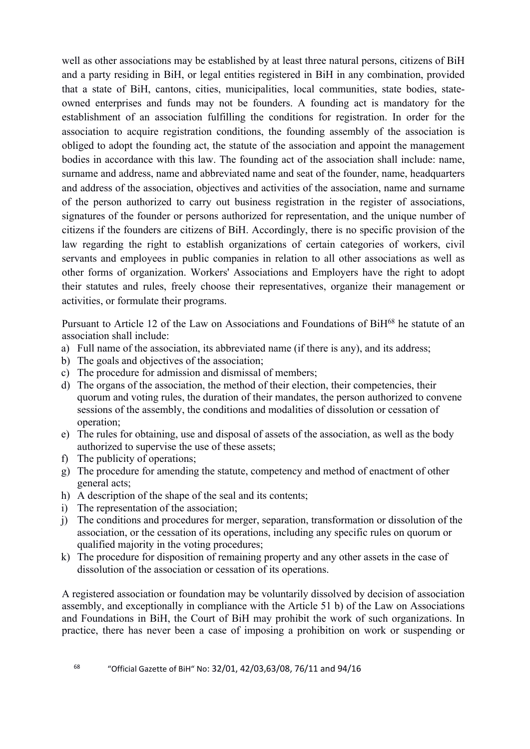well as other associations may be established by at least three natural persons, citizens of BiH and a party residing in BiH, or legal entities registered in BiH in any combination, provided that a state of BiH, cantons, cities, municipalities, local communities, state bodies, stateowned enterprises and funds may not be founders. A founding act is mandatory for the establishment of an association fulfilling the conditions for registration. In order for the association to acquire registration conditions, the founding assembly of the association is obliged to adopt the founding act, the statute of the association and appoint the management bodies in accordance with this law. The founding act of the association shall include: name, surname and address, name and abbreviated name and seat of the founder, name, headquarters and address of the association, objectives and activities of the association, name and surname of the person authorized to carry out business registration in the register of associations, signatures of the founder or persons authorized for representation, and the unique number of citizens if the founders are citizens of BiH. Accordingly, there is no specific provision of the law regarding the right to establish organizations of certain categories of workers, civil servants and employees in public companies in relation to all other associations as well as other forms of organization. Workers' Associations and Employers have the right to adopt their statutes and rules, freely choose their representatives, organize their management or activities, or formulate their programs.

Pursuant to Article 12 of the Law on Associations and Foundations of BiH<sup>68</sup> he statute of an association shall include:

- a) Full name of the association, its abbreviated name (if there is any), and its address;
- b) The goals and objectives of the association;
- c) The procedure for admission and dismissal of members;
- d) The organs of the association, the method of their election, their competencies, their quorum and voting rules, the duration of their mandates, the person authorized to convene sessions of the assembly, the conditions and modalities of dissolution or cessation of operation;
- e) The rules for obtaining, use and disposal of assets of the association, as well as the body authorized to supervise the use of these assets;
- f) The publicity of operations;
- g) The procedure for amending the statute, competency and method of enactment of other general acts;
- h) A description of the shape of the seal and its contents;
- i) The representation of the association;
- j) The conditions and procedures for merger, separation, transformation or dissolution of the association, or the cessation of its operations, including any specific rules on quorum or qualified majority in the voting procedures;
- k) The procedure for disposition of remaining property and any other assets in the case of dissolution of the association or cessation of its operations.

A registered association or foundation may be voluntarily dissolved by decision of association assembly, and exceptionally in compliance with the Article 51 b) of the Law on Associations and Foundations in BiH, the Court of BiH may prohibit the work of such organizations. In practice, there has never been a case of imposing a prohibition on work or suspending or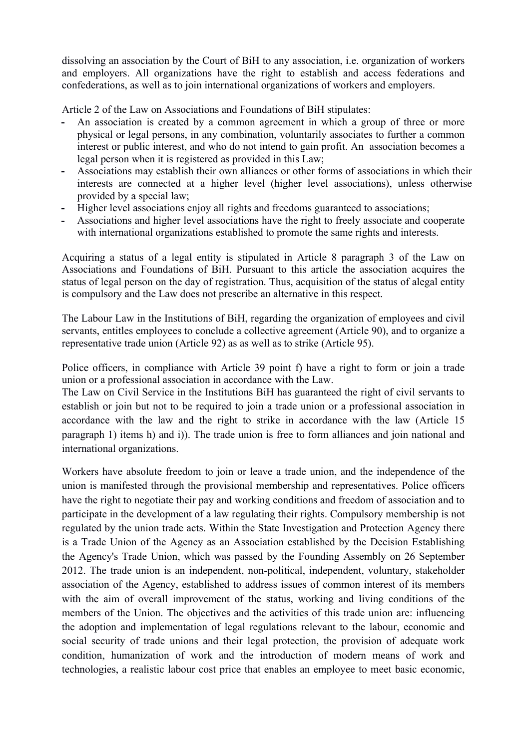dissolving an association by the Court of BiH to any association, i.e. organization of workers and employers. All organizations have the right to establish and access federations and confederations, as well as to join international organizations of workers and employers.

Article 2 of the Law on Associations and Foundations of BiH stipulates:

- **-** An association is created by a common agreement in which a group of three or more physical or legal persons, in any combination, voluntarily associates to further a common interest or public interest, and who do not intend to gain profit. An association becomes a legal person when it is registered as provided in this Law;
- **-** Associations may establish their own alliances or other forms of associations in which their interests are connected at a higher level (higher level associations), unless otherwise provided by a special law;
- **-** Higher level associations enjoy all rights and freedoms guaranteed to associations;
- **-** Associations and higher level associations have the right to freely associate and cooperate with international organizations established to promote the same rights and interests.

Acquiring a status of a legal entity is stipulated in Article 8 paragraph 3 of the Law on Associations and Foundations of BiH. Pursuant to this article the association acquires the status of legal person on the day of registration. Thus, acquisition of the status of alegal entity is compulsory and the Law does not prescribe an alternative in this respect.

The Labour Law in the Institutions of BiH, regarding the organization of employees and civil servants, entitles employees to conclude a collective agreement (Article 90), and to organize a representative trade union (Article 92) as as well as to strike (Article 95).

Police officers, in compliance with Article 39 point f) have a right to form or join a trade union or a professional association in accordance with the Law.

The Law on Civil Service in the Institutions BiH has guaranteed the right of civil servants to establish or join but not to be required to join a trade union or a professional association in accordance with the law and the right to strike in accordance with the law (Article 15 paragraph 1) items h) and i)). The trade union is free to form alliances and join national and international organizations.

Workers have absolute freedom to join or leave a trade union, and the independence of the union is manifested through the provisional membership and representatives. Police officers have the right to negotiate their pay and working conditions and freedom of association and to participate in the development of a law regulating their rights. Compulsory membership is not regulated by the union trade acts. Within the State Investigation and Protection Agency there is a Trade Union of the Agency as an Association established by the Decision Establishing the Agency's Trade Union, which was passed by the Founding Assembly on 26 September 2012. The trade union is an independent, non-political, independent, voluntary, stakeholder association of the Agency, established to address issues of common interest of its members with the aim of overall improvement of the status, working and living conditions of the members of the Union. The objectives and the activities of this trade union are: influencing the adoption and implementation of legal regulations relevant to the labour, economic and social security of trade unions and their legal protection, the provision of adequate work condition, humanization of work and the introduction of modern means of work and technologies, a realistic labour cost price that enables an employee to meet basic economic,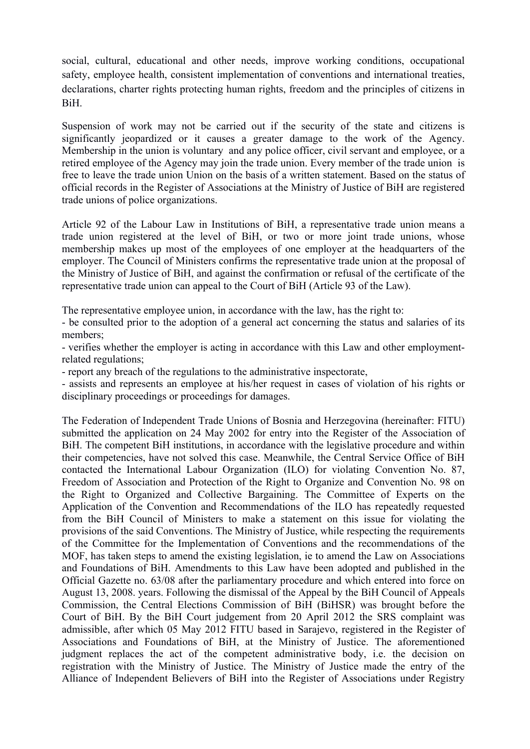social, cultural, educational and other needs, improve working conditions, occupational safety, employee health, consistent implementation of conventions and international treaties, declarations, charter rights protecting human rights, freedom and the principles of citizens in BiH.

Suspension of work may not be carried out if the security of the state and citizens is significantly jeopardized or it causes a greater damage to the work of the Agency. Membership in the union is voluntary and any police officer, civil servant and employee, or a retired employee of the Agency may join the trade union. Every member of the trade union is free to leave the trade union Union on the basis of a written statement. Based on the status of official records in the Register of Associations at the Ministry of Justice of BiH are registered trade unions of police organizations.

Article 92 of the Labour Law in Institutions of BiH, a representative trade union means a trade union registered at the level of BiH, or two or more joint trade unions, whose membership makes up most of the employees of one employer at the headquarters of the employer. The Council of Ministers confirms the representative trade union at the proposal of the Ministry of Justice of BiH, and against the confirmation or refusal of the certificate of the representative trade union can appeal to the Court of BiH (Article 93 of the Law).

The representative employee union, in accordance with the law, has the right to:

- be consulted prior to the adoption of a general act concerning the status and salaries of its members;

- verifies whether the employer is acting in accordance with this Law and other employmentrelated regulations;

- report any breach of the regulations to the administrative inspectorate,

- assists and represents an employee at his/her request in cases of violation of his rights or disciplinary proceedings or proceedings for damages.

The Federation of Independent Trade Unions of Bosnia and Herzegovina (hereinafter: FITU) submitted the application on 24 May 2002 for entry into the Register of the Association of BiH. The competent BiH institutions, in accordance with the legislative procedure and within their competencies, have not solved this case. Meanwhile, the Central Service Office of BiH contacted the International Labour Organization (ILO) for violating Convention No. 87, Freedom of Association and Protection of the Right to Organize and Convention No. 98 on the Right to Organized and Collective Bargaining. The Committee of Experts on the Application of the Convention and Recommendations of the ILO has repeatedly requested from the BiH Council of Ministers to make a statement on this issue for violating the provisions of the said Conventions. The Ministry of Justice, while respecting the requirements of the Committee for the Implementation of Conventions and the recommendations of the MOF, has taken steps to amend the existing legislation, ie to amend the Law on Associations and Foundations of BiH. Amendments to this Law have been adopted and published in the Official Gazette no. 63/08 after the parliamentary procedure and which entered into force on August 13, 2008. years. Following the dismissal of the Appeal by the BiH Council of Appeals Commission, the Central Elections Commission of BiH (BiHSR) was brought before the Court of BiH. By the BiH Court judgement from 20 April 2012 the SRS complaint was admissible, after which 05 May 2012 FITU based in Sarajevo, registered in the Register of Associations and Foundations of BiH, at the Ministry of Justice. The aforementioned judgment replaces the act of the competent administrative body, i.e. the decision on registration with the Ministry of Justice. The Ministry of Justice made the entry of the Alliance of Independent Believers of BiH into the Register of Associations under Registry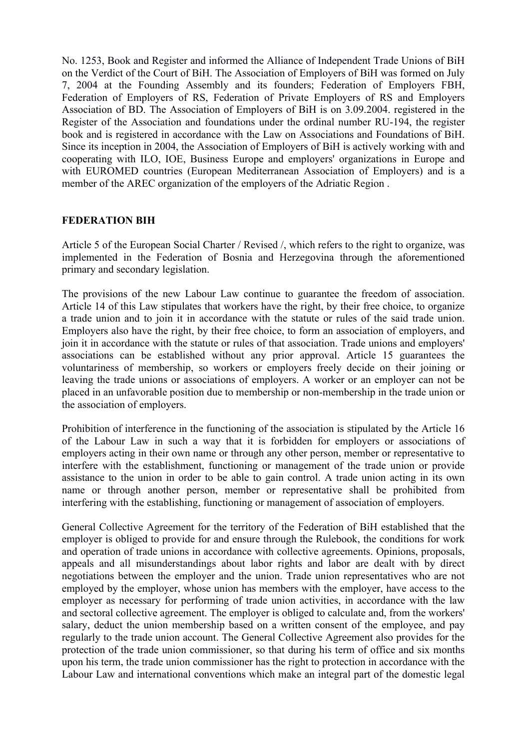No. 1253, Book and Register and informed the Alliance of Independent Trade Unions of BiH on the Verdict of the Court of BiH. The Association of Employers of BiH was formed on July 7, 2004 at the Founding Assembly and its founders; Federation of Employers FBH, Federation of Employers of RS, Federation of Private Employers of RS and Employers Association of BD. The Association of Employers of BiH is on 3.09.2004. registered in the Register of the Association and foundations under the ordinal number RU-194, the register book and is registered in accordance with the Law on Associations and Foundations of BiH. Since its inception in 2004, the Association of Employers of BiH is actively working with and cooperating with ILO, IOE, Business Europe and employers' organizations in Europe and with EUROMED countries (European Mediterranean Association of Employers) and is a member of the AREC organization of the employers of the Adriatic Region .

#### **FEDERATION BIH**

Article 5 of the European Social Charter / Revised /, which refers to the right to organize, was implemented in the Federation of Bosnia and Herzegovina through the aforementioned primary and secondary legislation.

The provisions of the new Labour Law continue to guarantee the freedom of association. Article 14 of this Law stipulates that workers have the right, by their free choice, to organize a trade union and to join it in accordance with the statute or rules of the said trade union. Employers also have the right, by their free choice, to form an association of employers, and join it in accordance with the statute or rules of that association. Trade unions and employers' associations can be established without any prior approval. Article 15 guarantees the voluntariness of membership, so workers or employers freely decide on their joining or leaving the trade unions or associations of employers. A worker or an employer can not be placed in an unfavorable position due to membership or non-membership in the trade union or the association of employers.

Prohibition of interference in the functioning of the association is stipulated by the Article 16 of the Labour Law in such a way that it is forbidden for employers or associations of employers acting in their own name or through any other person, member or representative to interfere with the establishment, functioning or management of the trade union or provide assistance to the union in order to be able to gain control. A trade union acting in its own name or through another person, member or representative shall be prohibited from interfering with the establishing, functioning or management of association of employers.

General Collective Agreement for the territory of the Federation of BiH established that the employer is obliged to provide for and ensure through the Rulebook, the conditions for work and operation of trade unions in accordance with collective agreements. Opinions, proposals, appeals and all misunderstandings about labor rights and labor are dealt with by direct negotiations between the employer and the union. Trade union representatives who are not employed by the employer, whose union has members with the employer, have access to the employer as necessary for performing of trade union activities, in accordance with the law and sectoral collective agreement. The employer is obliged to calculate and, from the workers' salary, deduct the union membership based on a written consent of the employee, and pay regularly to the trade union account. The General Collective Agreement also provides for the protection of the trade union commissioner, so that during his term of office and six months upon his term, the trade union commissioner has the right to protection in accordance with the Labour Law and international conventions which make an integral part of the domestic legal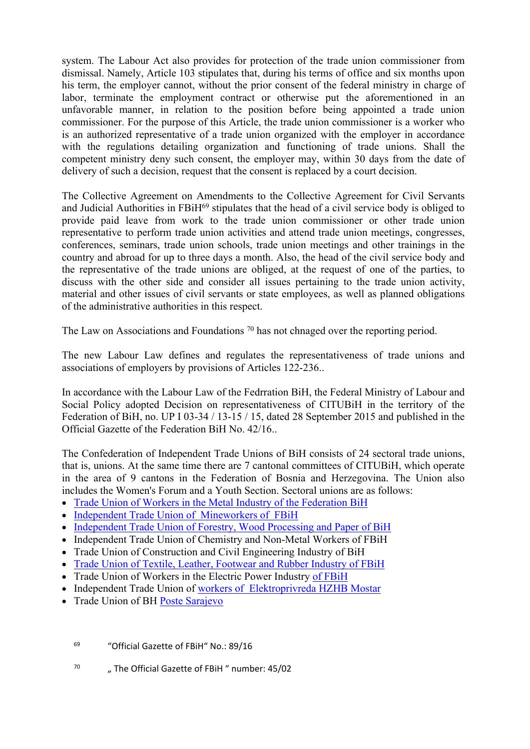system. The Labour Act also provides for protection of the trade union commissioner from dismissal. Namely, Article 103 stipulates that, during his terms of office and six months upon his term, the employer cannot, without the prior consent of the federal ministry in charge of labor, terminate the employment contract or otherwise put the aforementioned in an unfavorable manner, in relation to the position before being appointed a trade union commissioner. For the purpose of this Article, the trade union commissioner is a worker who is an authorized representative of a trade union organized with the employer in accordance with the regulations detailing organization and functioning of trade unions. Shall the competent ministry deny such consent, the employer may, within 30 days from the date of delivery of such a decision, request that the consent is replaced by a court decision.

The Collective Agreement on Amendments to the Collective Agreement for Civil Servants and Judicial Authorities in FBiH<sup>69</sup> stipulates that the head of a civil service body is obliged to provide paid leave from work to the trade union commissioner or other trade union representative to perform trade union activities and attend trade union meetings, congresses, conferences, seminars, trade union schools, trade union meetings and other trainings in the country and abroad for up to three days a month. Also, the head of the civil service body and the representative of the trade unions are obliged, at the request of one of the parties, to discuss with the other side and consider all issues pertaining to the trade union activity, material and other issues of civil servants or state employees, as well as planned obligations of the administrative authorities in this respect.

The Law on Associations and Foundations <sup>70</sup> has not chnaged over the reporting period.

The new Labour Law defines and regulates the representativeness of trade unions and associations of employers by provisions of Articles 122-236..

In accordance with the Labour Law of the Fedrration BiH, the Federal Ministry of Labour and Social Policy adopted Decision on representativeness of CITUBiH in the territory of the Federation of BiH, no. UP I 03-34 / 13-15 / 15, dated 28 September 2015 and published in the Official Gazette of the Federation BiH No. 42/16..

The Confederation of Independent Trade Unions of BiH consists of 24 sectoral trade unions, that is, unions. At the same time there are 7 cantonal committees of CITUBiH, which operate in the area of 9 cantons in the Federation of Bosnia and Herzegovina. The Union also includes the Women's Forum and a Youth Section. Sectoral unions are as follows:

- [Trade Union of Workers in the Metal Industry of the Federation BiH](http://www.sssbih.com/sindikat-metalaca-federacije-bih/)
- [Independent Trade Union of Mineworkers of FBiH](http://www.sssbih.com/samostalni-sindikat-radnika-rudnika-fbih/)
- [Independent Trade Union of Forestry, Wood Processing and Paper of BiH](http://www.sssbih.com/samostalni-sindikat-sumarstva-prerade-drveta-i-papira-bih/)
- Independent Trade Union of Chemistry and Non-Metal Workers of FBiH
- Trade Union of Construction and Civil Engineering Industry of BiH
- [Trade Union of Textile, Leather, Footwear and Rubber Industry of FBiH](http://www.sssbih.com/sindikat-tekstila-koze-obuce-i-gume-fbih/)
- Trade Union of Workers in the Electric Power Industry [of FBiH](http://www.sssbih.com/sindikat-elektroenergetskih-radnika-fbih/)
- Independent Trade Union of [workers of Elektroprivreda HZHB Mostar](http://www.sssbih.com/nezavisni-sindikat-uposlenika-elektroprivrede-hzhb-mostar/)
- Trade Union of BH [Poste Sarajevo](http://www.sssbih.com/sindikat-bh-posta-sarajevo/)
	- <sup>69</sup> "Official Gazette of FBiH" No.: 89/16
	- 70 " The Official Gazette of FBiH " number: 45/02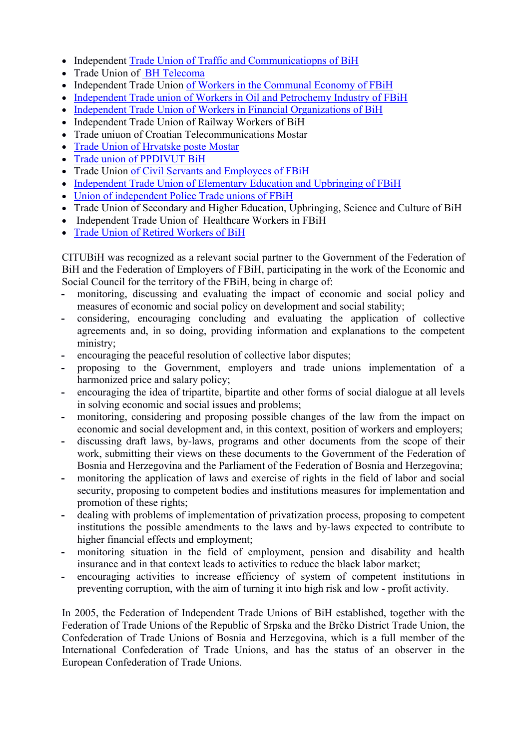- Independent [Trade Union of Traffic and Communicatiopns of BiH](http://www.sssbih.com/samostalni-sindikat-saobracaja-i-veza-u-bih/)
- Trade Union of [BH Telecoma](http://www.sssbih.com/sindikat-bh-telecoma/)
- Independent Trade Union [of Workers in the Communal Economy of FBiH](http://www.sssbih.com/samostalni-sindikat-radnika-komunalne-privrede-u-fbih/)
- [Independent Trade union of Workers in Oil and Petrochemy Industry of FBiH](http://www.sssbih.com/samostalni-sindikat-radnika-nafte-i-petrohemije-fbih/)
- [Independent Trade Union of Workers in Financial Organizations of BiH](http://www.sssbih.com/samostalni-sindikat-radnika-u-finansijskim-organizacijama-bih/)
- Independent Trade Union of Railway Workers of BiH
- Trade uniuon of Croatian Telecommunications Mostar
- [Trade Union of Hrvatske poste Mostar](http://www.sssbih.com/sindikat-hrvatske-poste-mostar/)
- [Trade union of PPDIVUT BiH](http://www.sssbih.com/sindikat-ppdivut-bih/)
- Trade Union [of Civil Servants and Employees of FBiH](http://www.sssbih.com/sindikat-drzavnih-sluzbenika-i-namjestenika-u-fbih/)
- [Independent Trade Union of Elementary Education and Upbringing of FBiH](http://www.sssbih.com/samostalni-sindikat-osnovnog-obrazovanja-i-odgoja-fbih/)
- [Union of independent Police Trade unions of FBiH](http://www.sssbih.com/unija-samostalnih-sindikata-policije-fbih/)
- Trade Union of Secondary and Higher Education, Upbringing, Science and Culture of BiH
- Independent Trade Union of Healthcare Workers in FBiH
- [Trade Union of Retired Workers of BiH](http://www.sssbih.com/sindikat-penzionera-u-bih/)

CITUBiH was recognized as a relevant social partner to the Government of the Federation of BiH and the Federation of Employers of FBiH, participating in the work of the Economic and Social Council for the territory of the FBiH, being in charge of:

- **-** monitoring, discussing and evaluating the impact of economic and social policy and measures of economic and social policy on development and social stability;
- **-** considering, encouraging concluding and evaluating the application of collective agreements and, in so doing, providing information and explanations to the competent ministry;
- **-** encouraging the peaceful resolution of collective labor disputes;
- **-** proposing to the Government, employers and trade unions implementation of a harmonized price and salary policy;
- **-** encouraging the idea of tripartite, bipartite and other forms of social dialogue at all levels in solving economic and social issues and problems;
- **-** monitoring, considering and proposing possible changes of the law from the impact on economic and social development and, in this context, position of workers and employers;
- **-** discussing draft laws, by-laws, programs and other documents from the scope of their work, submitting their views on these documents to the Government of the Federation of Bosnia and Herzegovina and the Parliament of the Federation of Bosnia and Herzegovina;
- **-** monitoring the application of laws and exercise of rights in the field of labor and social security, proposing to competent bodies and institutions measures for implementation and promotion of these rights;
- **-** dealing with problems of implementation of privatization process, proposing to competent institutions the possible amendments to the laws and by-laws expected to contribute to higher financial effects and employment;
- **-** monitoring situation in the field of employment, pension and disability and health insurance and in that context leads to activities to reduce the black labor market;
- **-** encouraging activities to increase efficiency of system of competent institutions in preventing corruption, with the aim of turning it into high risk and low - profit activity.

In 2005, the Federation of Independent Trade Unions of BiH established, together with the Federation of Trade Unions of the Republic of Srpska and the Brčko District Trade Union, the Confederation of Trade Unions of Bosnia and Herzegovina, which is a full member of the International Confederation of Trade Unions, and has the status of an observer in the European Confederation of Trade Unions.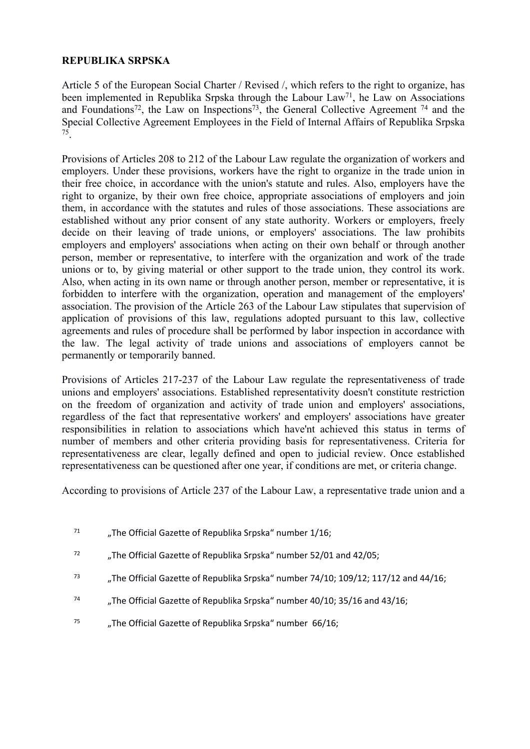# **REPUBLIKA SRPSKA**

Article 5 of the European Social Charter / Revised /, which refers to the right to organize, has been implemented in Republika Srpska through the Labour Law<sup>71</sup>, he Law on Associations and Foundations<sup>72</sup>, the Law on Inspections<sup>73</sup>, the General Collective Agreement<sup>74</sup> and the Special Collective Agreement Employees in the Field of Internal Affairs of Republika Srpska 75 .

Provisions of Articles 208 to 212 of the Labour Law regulate the organization of workers and employers. Under these provisions, workers have the right to organize in the trade union in their free choice, in accordance with the union's statute and rules. Also, employers have the right to organize, by their own free choice, appropriate associations of employers and join them, in accordance with the statutes and rules of those associations. These associations are established without any prior consent of any state authority. Workers or employers, freely decide on their leaving of trade unions, or employers' associations. The law prohibits employers and employers' associations when acting on their own behalf or through another person, member or representative, to interfere with the organization and work of the trade unions or to, by giving material or other support to the trade union, they control its work. Also, when acting in its own name or through another person, member or representative, it is forbidden to interfere with the organization, operation and management of the employers' association. The provision of the Article 263 of the Labour Law stipulates that supervision of application of provisions of this law, regulations adopted pursuant to this law, collective agreements and rules of procedure shall be performed by labor inspection in accordance with the law. The legal activity of trade unions and associations of employers cannot be permanently or temporarily banned.

Provisions of Articles 217-237 of the Labour Law regulate the representativeness of trade unions and employers' associations. Established representativity doesn't constitute restriction on the freedom of organization and activity of trade union and employers' associations, regardless of the fact that representative workers' and employers' associations have greater responsibilities in relation to associations which have'nt achieved this status in terms of number of members and other criteria providing basis for representativeness. Criteria for representativeness are clear, legally defined and open to judicial review. Once established representativeness can be questioned after one year, if conditions are met, or criteria change.

According to provisions of Article 237 of the Labour Law, a representative trade union and a

- <sup>71</sup> ... The Official Gazette of Republika Srpska" number  $1/16$ ;
- $72$  , The Official Gazette of Republika Srpska" number 52/01 and 42/05;
- <sup>73</sup> ..., The Official Gazette of Republika Srpska" number 74/10; 109/12; 117/12 and 44/16;
- <sup>74</sup> "The Official Gazette of Republika Srpska" number 40/10; 35/16 and 43/16;
- <sup>75</sup> ..., The Official Gazette of Republika Srpska" number  $66/16$ ;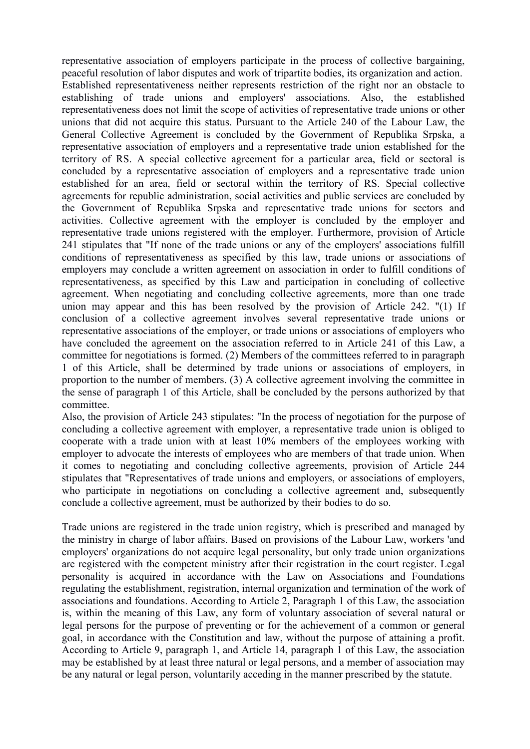representative association of employers participate in the process of collective bargaining, peaceful resolution of labor disputes and work of tripartite bodies, its organization and action. Established representativeness neither represents restriction of the right nor an obstacle to establishing of trade unions and employers' associations. Also, the established representativeness does not limit the scope of activities of representative trade unions or other unions that did not acquire this status. Pursuant to the Article 240 of the Labour Law, the General Collective Agreement is concluded by the Government of Republika Srpska, a representative association of employers and a representative trade union established for the territory of RS. A special collective agreement for a particular area, field or sectoral is concluded by a representative association of employers and a representative trade union established for an area, field or sectoral within the territory of RS. Special collective agreements for republic administration, social activities and public services are concluded by the Government of Republika Srpska and representative trade unions for sectors and activities. Collective agreement with the employer is concluded by the employer and representative trade unions registered with the employer. Furthermore, provision of Article 241 stipulates that "If none of the trade unions or any of the employers' associations fulfill conditions of representativeness as specified by this law, trade unions or associations of employers may conclude a written agreement on association in order to fulfill conditions of representativeness, as specified by this Law and participation in concluding of collective agreement. When negotiating and concluding collective agreements, more than one trade union may appear and this has been resolved by the provision of Article 242. "(1) If conclusion of a collective agreement involves several representative trade unions or representative associations of the employer, or trade unions or associations of employers who have concluded the agreement on the association referred to in Article 241 of this Law, a committee for negotiations is formed. (2) Members of the committees referred to in paragraph 1 of this Article, shall be determined by trade unions or associations of employers, in proportion to the number of members. (3) A collective agreement involving the committee in the sense of paragraph 1 of this Article, shall be concluded by the persons authorized by that committee.

Also, the provision of Article 243 stipulates: "In the process of negotiation for the purpose of concluding a collective agreement with employer, a representative trade union is obliged to cooperate with a trade union with at least 10% members of the employees working with employer to advocate the interests of employees who are members of that trade union. When it comes to negotiating and concluding collective agreements, provision of Article 244 stipulates that "Representatives of trade unions and employers, or associations of employers, who participate in negotiations on concluding a collective agreement and, subsequently conclude a collective agreement, must be authorized by their bodies to do so.

Trade unions are registered in the trade union registry, which is prescribed and managed by the ministry in charge of labor affairs. Based on provisions of the Labour Law, workers 'and employers' organizations do not acquire legal personality, but only trade union organizations are registered with the competent ministry after their registration in the court register. Legal personality is acquired in accordance with the Law on Associations and Foundations regulating the establishment, registration, internal organization and termination of the work of associations and foundations. According to Article 2, Paragraph 1 of this Law, the association is, within the meaning of this Law, any form of voluntary association of several natural or legal persons for the purpose of preventing or for the achievement of a common or general goal, in accordance with the Constitution and law, without the purpose of attaining a profit. According to Article 9, paragraph 1, and Article 14, paragraph 1 of this Law, the association may be established by at least three natural or legal persons, and a member of association may be any natural or legal person, voluntarily acceding in the manner prescribed by the statute.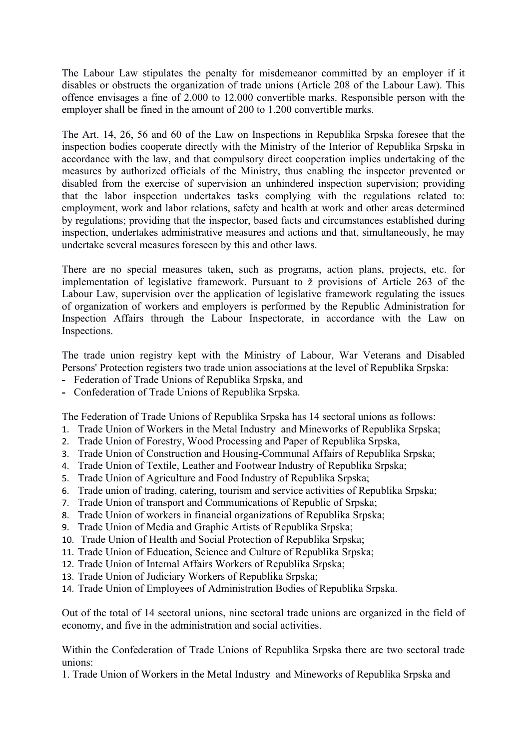The Labour Law stipulates the penalty for misdemeanor committed by an employer if it disables or obstructs the organization of trade unions (Article 208 of the Labour Law). This offence envisages a fine of 2.000 to 12.000 convertible marks. Responsible person with the employer shall be fined in the amount of 200 to 1.200 convertible marks.

The Art. 14, 26, 56 and 60 of the Law on Inspections in Republika Srpska foresee that the inspection bodies cooperate directly with the Ministry of the Interior of Republika Srpska in accordance with the law, and that compulsory direct cooperation implies undertaking of the measures by authorized officials of the Ministry, thus enabling the inspector prevented or disabled from the exercise of supervision an unhindered inspection supervision; providing that the labor inspection undertakes tasks complying with the regulations related to: employment, work and labor relations, safety and health at work and other areas determined by regulations; providing that the inspector, based facts and circumstances established during inspection, undertakes administrative measures and actions and that, simultaneously, he may undertake several measures foreseen by this and other laws.

There are no special measures taken, such as programs, action plans, projects, etc. for implementation of legislative framework. Pursuant to ž provisions of Article 263 of the Labour Law, supervision over the application of legislative framework regulating the issues of organization of workers and employers is performed by the Republic Administration for Inspection Affairs through the Labour Inspectorate, in accordance with the Law on Inspections.

The trade union registry kept with the Ministry of Labour, War Veterans and Disabled Persons' Protection registers two trade union associations at the level of Republika Srpska:

- **-** Federation of Trade Unions of Republika Srpska, and
- **-** Confederation of Trade Unions of Republika Srpska.

The Federation of Trade Unions of Republika Srpska has 14 sectoral unions as follows:

- 1. Trade Union of Workers in the Metal Industry and Mineworks of Republika Srpska;
- 2. Trade Union of Forestry, Wood Processing and Paper of Republika Srpska,
- 3. Trade Union of Construction and Housing-Communal Affairs of Republika Srpska;
- 4. Trade Union of Textile, Leather and Footwear Industry of Republika Srpska;
- 5. Trade Union of Agriculture and Food Industry of Republika Srpska;
- 6. Trade union of trading, catering, tourism and service activities of Republika Srpska;
- 7. Trade Union of transport and Communications of Republic of Srpska;
- 8. Trade Union of workers in financial organizations of Republika Srpska;
- 9. Trade Union of Media and Graphic Artists of Republika Srpska;
- 10. Trade Union of Health and Social Protection of Republika Srpska;
- 11. Trade Union of Education, Science and Culture of Republika Srpska;
- 12. Trade Union of Internal Affairs Workers of Republika Srpska;
- 13. Trade Union of Judiciary Workers of Republika Srpska;
- 14. Trade Union of Employees of Administration Bodies of Republika Srpska.

Out of the total of 14 sectoral unions, nine sectoral trade unions are organized in the field of economy, and five in the administration and social activities.

Within the Confederation of Trade Unions of Republika Srpska there are two sectoral trade unions:

1. Trade Union of Workers in the Metal Industry and Mineworks of Republika Srpska and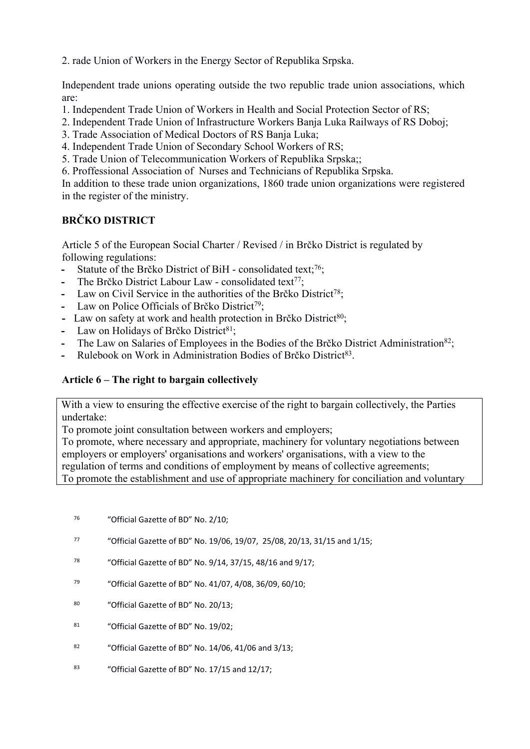2. rade Union of Workers in the Energy Sector of Republika Srpska.

Independent trade unions operating outside the two republic trade union associations, which are:

- 1. Independent Trade Union of Workers in Health and Social Protection Sector of RS;
- 2. Independent Trade Union of Infrastructure Workers Banja Luka Railways of RS Doboj;
- 3. Trade Association of Medical Doctors of RS Banja Luka;
- 4. Independent Trade Union of Secondary School Workers of RS;
- 5. Trade Union of Telecommunication Workers of Republika Srpska;;
- 6. Proffessional Association of Nurses and Technicians of Republika Srpska.

In addition to these trade union organizations, 1860 trade union organizations were registered in the register of the ministry.

# **BRČKO DISTRICT**

Article 5 of the European Social Charter / Revised / in Brčko District is regulated by following regulations:

- **-** Statute of the Brčko District of BiH consolidated text;<sup>76</sup>;
- The Brčko District Labour Law consolidated text<sup>77</sup>:
- **-** Law on Civil Service in the authorities of the Brčko District<sup>78</sup>;
- **-** Law on Police Officials of Brčko District<sup>79</sup>;
- **-** Law on safety at work and health protection in Brčko District<sup>80</sup>;
- Law on Holidays of Brčko District<sup>81</sup>;
- The Law on Salaries of Employees in the Bodies of the Brčko District Administration<sup>82</sup>;
- Rulebook on Work in Administration Bodies of Brčko District<sup>83</sup>.

# **Article 6 – The right to bargain collectively**

With a view to ensuring the effective exercise of the right to bargain collectively, the Parties undertake:

To promote joint consultation between workers and employers;

To promote, where necessary and appropriate, machinery for voluntary negotiations between employers or employers' organisations and workers' organisations, with a view to the regulation of terms and conditions of employment by means of collective agreements; To promote the establishment and use of appropriate machinery for conciliation and voluntary

- <sup>76</sup> "Official Gazette of BD" No. 2/10;
- <sup>77</sup> "Official Gazette of BD" No. 19/06, 19/07, 25/08, 20/13, 31/15 and 1/15;
- <sup>78</sup> "Official Gazette of BD" No. 9/14, 37/15, 48/16 and 9/17;
- <sup>79</sup> "Official Gazette of BD" No. 41/07, 4/08, 36/09, 60/10;
- <sup>80</sup> "Official Gazette of BD" No. 20/13;
- <sup>81</sup> "Official Gazette of BD" No. 19/02;
- <sup>82</sup> "Official Gazette of BD" No. 14/06, 41/06 and 3/13;
- 83 "Official Gazette of BD" No. 17/15 and 12/17;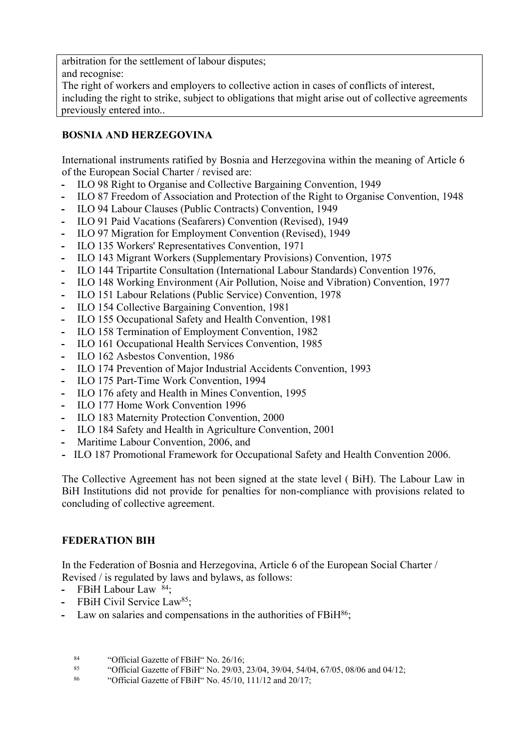arbitration for the settlement of labour disputes; and recognise: The right of workers and employers to collective action in cases of conflicts of interest,

including the right to strike, subject to obligations that might arise out of collective agreements previously entered into..

# **BOSNIA AND HERZEGOVINA**

International instruments ratified by Bosnia and Herzegovina within the meaning of Article 6 of the European Social Charter / revised are:

- **-** ILO 98 Right to Organise and Collective Bargaining Convention, 1949
- **-** ILO 87 Freedom of Association and Protection of the Right to Organise Convention, 1948
- **-** ILO 94 Labour Clauses (Public Contracts) Convention, 1949
- **-** ILO 91 Paid Vacations (Seafarers) Convention (Revised), 1949
- **-** ILO 97 Migration for Employment Convention (Revised), 1949
- **-** ILO 135 Workers' Representatives Convention, 1971
- **-** ILO 143 Migrant Workers (Supplementary Provisions) Convention, 1975
- **-** ILO 144 Tripartite Consultation (International Labour Standards) Convention 1976,
- **-** ILO 148 Working Environment (Air Pollution, Noise and Vibration) Convention, 1977
- **-** ILO 151 Labour Relations (Public Service) Convention, 1978
- **-** ILO 154 Collective Bargaining Convention, 1981
- **-** ILO 155 Occupational Safety and Health Convention, 1981
- **-** ILO 158 Termination of Employment Convention, 1982
- **-** ILO 161 Occupational Health Services Convention, 1985
- **-** ILO 162 Asbestos Convention, 1986
- **-** ILO 174 Prevention of Major Industrial Accidents Convention, 1993
- **-** ILO 175 Part-Time Work Convention, 1994
- **-** ILO 176 afety and Health in Mines Convention, 1995
- **-** ILO 177 Home Work Convention 1996
- **-** ILO 183 Maternity Protection Convention, 2000
- **-** ILO 184 Safety and Health in Agriculture Convention, 2001
- **-** Maritime Labour Convention, 2006, and
- **-** ILO 187 Promotional Framework for Occupational Safety and Health Convention 2006.

The Collective Agreement has not been signed at the state level ( BiH). The Labour Law in BiH Institutions did not provide for penalties for non-compliance with provisions related to concluding of collective agreement.

# **FEDERATION BIH**

In the Federation of Bosnia and Herzegovina, Article 6 of the European Social Charter / Revised / is regulated by laws and bylaws, as follows:

- **-** FBiH Labour Law <sup>84</sup>;
- FBiH Civil Service Law<sup>85</sup>;
- Law on salaries and compensations in the authorities of FBiH<sup>86</sup>;
	- <sup>84</sup> "Official Gazette of FBiH" No. 26/16;
	- <sup>85</sup> "Official Gazette of FBiH" No. 29/03, 23/04, 39/04, 54/04, 67/05, 08/06 and 04/12;
	- <sup>86</sup> "Official Gazette of FBiH" No.  $45/10$ ,  $111/12$  and  $20/17$ ;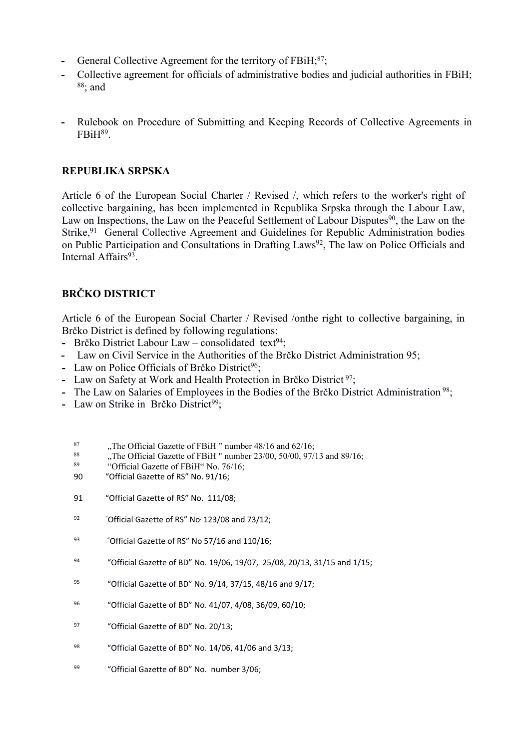- General Collective Agreement for the territory of FBiH;<sup>87</sup>;
- **-** Collective agreement for officials of administrative bodies and judicial authorities in FBiH;  $88$ ; and
- **-** Rulebook on Procedure of Submitting and Keeping Records of Collective Agreements in FBiH<sup>89</sup> .

### **REPUBLIKA SRPSKA**

Article 6 of the European Social Charter / Revised /, which refers to the worker's right of collective bargaining, has been implemented in Republika Srpska through the Labour Law, Law on Inspections, the Law on the Peaceful Settlement of Labour Disputes<sup>90</sup>, the Law on the Strike,<sup>91</sup> General Collective Agreement and Guidelines for Republic Administration bodies on Public Participation and Consultations in Drafting Laws<sup>92</sup>, The law on Police Officials and Internal Affairs<sup>93</sup>.

# **BRČKO DISTRICT**

Article 6 of the European Social Charter / Revised /onthe right to collective bargaining, in Brčko District is defined by following regulations:

- Brčko District Labour Law consolidated text<sup>94</sup>;
- **-** Law on Civil Service in the Authorities of the Brčko District Administration 95;
- **-** Law on Police Officials of Brčko District<sup>96</sup>;
- **-** Law on Safety at Work and Health Protection in Brčko District<sup>97</sup>;
- The Law on Salaries of Employees in the Bodies of the Brčko District Administration<sup>98</sup>;
- **-** Law on Strike in Brčko District<sup>99</sup>:
	- <sup>87</sup> ..., The Official Gazette of FBiH " number  $48/16$  and  $62/16$ ;<br><sup>88</sup> ..., The Official Gazette of FBiH " number  $23/00$ ,  $50/00$ ,  $97/1$
	- <sup>88</sup> ..., The Official Gazette of FBiH " number 23/00, 50/00, 97/13 and 89/16;<br>
	"Official Gazette of FBiH" No. 76/16;
	- "Official Gazette of FBiH" No. 76/16;
	- 90 "Official Gazette of RS" No. 91/16;
	- 91 "Official Gazette of RS" No. 111/08;
	- $^{92}$  "Official Gazette of RS" No $123/08$  and 73/12;
	- 93 "Official Gazette of RS" No 57/16 and 110/16;
	- <sup>94</sup> "Official Gazette of BD" No. 19/06, 19/07, 25/08, 20/13, 31/15 and 1/15;
	- <sup>95</sup> "Official Gazette of BD" No. 9/14, 37/15, 48/16 and 9/17;
	- <sup>96</sup> "Official Gazette of BD" No. 41/07, 4/08, 36/09, 60/10;
	- <sup>97</sup> "Official Gazette of BD" No. 20/13;
	- <sup>98</sup> "Official Gazette of BD" No. 14/06, 41/06 and 3/13;
	- 99 "Official Gazette of BD" No. number 3/06;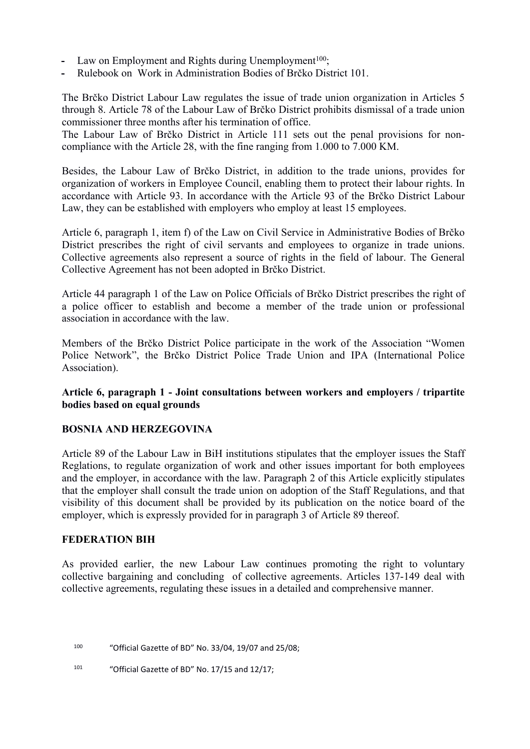- Law on Employment and Rights during Unemployment<sup>100</sup>;
- **-** Rulebook on Work in Administration Bodies of Brčko District 101.

The Brčko District Labour Law regulates the issue of trade union organization in Articles 5 through 8. Article 78 of the Labour Law of Brčko District prohibits dismissal of a trade union commissioner three months after his termination of office.

The Labour Law of Brčko District in Article 111 sets out the penal provisions for noncompliance with the Article 28, with the fine ranging from 1.000 to 7.000 KM.

Besides, the Labour Law of Brčko District, in addition to the trade unions, provides for organization of workers in Employee Council, enabling them to protect their labour rights. In accordance with Article 93. In accordance with the Article 93 of the Brčko District Labour Law, they can be established with employers who employ at least 15 employees.

Article 6, paragraph 1, item f) of the Law on Civil Service in Administrative Bodies of Brčko District prescribes the right of civil servants and employees to organize in trade unions. Collective agreements also represent a source of rights in the field of labour. The General Collective Agreement has not been adopted in Brčko District.

Article 44 paragraph 1 of the Law on Police Officials of Brčko District prescribes the right of a police officer to establish and become a member of the trade union or professional association in accordance with the law.

Members of the Brčko District Police participate in the work of the Association "Women Police Network", the Brčko District Police Trade Union and IPA (International Police Association).

**Article 6, paragraph 1 - Joint consultations between workers and employers / tripartite bodies based on equal grounds**

#### **BOSNIA AND HERZEGOVINA**

Article 89 of the Labour Law in BiH institutions stipulates that the employer issues the Staff Reglations, to regulate organization of work and other issues important for both employees and the employer, in accordance with the law. Paragraph 2 of this Article explicitly stipulates that the employer shall consult the trade union on adoption of the Staff Regulations, and that visibility of this document shall be provided by its publication on the notice board of the employer, which is expressly provided for in paragraph 3 of Article 89 thereof.

#### **FEDERATION BIH**

As provided earlier, the new Labour Law continues promoting the right to voluntary collective bargaining and concluding of collective agreements. Articles 137-149 deal with collective agreements, regulating these issues in a detailed and comprehensive manner.

<sup>100</sup> "Official Gazette of BD" No. 33/04, 19/07 and 25/08;

101 "Official Gazette of BD" No. 17/15 and 12/17;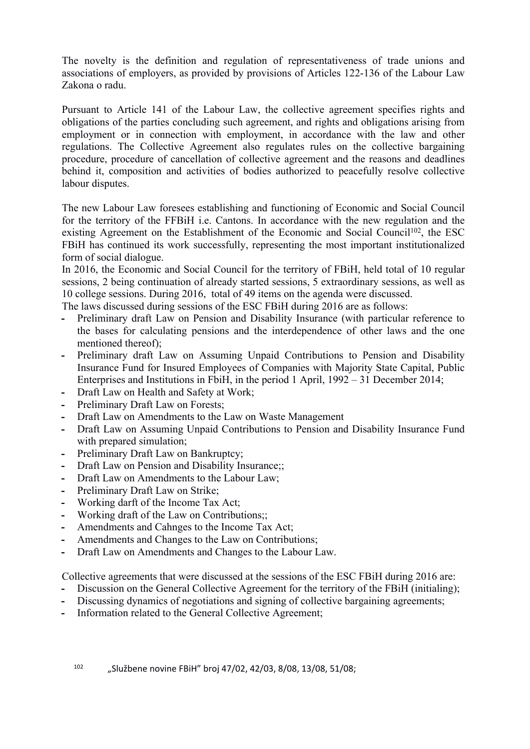The novelty is the definition and regulation of representativeness of trade unions and associations of employers, as provided by provisions of Articles 122-136 of the Labour Law Zakona o radu.

Pursuant to Article 141 of the Labour Law, the collective agreement specifies rights and obligations of the parties concluding such agreement, and rights and obligations arising from employment or in connection with employment, in accordance with the law and other regulations. The Collective Agreement also regulates rules on the collective bargaining procedure, procedure of cancellation of collective agreement and the reasons and deadlines behind it, composition and activities of bodies authorized to peacefully resolve collective labour disputes.

The new Labour Law foresees establishing and functioning of Economic and Social Council for the territory of the FFBiH i.e. Cantons. In accordance with the new regulation and the existing Agreement on the Establishment of the Economic and Social Council<sup>102</sup>, the ESC FBiH has continued its work successfully, representing the most important institutionalized form of social dialogue.

In 2016, the Economic and Social Council for the territory of FBiH, held total of 10 regular sessions, 2 being continuation of already started sessions, 5 extraordinary sessions, as well as 10 college sessions. During 2016, total of 49 items on the agenda were discussed.

The laws discussed during sessions of the ESC FBiH during 2016 are as follows:

- **-** Preliminary draft Law on Pension and Disability Insurance (with particular reference to the bases for calculating pensions and the interdependence of other laws and the one mentioned thereof);
- **-** Preliminary draft Law on Assuming Unpaid Contributions to Pension and Disability Insurance Fund for Insured Employees of Companies with Majority State Capital, Public Enterprises and Institutions in FbiH, in the period 1 April, 1992 – 31 December 2014;
- **-** Draft Law on Health and Safety at Work;
- **-** Preliminary Draft Law on Forests;
- **-** Draft Law on Amendments to the Law on Waste Management
- **-** Draft Law on Assuming Unpaid Contributions to Pension and Disability Insurance Fund with prepared simulation;
- **-** Preliminary Draft Law on Bankruptcy;
- **-** Draft Law on Pension and Disability Insurance;;
- **-** Draft Law on Amendments to the Labour Law;
- **-** Preliminary Draft Law on Strike;
- **-** Working darft of the Income Tax Act;
- **-** Working draft of the Law on Contributions;;
- **-** Amendments and Cahnges to the Income Tax Act;
- **-** Amendments and Changes to the Law on Contributions;
- **-** Draft Law on Amendments and Changes to the Labour Law.

Collective agreements that were discussed at the sessions of the ESC FBiH during 2016 are:

- **-** Discussion on the General Collective Agreement for the territory of the FBiH (initialing);
- **-** Discussing dynamics of negotiations and signing of collective bargaining agreements;
- **-** Information related to the General Collective Agreement;

102 "Službene novine FBiH" broj 47/02, 42/03, 8/08, 13/08, 51/08;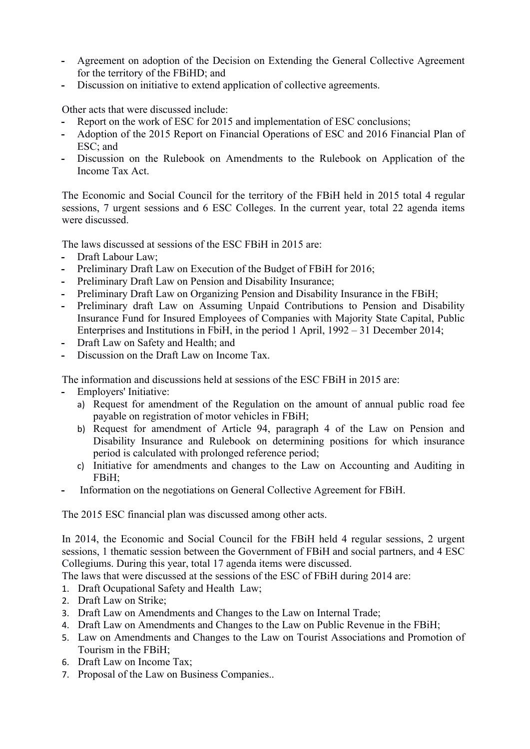- **-** Agreement on adoption of the Decision on Extending the General Collective Agreement for the territory of the FBiHD; and
- **-** Discussion on initiative to extend application of collective agreements.

Other acts that were discussed include:

- **-** Report on the work of ESC for 2015 and implementation of ESC conclusions;
- **-** Adoption of the 2015 Report on Financial Operations of ESC and 2016 Financial Plan of ESC; and
- **-** Discussion on the Rulebook on Amendments to the Rulebook on Application of the Income Tax Act.

The Economic and Social Council for the territory of the FBiH held in 2015 total 4 regular sessions, 7 urgent sessions and 6 ESC Colleges. In the current year, total 22 agenda items were discussed.

The laws discussed at sessions of the ESC FBiH in 2015 are:

- **-** Draft Labour Law;
- **-** Preliminary Draft Law on Execution of the Budget of FBiH for 2016;
- **-** Preliminary Draft Law on Pension and Disability Insurance;
- **-** Preliminary Draft Law on Organizing Pension and Disability Insurance in the FBiH;
- **-** Preliminary draft Law on Assuming Unpaid Contributions to Pension and Disability Insurance Fund for Insured Employees of Companies with Majority State Capital, Public Enterprises and Institutions in FbiH, in the period 1 April, 1992 – 31 December 2014;
- **-** Draft Law on Safety and Health; and
- **-** Discussion on the Draft Law on Income Tax.

The information and discussions held at sessions of the ESC FBiH in 2015 are:

- **-** Employers' Initiative:
	- a) Request for amendment of the Regulation on the amount of annual public road fee payable on registration of motor vehicles in FBiH;
	- b) Request for amendment of Article 94, paragraph 4 of the Law on Pension and Disability Insurance and Rulebook on determining positions for which insurance period is calculated with prolonged reference period;
	- c) Initiative for amendments and changes to the Law on Accounting and Auditing in FBiH;
- **-** Information on the negotiations on General Collective Agreement for FBiH.

The 2015 ESC financial plan was discussed among other acts.

In 2014, the Economic and Social Council for the FBiH held 4 regular sessions, 2 urgent sessions, 1 thematic session between the Government of FBiH and social partners, and 4 ESC Collegiums. During this year, total 17 agenda items were discussed.

The laws that were discussed at the sessions of the ESC of FBiH during 2014 are:

1. Draft Ocupational Safety and Health Law;

- 2. Draft Law on Strike;
- 3. Draft Law on Amendments and Changes to the Law on Internal Trade;
- 4. Draft Law on Amendments and Changes to the Law on Public Revenue in the FBiH;
- 5. Law on Amendments and Changes to the Law on Tourist Associations and Promotion of Tourism in the FBiH;
- 6. Draft Law on Income Tax;
- 7. Proposal of the Law on Business Companies..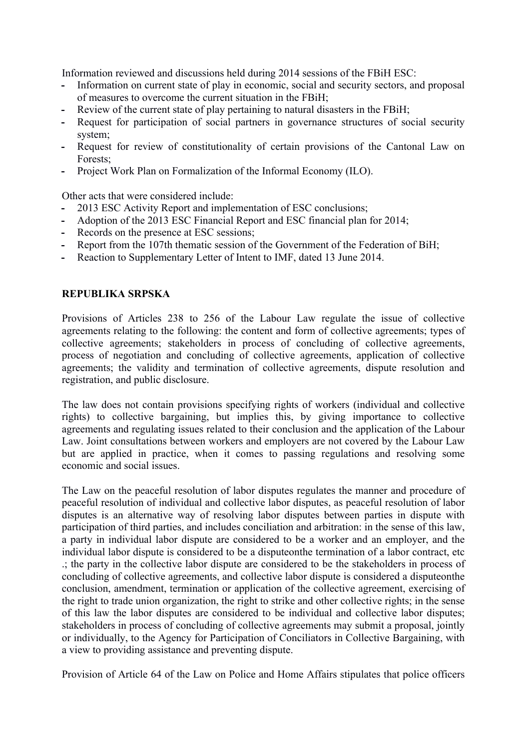Information reviewed and discussions held during 2014 sessions of the FBiH ESC:

- **-** Information on current state of play in economic, social and security sectors, and proposal of measures to overcome the current situation in the FBiH;
- **-** Review of the current state of play pertaining to natural disasters in the FBiH;
- **-** Request for participation of social partners in governance structures of social security system;
- **-** Request for review of constitutionality of certain provisions of the Cantonal Law on Forests;
- **-** Project Work Plan on Formalization of the Informal Economy (ILO).

Other acts that were considered include:

- **-** 2013 ESC Activity Report and implementation of ESC conclusions;
- **-** Adoption of the 2013 ESC Financial Report and ESC financial plan for 2014;
- **-** Records on the presence at ESC sessions;
- **-** Report from the 107th thematic session of the Government of the Federation of BiH;
- **-** Reaction to Supplementary Letter of Intent to IMF, dated 13 June 2014.

#### **REPUBLIKA SRPSKA**

Provisions of Articles 238 to 256 of the Labour Law regulate the issue of collective agreements relating to the following: the content and form of collective agreements; types of collective agreements; stakeholders in process of concluding of collective agreements, process of negotiation and concluding of collective agreements, application of collective agreements; the validity and termination of collective agreements, dispute resolution and registration, and public disclosure.

The law does not contain provisions specifying rights of workers (individual and collective rights) to collective bargaining, but implies this, by giving importance to collective agreements and regulating issues related to their conclusion and the application of the Labour Law. Joint consultations between workers and employers are not covered by the Labour Law but are applied in practice, when it comes to passing regulations and resolving some economic and social issues.

The Law on the peaceful resolution of labor disputes regulates the manner and procedure of peaceful resolution of individual and collective labor disputes, as peaceful resolution of labor disputes is an alternative way of resolving labor disputes between parties in dispute with participation of third parties, and includes conciliation and arbitration: in the sense of this law, a party in individual labor dispute are considered to be a worker and an employer, and the individual labor dispute is considered to be a disputeonthe termination of a labor contract, etc .; the party in the collective labor dispute are considered to be the stakeholders in process of concluding of collective agreements, and collective labor dispute is considered a disputeonthe conclusion, amendment, termination or application of the collective agreement, exercising of the right to trade union organization, the right to strike and other collective rights; in the sense of this law the labor disputes are considered to be individual and collective labor disputes; stakeholders in process of concluding of collective agreements may submit a proposal, jointly or individually, to the Agency for Participation of Conciliators in Collective Bargaining, with a view to providing assistance and preventing dispute.

Provision of Article 64 of the Law on Police and Home Affairs stipulates that police officers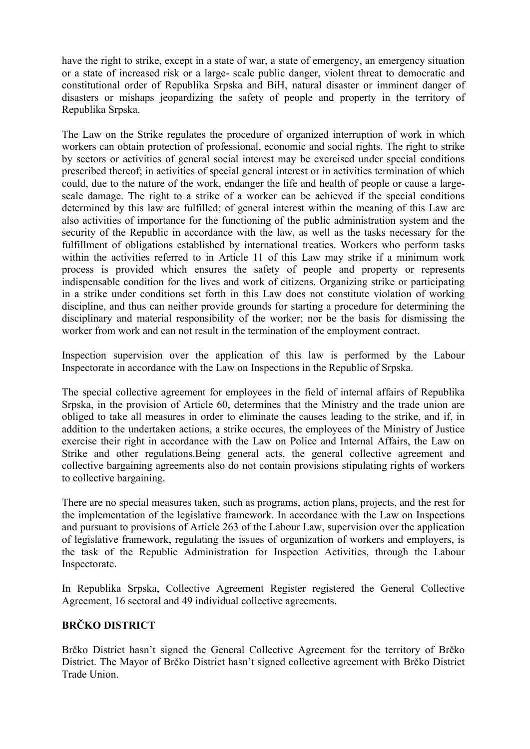have the right to strike, except in a state of war, a state of emergency, an emergency situation or a state of increased risk or a large- scale public danger, violent threat to democratic and constitutional order of Republika Srpska and BiH, natural disaster or imminent danger of disasters or mishaps jeopardizing the safety of people and property in the territory of Republika Srpska.

The Law on the Strike regulates the procedure of organized interruption of work in which workers can obtain protection of professional, economic and social rights. The right to strike by sectors or activities of general social interest may be exercised under special conditions prescribed thereof; in activities of special general interest or in activities termination of which could, due to the nature of the work, endanger the life and health of people or cause a largescale damage. The right to a strike of a worker can be achieved if the special conditions determined by this law are fulfilled; of general interest within the meaning of this Law are also activities of importance for the functioning of the public administration system and the security of the Republic in accordance with the law, as well as the tasks necessary for the fulfillment of obligations established by international treaties. Workers who perform tasks within the activities referred to in Article 11 of this Law may strike if a minimum work process is provided which ensures the safety of people and property or represents indispensable condition for the lives and work of citizens. Organizing strike or participating in a strike under conditions set forth in this Law does not constitute violation of working discipline, and thus can neither provide grounds for starting a procedure for determining the disciplinary and material responsibility of the worker; nor be the basis for dismissing the worker from work and can not result in the termination of the employment contract.

Inspection supervision over the application of this law is performed by the Labour Inspectorate in accordance with the Law on Inspections in the Republic of Srpska.

The special collective agreement for employees in the field of internal affairs of Republika Srpska, in the provision of Article 60, determines that the Ministry and the trade union are obliged to take all measures in order to eliminate the causes leading to the strike, and if, in addition to the undertaken actions, a strike occures, the employees of the Ministry of Justice exercise their right in accordance with the Law on Police and Internal Affairs, the Law on Strike and other regulations.Being general acts, the general collective agreement and collective bargaining agreements also do not contain provisions stipulating rights of workers to collective bargaining.

There are no special measures taken, such as programs, action plans, projects, and the rest for the implementation of the legislative framework. In accordance with the Law on Inspections and pursuant to provisions of Article 263 of the Labour Law, supervision over the application of legislative framework, regulating the issues of organization of workers and employers, is the task of the Republic Administration for Inspection Activities, through the Labour Inspectorate.

In Republika Srpska, Collective Agreement Register registered the General Collective Agreement, 16 sectoral and 49 individual collective agreements.

# **BRČKO DISTRICT**

Brčko District hasn't signed the General Collective Agreement for the territory of Brčko District. The Mayor of Brčko District hasn't signed collective agreement with Brčko District Trade Union.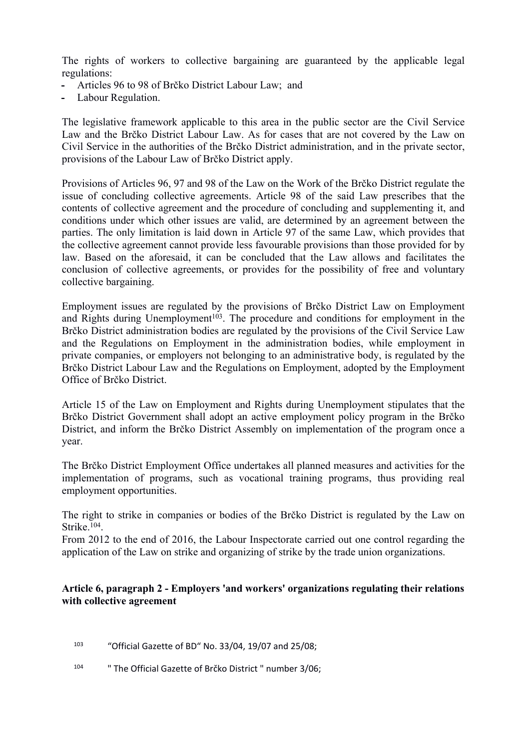The rights of workers to collective bargaining are guaranteed by the applicable legal regulations:

- **-** Articles 96 to 98 of Brčko District Labour Law; and
- **-** Labour Regulation.

The legislative framework applicable to this area in the public sector are the Civil Service Law and the Brčko District Labour Law. As for cases that are not covered by the Law on Civil Service in the authorities of the Brčko District administration, and in the private sector, provisions of the Labour Law of Brčko District apply.

Provisions of Articles 96, 97 and 98 of the Law on the Work of the Brčko District regulate the issue of concluding collective agreements. Article 98 of the said Law prescribes that the contents of collective agreement and the procedure of concluding and supplementing it, and conditions under which other issues are valid, are determined by an agreement between the parties. The only limitation is laid down in Article 97 of the same Law, which provides that the collective agreement cannot provide less favourable provisions than those provided for by law. Based on the aforesaid, it can be concluded that the Law allows and facilitates the conclusion of collective agreements, or provides for the possibility of free and voluntary collective bargaining.

Employment issues are regulated by the provisions of Brčko District Law on Employment and Rights during Unemployment<sup> $103$ </sup>. The procedure and conditions for employment in the Brčko District administration bodies are regulated by the provisions of the Civil Service Law and the Regulations on Employment in the administration bodies, while employment in private companies, or employers not belonging to an administrative body, is regulated by the Brčko District Labour Law and the Regulations on Employment, adopted by the Employment Office of Brčko District.

Article 15 of the Law on Employment and Rights during Unemployment stipulates that the Brčko District Government shall adopt an active employment policy program in the Brčko District, and inform the Brčko District Assembly on implementation of the program once a year.

The Brčko District Employment Office undertakes all planned measures and activities for the implementation of programs, such as vocational training programs, thus providing real employment opportunities.

The right to strike in companies or bodies of the Brčko District is regulated by the Law on Strike.<sup>104</sup>.

From 2012 to the end of 2016, the Labour Inspectorate carried out one control regarding the application of the Law on strike and organizing of strike by the trade union organizations.

# **Article 6, paragraph 2 - Employers 'and workers' organizations regulating their relations with collective agreement**

- <sup>103</sup> "Official Gazette of BD" No. 33/04, 19/07 and 25/08;
- 104 " The Official Gazette of Brčko District " number 3/06;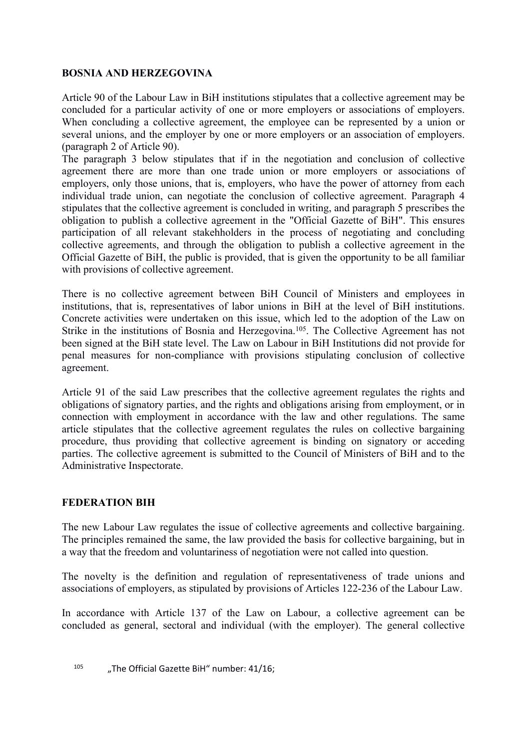# **BOSNIA AND HERZEGOVINA**

Article 90 of the Labour Law in BiH institutions stipulates that a collective agreement may be concluded for a particular activity of one or more employers or associations of employers. When concluding a collective agreement, the employee can be represented by a union or several unions, and the employer by one or more employers or an association of employers. (paragraph 2 of Article 90).

The paragraph 3 below stipulates that if in the negotiation and conclusion of collective agreement there are more than one trade union or more employers or associations of employers, only those unions, that is, employers, who have the power of attorney from each individual trade union, can negotiate the conclusion of collective agreement. Paragraph 4 stipulates that the collective agreement is concluded in writing, and paragraph 5 prescribes the obligation to publish a collective agreement in the "Official Gazette of BiH". This ensures participation of all relevant stakehholders in the process of negotiating and concluding collective agreements, and through the obligation to publish a collective agreement in the Official Gazette of BiH, the public is provided, that is given the opportunity to be all familiar with provisions of collective agreement.

There is no collective agreement between BiH Council of Ministers and employees in institutions, that is, representatives of labor unions in BiH at the level of BiH institutions. Concrete activities were undertaken on this issue, which led to the adoption of the Law on Strike in the institutions of Bosnia and Herzegovina.<sup>105</sup>. The Collective Agreement has not been signed at the BiH state level. The Law on Labour in BiH Institutions did not provide for penal measures for non-compliance with provisions stipulating conclusion of collective agreement.

Article 91 of the said Law prescribes that the collective agreement regulates the rights and obligations of signatory parties, and the rights and obligations arising from employment, or in connection with employment in accordance with the law and other regulations. The same article stipulates that the collective agreement regulates the rules on collective bargaining procedure, thus providing that collective agreement is binding on signatory or acceding parties. The collective agreement is submitted to the Council of Ministers of BiH and to the Administrative Inspectorate.

# **FEDERATION BIH**

The new Labour Law regulates the issue of collective agreements and collective bargaining. The principles remained the same, the law provided the basis for collective bargaining, but in a way that the freedom and voluntariness of negotiation were not called into question.

The novelty is the definition and regulation of representativeness of trade unions and associations of employers, as stipulated by provisions of Articles 122-236 of the Labour Law.

In accordance with Article 137 of the Law on Labour, a collective agreement can be concluded as general, sectoral and individual (with the employer). The general collective

<sup>105</sup> ...The Official Gazette BiH" number: 41/16: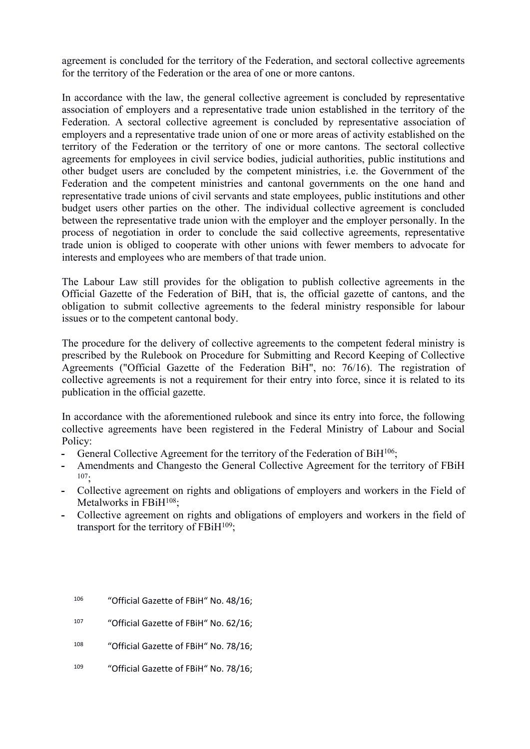agreement is concluded for the territory of the Federation, and sectoral collective agreements for the territory of the Federation or the area of one or more cantons.

In accordance with the law, the general collective agreement is concluded by representative association of employers and a representative trade union established in the territory of the Federation. A sectoral collective agreement is concluded by representative association of employers and a representative trade union of one or more areas of activity established on the territory of the Federation or the territory of one or more cantons. The sectoral collective agreements for employees in civil service bodies, judicial authorities, public institutions and other budget users are concluded by the competent ministries, i.e. the Government of the Federation and the competent ministries and cantonal governments on the one hand and representative trade unions of civil servants and state employees, public institutions and other budget users other parties on the other. The individual collective agreement is concluded between the representative trade union with the employer and the employer personally. In the process of negotiation in order to conclude the said collective agreements, representative trade union is obliged to cooperate with other unions with fewer members to advocate for interests and employees who are members of that trade union.

The Labour Law still provides for the obligation to publish collective agreements in the Official Gazette of the Federation of BiH, that is, the official gazette of cantons, and the obligation to submit collective agreements to the federal ministry responsible for labour issues or to the competent cantonal body.

The procedure for the delivery of collective agreements to the competent federal ministry is prescribed by the Rulebook on Procedure for Submitting and Record Keeping of Collective Agreements ("Official Gazette of the Federation BiH", no: 76/16). The registration of collective agreements is not a requirement for their entry into force, since it is related to its publication in the official gazette.

In accordance with the aforementioned rulebook and since its entry into force, the following collective agreements have been registered in the Federal Ministry of Labour and Social Policy:

- **-** General Collective Agreement for the territory of the Federation of BiH<sup>106</sup>;
- **-** Amendments and Changesto the General Collective Agreement for the territory of FBiH  $107 -$
- **-** Collective agreement on rights and obligations of employers and workers in the Field of Metalworks in FBiH<sup>108</sup>;
- **-** Collective agreement on rights and obligations of employers and workers in the field of transport for the territory of  $FBiH^{109}$ ;
	- <sup>106</sup> "Official Gazette of FBiH" No. 48/16;
	- <sup>107</sup> "Official Gazette of FBiH" No. 62/16;
	- <sup>108</sup> "Official Gazette of FBiH" No. 78/16;
	- 109 "Official Gazette of FBiH" No. 78/16;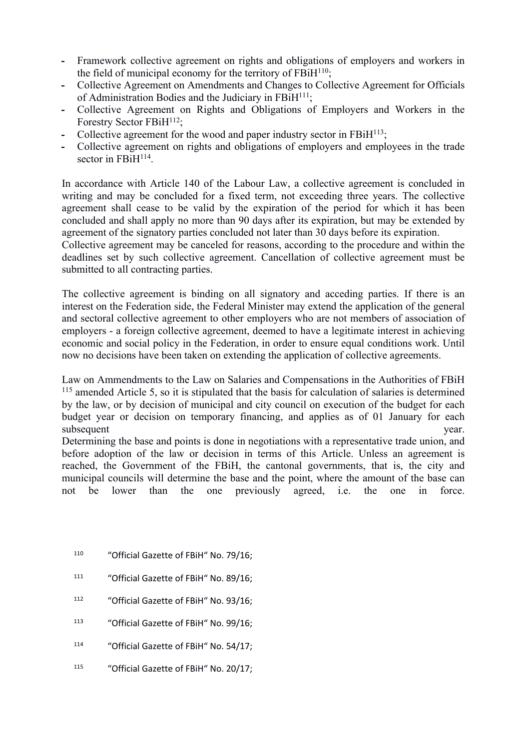- **-** Framework collective agreement on rights and obligations of employers and workers in the field of municipal economy for the territory of  $FBiH^{110}$ ;
- **-** Collective Agreement on Amendments and Changes to Collective Agreement for Officials of Administration Bodies and the Judiciary in FBiH<sup>111</sup>;
- **-** Collective Agreement on Rights and Obligations of Employers and Workers in the Forestry Sector FBiH<sup>112</sup>:
- **-** Collective agreement for the wood and paper industry sector in FBiH<sup>113</sup>;
- **-** Collective agreement on rights and obligations of employers and employees in the trade sector in FBiH<sup>114</sup>.

In accordance with Article 140 of the Labour Law, a collective agreement is concluded in writing and may be concluded for a fixed term, not exceeding three years. The collective agreement shall cease to be valid by the expiration of the period for which it has been concluded and shall apply no more than 90 days after its expiration, but may be extended by agreement of the signatory parties concluded not later than 30 days before its expiration.

Collective agreement may be canceled for reasons, according to the procedure and within the deadlines set by such collective agreement. Cancellation of collective agreement must be submitted to all contracting parties.

The collective agreement is binding on all signatory and acceding parties. If there is an interest on the Federation side, the Federal Minister may extend the application of the general and sectoral collective agreement to other employers who are not members of association of employers - a foreign collective agreement, deemed to have a legitimate interest in achieving economic and social policy in the Federation, in order to ensure equal conditions work. Until now no decisions have been taken on extending the application of collective agreements.

Law on Ammendments to the Law on Salaries and Compensations in the Authorities of FBiH <sup>115</sup> amended Article 5, so it is stipulated that the basis for calculation of salaries is determined by the law, or by decision of municipal and city council on execution of the budget for each budget year or decision on temporary financing, and applies as of 01 January for each subsequent vear.

Determining the base and points is done in negotiations with a representative trade union, and before adoption of the law or decision in terms of this Article. Unless an agreement is reached, the Government of the FBiH, the cantonal governments, that is, the city and municipal councils will determine the base and the point, where the amount of the base can not be lower than the one previously agreed, i.e. the one in force.

- <sup>110</sup> "Official Gazette of FBiH" No. 79/16;
- <sup>111</sup> "Official Gazette of FBiH" No. 89/16;
- <sup>112</sup> "Official Gazette of FBiH" No. 93/16;
- <sup>113</sup> "Official Gazette of FBiH" No. 99/16;
- <sup>114</sup> "Official Gazette of FBiH" No. 54/17;
- 115 "Official Gazette of FBiH" No. 20/17;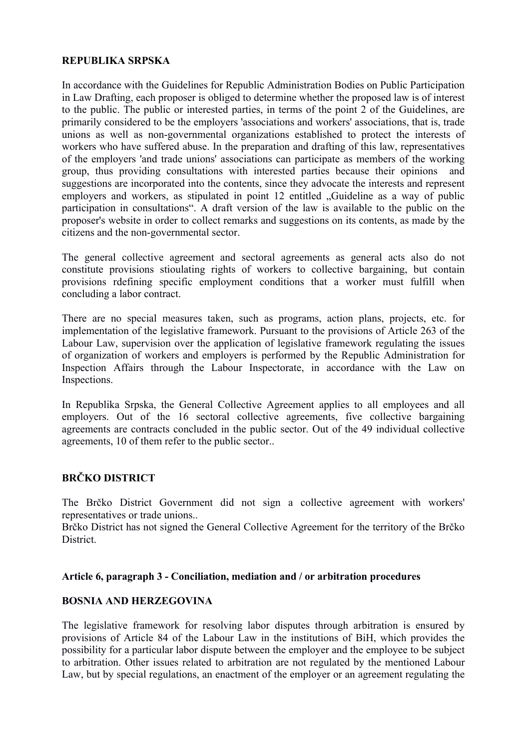### **REPUBLIKA SRPSKA**

In accordance with the Guidelines for Republic Administration Bodies on Public Participation in Law Drafting, each proposer is obliged to determine whether the proposed law is of interest to the public. The public or interested parties, in terms of the point 2 of the Guidelines, are primarily considered to be the employers 'associations and workers' associations, that is, trade unions as well as non-governmental organizations established to protect the interests of workers who have suffered abuse. In the preparation and drafting of this law, representatives of the employers 'and trade unions' associations can participate as members of the working group, thus providing consultations with interested parties because their opinions and suggestions are incorporated into the contents, since they advocate the interests and represent employers and workers, as stipulated in point 12 entitled "Guideline as a way of public participation in consultations". A draft version of the law is available to the public on the proposer's website in order to collect remarks and suggestions on its contents, as made by the citizens and the non-governmental sector.

The general collective agreement and sectoral agreements as general acts also do not constitute provisions stioulating rights of workers to collective bargaining, but contain provisions rdefining specific employment conditions that a worker must fulfill when concluding a labor contract.

There are no special measures taken, such as programs, action plans, projects, etc. for implementation of the legislative framework. Pursuant to the provisions of Article 263 of the Labour Law, supervision over the application of legislative framework regulating the issues of organization of workers and employers is performed by the Republic Administration for Inspection Affairs through the Labour Inspectorate, in accordance with the Law on Inspections.

In Republika Srpska, the General Collective Agreement applies to all employees and all employers. Out of the 16 sectoral collective agreements, five collective bargaining agreements are contracts concluded in the public sector. Out of the 49 individual collective agreements, 10 of them refer to the public sector..

# **BRČKO DISTRICT**

The Brčko District Government did not sign a collective agreement with workers' representatives or trade unions..

Brčko District has not signed the General Collective Agreement for the territory of the Brčko District.

#### **Article 6, paragraph 3 - Conciliation, mediation and / or arbitration procedures**

#### **BOSNIA AND HERZEGOVINA**

The legislative framework for resolving labor disputes through arbitration is ensured by provisions of Article 84 of the Labour Law in the institutions of BiH, which provides the possibility for a particular labor dispute between the employer and the employee to be subject to arbitration. Other issues related to arbitration are not regulated by the mentioned Labour Law, but by special regulations, an enactment of the employer or an agreement regulating the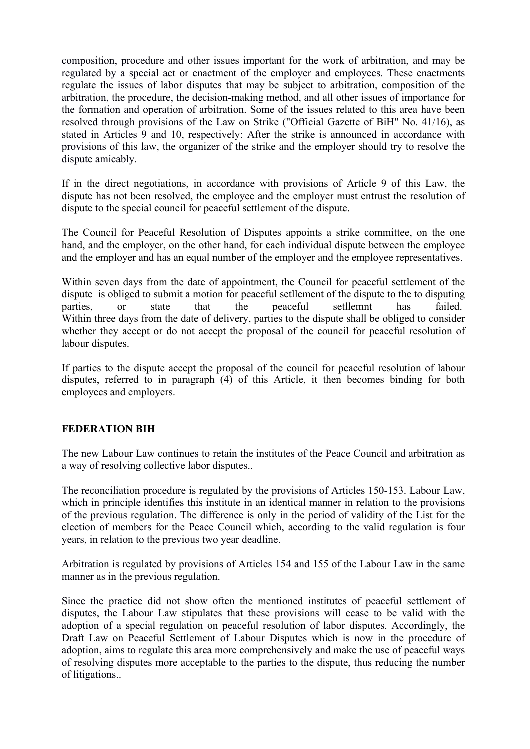composition, procedure and other issues important for the work of arbitration, and may be regulated by a special act or enactment of the employer and employees. These enactments regulate the issues of labor disputes that may be subject to arbitration, composition of the arbitration, the procedure, the decision-making method, and all other issues of importance for the formation and operation of arbitration. Some of the issues related to this area have been resolved through provisions of the Law on Strike ("Official Gazette of BiH" No. 41/16), as stated in Articles 9 and 10, respectively: After the strike is announced in accordance with provisions of this law, the organizer of the strike and the employer should try to resolve the dispute amicably.

If in the direct negotiations, in accordance with provisions of Article 9 of this Law, the dispute has not been resolved, the employee and the employer must entrust the resolution of dispute to the special council for peaceful settlement of the dispute.

The Council for Peaceful Resolution of Disputes appoints a strike committee, on the one hand, and the employer, on the other hand, for each individual dispute between the employee and the employer and has an equal number of the employer and the employee representatives.

Within seven days from the date of appointment, the Council for peaceful settlement of the dispute is obliged to submit a motion for peaceful setllement of the dispute to the to disputing parties, or state that the peaceful setllemnt has failed. Within three days from the date of delivery, parties to the dispute shall be obliged to consider whether they accept or do not accept the proposal of the council for peaceful resolution of labour disputes.

If parties to the dispute accept the proposal of the council for peaceful resolution of labour disputes, referred to in paragraph (4) of this Article, it then becomes binding for both employees and employers.

#### **FEDERATION BIH**

The new Labour Law continues to retain the institutes of the Peace Council and arbitration as a way of resolving collective labor disputes..

The reconciliation procedure is regulated by the provisions of Articles 150-153. Labour Law, which in principle identifies this institute in an identical manner in relation to the provisions of the previous regulation. The difference is only in the period of validity of the List for the election of members for the Peace Council which, according to the valid regulation is four years, in relation to the previous two year deadline.

Arbitration is regulated by provisions of Articles 154 and 155 of the Labour Law in the same manner as in the previous regulation.

Since the practice did not show often the mentioned institutes of peaceful settlement of disputes, the Labour Law stipulates that these provisions will cease to be valid with the adoption of a special regulation on peaceful resolution of labor disputes. Accordingly, the Draft Law on Peaceful Settlement of Labour Disputes which is now in the procedure of adoption, aims to regulate this area more comprehensively and make the use of peaceful ways of resolving disputes more acceptable to the parties to the dispute, thus reducing the number of litigations..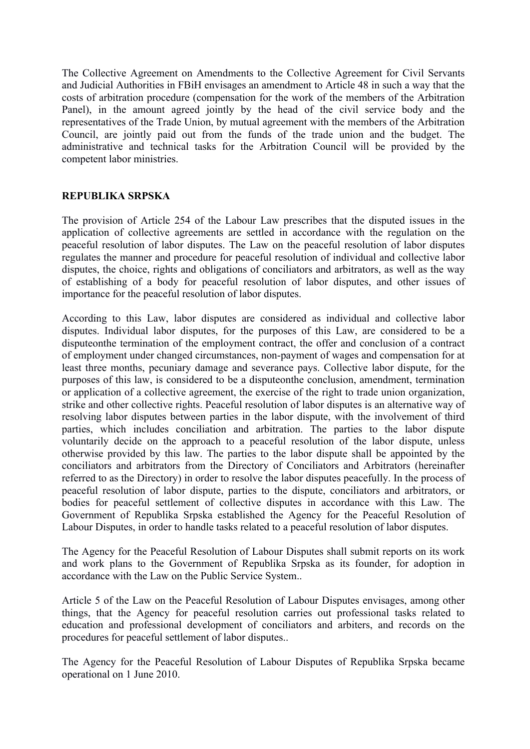The Collective Agreement on Amendments to the Collective Agreement for Civil Servants and Judicial Authorities in FBiH envisages an amendment to Article 48 in such a way that the costs of arbitration procedure (compensation for the work of the members of the Arbitration Panel), in the amount agreed jointly by the head of the civil service body and the representatives of the Trade Union, by mutual agreement with the members of the Arbitration Council, are jointly paid out from the funds of the trade union and the budget. The administrative and technical tasks for the Arbitration Council will be provided by the competent labor ministries.

# **REPUBLIKA SRPSKA**

The provision of Article 254 of the Labour Law prescribes that the disputed issues in the application of collective agreements are settled in accordance with the regulation on the peaceful resolution of labor disputes. The Law on the peaceful resolution of labor disputes regulates the manner and procedure for peaceful resolution of individual and collective labor disputes, the choice, rights and obligations of conciliators and arbitrators, as well as the way of establishing of a body for peaceful resolution of labor disputes, and other issues of importance for the peaceful resolution of labor disputes.

According to this Law, labor disputes are considered as individual and collective labor disputes. Individual labor disputes, for the purposes of this Law, are considered to be a disputeonthe termination of the employment contract, the offer and conclusion of a contract of employment under changed circumstances, non-payment of wages and compensation for at least three months, pecuniary damage and severance pays. Collective labor dispute, for the purposes of this law, is considered to be a disputeonthe conclusion, amendment, termination or application of a collective agreement, the exercise of the right to trade union organization, strike and other collective rights. Peaceful resolution of labor disputes is an alternative way of resolving labor disputes between parties in the labor dispute, with the involvement of third parties, which includes conciliation and arbitration. The parties to the labor dispute voluntarily decide on the approach to a peaceful resolution of the labor dispute, unless otherwise provided by this law. The parties to the labor dispute shall be appointed by the conciliators and arbitrators from the Directory of Conciliators and Arbitrators (hereinafter referred to as the Directory) in order to resolve the labor disputes peacefully. In the process of peaceful resolution of labor dispute, parties to the dispute, conciliators and arbitrators, or bodies for peaceful settlement of collective disputes in accordance with this Law. The Government of Republika Srpska established the Agency for the Peaceful Resolution of Labour Disputes, in order to handle tasks related to a peaceful resolution of labor disputes.

The Agency for the Peaceful Resolution of Labour Disputes shall submit reports on its work and work plans to the Government of Republika Srpska as its founder, for adoption in accordance with the Law on the Public Service System..

Article 5 of the Law on the Peaceful Resolution of Labour Disputes envisages, among other things, that the Agency for peaceful resolution carries out professional tasks related to education and professional development of conciliators and arbiters, and records on the procedures for peaceful settlement of labor disputes..

The Agency for the Peaceful Resolution of Labour Disputes of Republika Srpska became operational on 1 June 2010.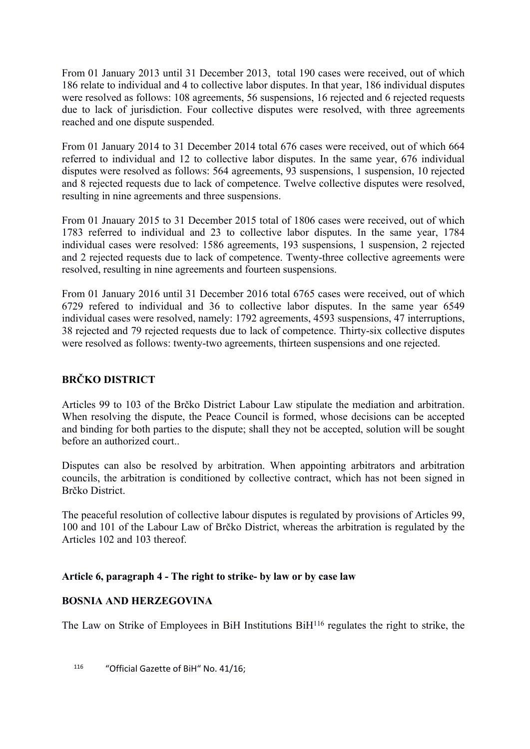From 01 January 2013 until 31 December 2013, total 190 cases were received, out of which 186 relate to individual and 4 to collective labor disputes. In that year, 186 individual disputes were resolved as follows: 108 agreements, 56 suspensions, 16 rejected and 6 rejected requests due to lack of jurisdiction. Four collective disputes were resolved, with three agreements reached and one dispute suspended.

From 01 January 2014 to 31 December 2014 total 676 cases were received, out of which 664 referred to individual and 12 to collective labor disputes. In the same year, 676 individual disputes were resolved as follows: 564 agreements, 93 suspensions, 1 suspension, 10 rejected and 8 rejected requests due to lack of competence. Twelve collective disputes were resolved, resulting in nine agreements and three suspensions.

From 01 Jnauary 2015 to 31 December 2015 total of 1806 cases were received, out of which 1783 referred to individual and 23 to collective labor disputes. In the same year, 1784 individual cases were resolved: 1586 agreements, 193 suspensions, 1 suspension, 2 rejected and 2 rejected requests due to lack of competence. Twenty-three collective agreements were resolved, resulting in nine agreements and fourteen suspensions.

From 01 January 2016 until 31 December 2016 total 6765 cases were received, out of which 6729 refered to individual and 36 to collective labor disputes. In the same year 6549 individual cases were resolved, namely: 1792 agreements, 4593 suspensions, 47 interruptions, 38 rejected and 79 rejected requests due to lack of competence. Thirty-six collective disputes were resolved as follows: twenty-two agreements, thirteen suspensions and one rejected.

# **BRČKO DISTRICT**

Articles 99 to 103 of the Brčko District Labour Law stipulate the mediation and arbitration. When resolving the dispute, the Peace Council is formed, whose decisions can be accepted and binding for both parties to the dispute; shall they not be accepted, solution will be sought before an authorized court..

Disputes can also be resolved by arbitration. When appointing arbitrators and arbitration councils, the arbitration is conditioned by collective contract, which has not been signed in Brčko District.

The peaceful resolution of collective labour disputes is regulated by provisions of Articles 99, 100 and 101 of the Labour Law of Brčko District, whereas the arbitration is regulated by the Articles 102 and 103 thereof.

# **Article 6, paragraph 4 - The right to strike- by law or by case law**

# **BOSNIA AND HERZEGOVINA**

The Law on Strike of Employees in BiH Institutions BiH<sup>116</sup> regulates the right to strike, the

<sup>116</sup> "Official Gazette of BiH" No. 41/16;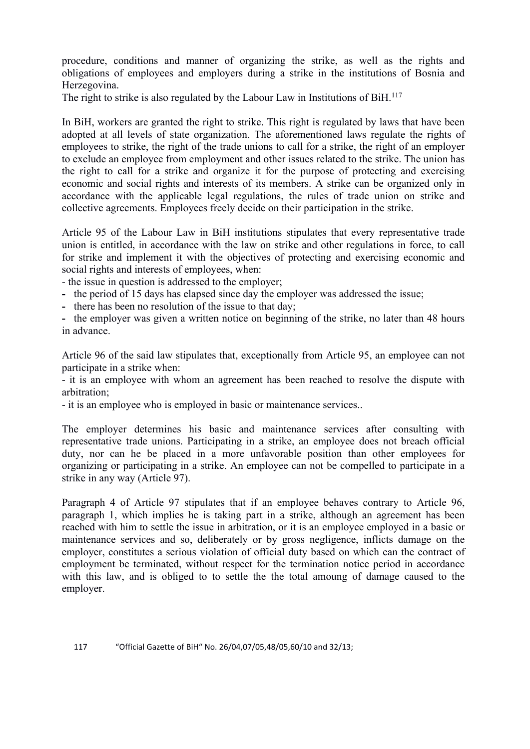procedure, conditions and manner of organizing the strike, as well as the rights and obligations of employees and employers during a strike in the institutions of Bosnia and Herzegovina.

The right to strike is also regulated by the Labour Law in Institutions of BiH.<sup>117</sup>

In BiH, workers are granted the right to strike. This right is regulated by laws that have been adopted at all levels of state organization. The aforementioned laws regulate the rights of employees to strike, the right of the trade unions to call for a strike, the right of an employer to exclude an employee from employment and other issues related to the strike. The union has the right to call for a strike and organize it for the purpose of protecting and exercising economic and social rights and interests of its members. A strike can be organized only in accordance with the applicable legal regulations, the rules of trade union on strike and collective agreements. Employees freely decide on their participation in the strike.

Article 95 of the Labour Law in BiH institutions stipulates that every representative trade union is entitled, in accordance with the law on strike and other regulations in force, to call for strike and implement it with the objectives of protecting and exercising economic and social rights and interests of employees, when:

- the issue in question is addressed to the employer;

- **-** the period of 15 days has elapsed since day the employer was addressed the issue;
- **-** there has been no resolution of the issue to that day;

**-** the employer was given a written notice on beginning of the strike, no later than 48 hours in advance.

Article 96 of the said law stipulates that, exceptionally from Article 95, an employee can not participate in a strike when:

- it is an employee with whom an agreement has been reached to resolve the dispute with arbitration;

- it is an employee who is employed in basic or maintenance services..

The employer determines his basic and maintenance services after consulting with representative trade unions. Participating in a strike, an employee does not breach official duty, nor can he be placed in a more unfavorable position than other employees for organizing or participating in a strike. An employee can not be compelled to participate in a strike in any way (Article 97).

Paragraph 4 of Article 97 stipulates that if an employee behaves contrary to Article 96, paragraph 1, which implies he is taking part in a strike, although an agreement has been reached with him to settle the issue in arbitration, or it is an employee employed in a basic or maintenance services and so, deliberately or by gross negligence, inflicts damage on the employer, constitutes a serious violation of official duty based on which can the contract of employment be terminated, without respect for the termination notice period in accordance with this law, and is obliged to to settle the the total amoung of damage caused to the employer.

#### 117 "Official Gazette of BiH" No. 26/04,07/05,48/05,60/10 and 32/13;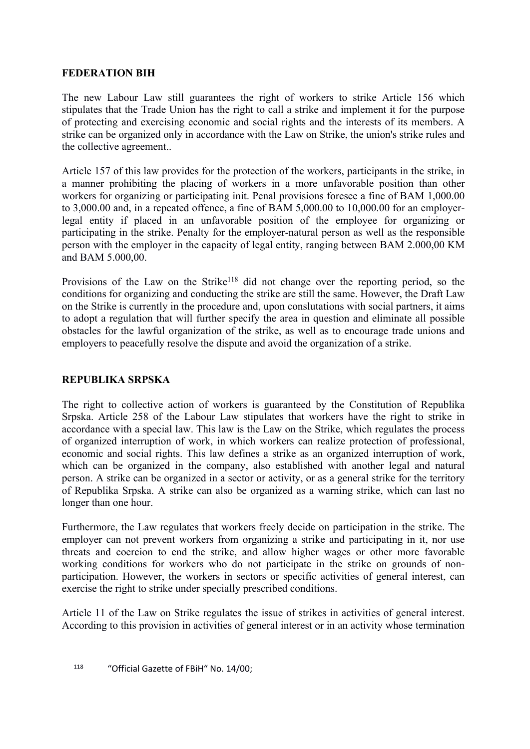## **FEDERATION BIH**

The new Labour Law still guarantees the right of workers to strike Article 156 which stipulates that the Trade Union has the right to call a strike and implement it for the purpose of protecting and exercising economic and social rights and the interests of its members. A strike can be organized only in accordance with the Law on Strike, the union's strike rules and the collective agreement..

Article 157 of this law provides for the protection of the workers, participants in the strike, in a manner prohibiting the placing of workers in a more unfavorable position than other workers for organizing or participating init. Penal provisions foresee a fine of BAM 1,000.00 to 3,000.00 and, in a repeated offence, a fine of BAM 5,000.00 to 10,000.00 for an employerlegal entity if placed in an unfavorable position of the employee for organizing or participating in the strike. Penalty for the employer-natural person as well as the responsible person with the employer in the capacity of legal entity, ranging between BAM 2.000,00 KM and BAM 5.000,00.

Provisions of the Law on the Strike<sup>118</sup> did not change over the reporting period, so the conditions for organizing and conducting the strike are still the same. However, the Draft Law on the Strike is currently in the procedure and, upon conslutations with social partners, it aims to adopt a regulation that will further specify the area in question and eliminate all possible obstacles for the lawful organization of the strike, as well as to encourage trade unions and employers to peacefully resolve the dispute and avoid the organization of a strike.

#### **REPUBLIKA SRPSKA**

The right to collective action of workers is guaranteed by the Constitution of Republika Srpska. Article 258 of the Labour Law stipulates that workers have the right to strike in accordance with a special law. This law is the Law on the Strike, which regulates the process of organized interruption of work, in which workers can realize protection of professional, economic and social rights. This law defines a strike as an organized interruption of work, which can be organized in the company, also established with another legal and natural person. A strike can be organized in a sector or activity, or as a general strike for the territory of Republika Srpska. A strike can also be organized as a warning strike, which can last no longer than one hour.

Furthermore, the Law regulates that workers freely decide on participation in the strike. The employer can not prevent workers from organizing a strike and participating in it, nor use threats and coercion to end the strike, and allow higher wages or other more favorable working conditions for workers who do not participate in the strike on grounds of nonparticipation. However, the workers in sectors or specific activities of general interest, can exercise the right to strike under specially prescribed conditions.

Article 11 of the Law on Strike regulates the issue of strikes in activities of general interest. According to this provision in activities of general interest or in an activity whose termination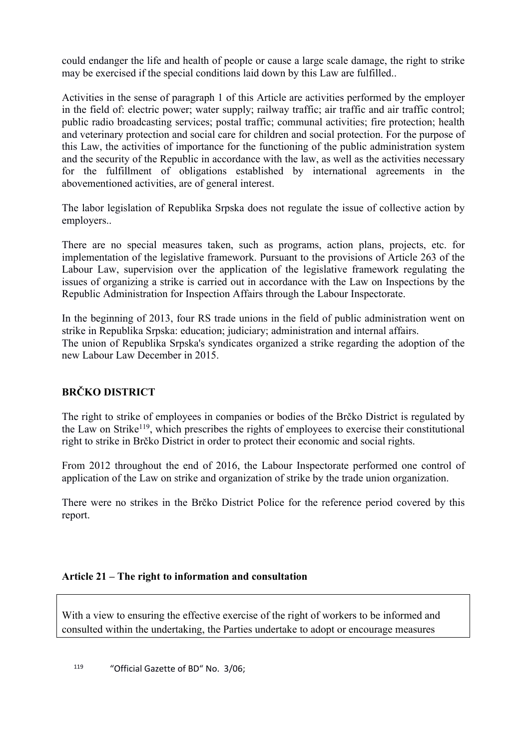could endanger the life and health of people or cause a large scale damage, the right to strike may be exercised if the special conditions laid down by this Law are fulfilled..

Activities in the sense of paragraph 1 of this Article are activities performed by the employer in the field of: electric power; water supply; railway traffic; air traffic and air traffic control; public radio broadcasting services; postal traffic; communal activities; fire protection; health and veterinary protection and social care for children and social protection. For the purpose of this Law, the activities of importance for the functioning of the public administration system and the security of the Republic in accordance with the law, as well as the activities necessary for the fulfillment of obligations established by international agreements in the abovementioned activities, are of general interest.

The labor legislation of Republika Srpska does not regulate the issue of collective action by employers..

There are no special measures taken, such as programs, action plans, projects, etc. for implementation of the legislative framework. Pursuant to the provisions of Article 263 of the Labour Law, supervision over the application of the legislative framework regulating the issues of organizing a strike is carried out in accordance with the Law on Inspections by the Republic Administration for Inspection Affairs through the Labour Inspectorate.

In the beginning of 2013, four RS trade unions in the field of public administration went on strike in Republika Srpska: education; judiciary; administration and internal affairs. The union of Republika Srpska's syndicates organized a strike regarding the adoption of the new Labour Law December in 2015.

# **BRČKO DISTRICT**

The right to strike of employees in companies or bodies of the Brčko District is regulated by the Law on Strike<sup>119</sup>, which prescribes the rights of employees to exercise their constitutional right to strike in Brčko District in order to protect their economic and social rights.

From 2012 throughout the end of 2016, the Labour Inspectorate performed one control of application of the Law on strike and organization of strike by the trade union organization.

There were no strikes in the Brčko District Police for the reference period covered by this report.

#### **Article 21 – The right to information and consultation**

With a view to ensuring the effective exercise of the right of workers to be informed and consulted within the undertaking, the Parties undertake to adopt or encourage measures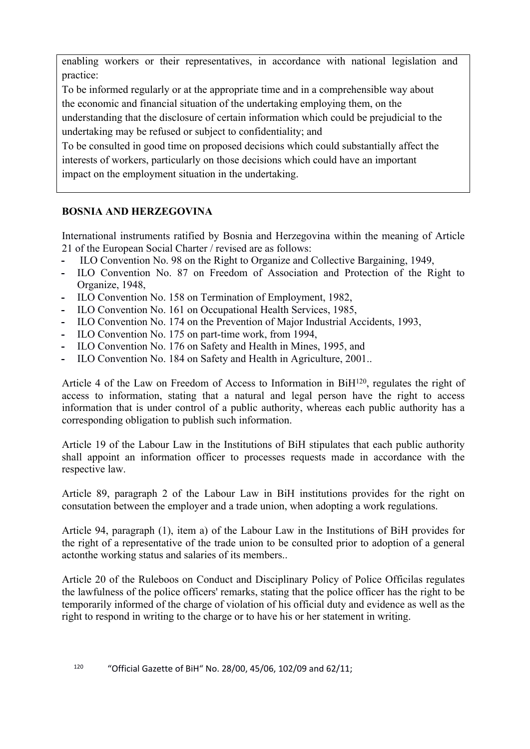enabling workers or their representatives, in accordance with national legislation and practice:

To be informed regularly or at the appropriate time and in a comprehensible way about the economic and financial situation of the undertaking employing them, on the

understanding that the disclosure of certain information which could be prejudicial to the undertaking may be refused or subject to confidentiality; and

To be consulted in good time on proposed decisions which could substantially affect the interests of workers, particularly on those decisions which could have an important impact on the employment situation in the undertaking.

## **BOSNIA AND HERZEGOVINA**

International instruments ratified by Bosnia and Herzegovina within the meaning of Article 21 of the European Social Charter / revised are as follows:

- **-** ILO Convention No. 98 on the Right to Organize and Collective Bargaining, 1949,
- **-** ILO Convention No. 87 on Freedom of Association and Protection of the Right to Organize, 1948,
- **-** ILO Convention No. 158 on Termination of Employment, 1982,
- **-** ILO Convention No. 161 on Occupational Health Services, 1985,
- **-** ILO Convention No. 174 on the Prevention of Major Industrial Accidents, 1993,
- **-** ILO Convention No. 175 on part-time work, from 1994,
- **-** ILO Convention No. 176 on Safety and Health in Mines, 1995, and
- **-** ILO Convention No. 184 on Safety and Health in Agriculture, 2001..

Article 4 of the Law on Freedom of Access to Information in BiH<sup>120</sup>, regulates the right of access to information, stating that a natural and legal person have the right to access information that is under control of a public authority, whereas each public authority has a corresponding obligation to publish such information.

Article 19 of the Labour Law in the Institutions of BiH stipulates that each public authority shall appoint an information officer to processes requests made in accordance with the respective law.

Article 89, paragraph 2 of the Labour Law in BiH institutions provides for the right on consutation between the employer and a trade union, when adopting a work regulations.

Article 94, paragraph (1), item a) of the Labour Law in the Institutions of BiH provides for the right of a representative of the trade union to be consulted prior to adoption of a general actonthe working status and salaries of its members..

Article 20 of the Ruleboos on Conduct and Disciplinary Policy of Police Officilas regulates the lawfulness of the police officers' remarks, stating that the police officer has the right to be temporarily informed of the charge of violation of his official duty and evidence as well as the right to respond in writing to the charge or to have his or her statement in writing.

120 "Official Gazette of BiH" No. 28/00, 45/06, 102/09 and 62/11;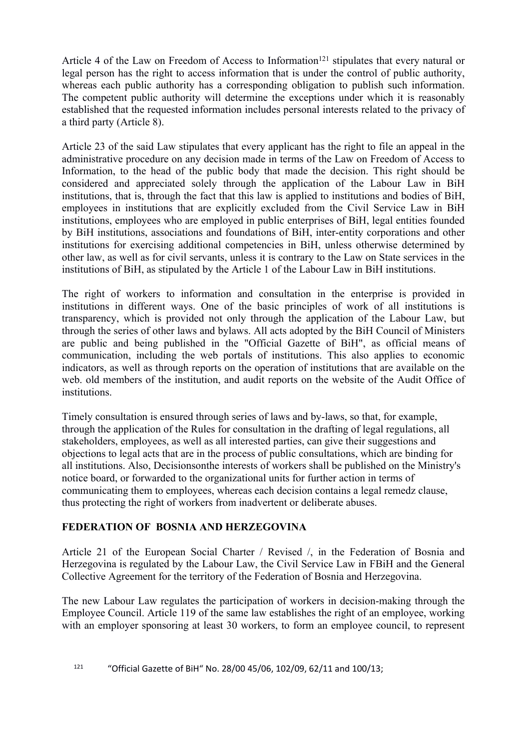Article 4 of the Law on Freedom of Access to Information<sup>121</sup> stipulates that every natural or legal person has the right to access information that is under the control of public authority, whereas each public authority has a corresponding obligation to publish such information. The competent public authority will determine the exceptions under which it is reasonably established that the requested information includes personal interests related to the privacy of a third party (Article 8).

Article 23 of the said Law stipulates that every applicant has the right to file an appeal in the administrative procedure on any decision made in terms of the Law on Freedom of Access to Information, to the head of the public body that made the decision. This right should be considered and appreciated solely through the application of the Labour Law in BiH institutions, that is, through the fact that this law is applied to institutions and bodies of BiH, employees in institutions that are explicitly excluded from the Civil Service Law in BiH institutions, employees who are employed in public enterprises of BiH, legal entities founded by BiH institutions, associations and foundations of BiH, inter-entity corporations and other institutions for exercising additional competencies in BiH, unless otherwise determined by other law, as well as for civil servants, unless it is contrary to the Law on State services in the institutions of BiH, as stipulated by the Article 1 of the Labour Law in BiH institutions.

The right of workers to information and consultation in the enterprise is provided in institutions in different ways. One of the basic principles of work of all institutions is transparency, which is provided not only through the application of the Labour Law, but through the series of other laws and bylaws. All acts adopted by the BiH Council of Ministers are public and being published in the "Official Gazette of BiH", as official means of communication, including the web portals of institutions. This also applies to economic indicators, as well as through reports on the operation of institutions that are available on the web. old members of the institution, and audit reports on the website of the Audit Office of institutions.

Timely consultation is ensured through series of laws and by-laws, so that, for example, through the application of the Rules for consultation in the drafting of legal regulations, all stakeholders, employees, as well as all interested parties, can give their suggestions and objections to legal acts that are in the process of public consultations, which are binding for all institutions. Also, Decisionsonthe interests of workers shall be published on the Ministry's notice board, or forwarded to the organizational units for further action in terms of communicating them to employees, whereas each decision contains a legal remedz clause, thus protecting the right of workers from inadvertent or deliberate abuses.

## **FEDERATION OF BOSNIA AND HERZEGOVINA**

Article 21 of the European Social Charter / Revised /, in the Federation of Bosnia and Herzegovina is regulated by the Labour Law, the Civil Service Law in FBiH and the General Collective Agreement for the territory of the Federation of Bosnia and Herzegovina.

The new Labour Law regulates the participation of workers in decision-making through the Employee Council. Article 119 of the same law establishes the right of an employee, working with an employer sponsoring at least 30 workers, to form an employee council, to represent

<sup>121</sup> "Official Gazette of BiH" No. 28/00 45/06, 102/09, 62/11 and 100/13;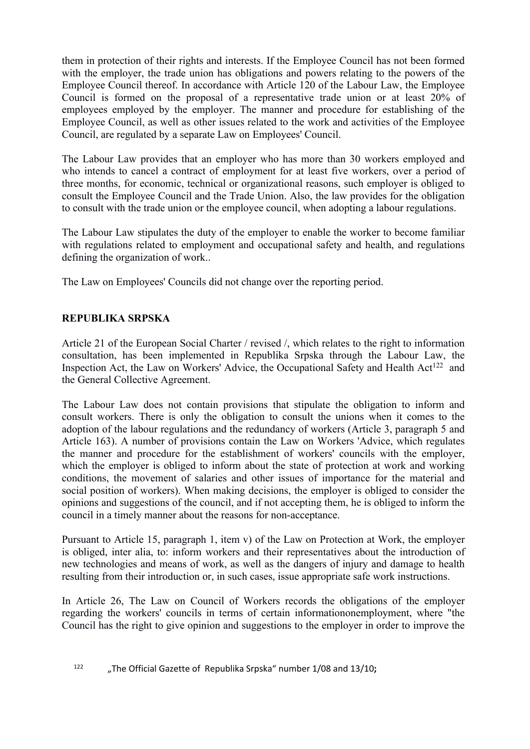them in protection of their rights and interests. If the Employee Council has not been formed with the employer, the trade union has obligations and powers relating to the powers of the Employee Council thereof. In accordance with Article 120 of the Labour Law, the Employee Council is formed on the proposal of a representative trade union or at least 20% of employees employed by the employer. The manner and procedure for establishing of the Employee Council, as well as other issues related to the work and activities of the Employee Council, are regulated by a separate Law on Employees' Council.

The Labour Law provides that an employer who has more than 30 workers employed and who intends to cancel a contract of employment for at least five workers, over a period of three months, for economic, technical or organizational reasons, such employer is obliged to consult the Employee Council and the Trade Union. Also, the law provides for the obligation to consult with the trade union or the employee council, when adopting a labour regulations.

The Labour Law stipulates the duty of the employer to enable the worker to become familiar with regulations related to employment and occupational safety and health, and regulations defining the organization of work..

The Law on Employees' Councils did not change over the reporting period.

## **REPUBLIKA SRPSKA**

Article 21 of the European Social Charter / revised /, which relates to the right to information consultation, has been implemented in Republika Srpska through the Labour Law, the Inspection Act, the Law on Workers' Advice, the Occupational Safety and Health Act<sup>122</sup> and the General Collective Agreement.

The Labour Law does not contain provisions that stipulate the obligation to inform and consult workers. There is only the obligation to consult the unions when it comes to the adoption of the labour regulations and the redundancy of workers (Article 3, paragraph 5 and Article 163). A number of provisions contain the Law on Workers 'Advice, which regulates the manner and procedure for the establishment of workers' councils with the employer, which the employer is obliged to inform about the state of protection at work and working conditions, the movement of salaries and other issues of importance for the material and social position of workers). When making decisions, the employer is obliged to consider the opinions and suggestions of the council, and if not accepting them, he is obliged to inform the council in a timely manner about the reasons for non-acceptance.

Pursuant to Article 15, paragraph 1, item v) of the Law on Protection at Work, the employer is obliged, inter alia, to: inform workers and their representatives about the introduction of new technologies and means of work, as well as the dangers of injury and damage to health resulting from their introduction or, in such cases, issue appropriate safe work instructions.

In Article 26, The Law on Council of Workers records the obligations of the employer regarding the workers' councils in terms of certain informationonemployment, where "the Council has the right to give opinion and suggestions to the employer in order to improve the

<sup>122</sup> "The Official Gazette of Republika Srpska" number 1/08 and 13/10**;**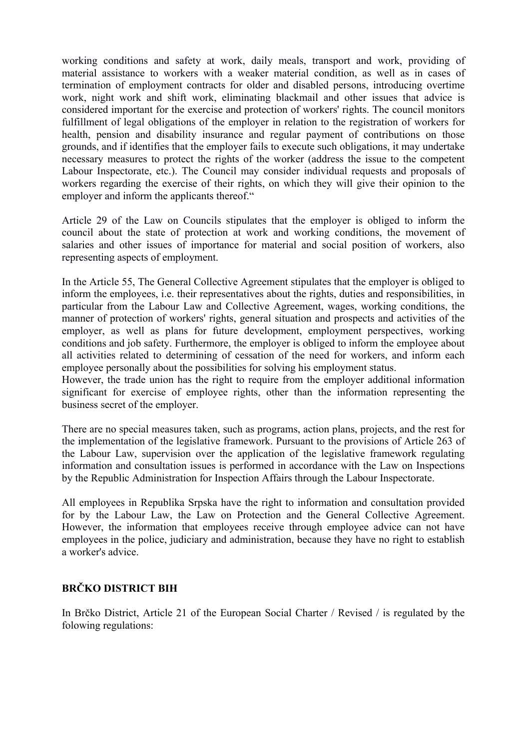working conditions and safety at work, daily meals, transport and work, providing of material assistance to workers with a weaker material condition, as well as in cases of termination of employment contracts for older and disabled persons, introducing overtime work, night work and shift work, eliminating blackmail and other issues that advice is considered important for the exercise and protection of workers' rights. The council monitors fulfillment of legal obligations of the employer in relation to the registration of workers for health, pension and disability insurance and regular payment of contributions on those grounds, and if identifies that the employer fails to execute such obligations, it may undertake necessary measures to protect the rights of the worker (address the issue to the competent Labour Inspectorate, etc.). The Council may consider individual requests and proposals of workers regarding the exercise of their rights, on which they will give their opinion to the employer and inform the applicants thereof."

Article 29 of the Law on Councils stipulates that the employer is obliged to inform the council about the state of protection at work and working conditions, the movement of salaries and other issues of importance for material and social position of workers, also representing aspects of employment.

In the Article 55, The General Collective Agreement stipulates that the employer is obliged to inform the employees, i.e. their representatives about the rights, duties and responsibilities, in particular from the Labour Law and Collective Agreement, wages, working conditions, the manner of protection of workers' rights, general situation and prospects and activities of the employer, as well as plans for future development, employment perspectives, working conditions and job safety. Furthermore, the employer is obliged to inform the employee about all activities related to determining of cessation of the need for workers, and inform each employee personally about the possibilities for solving his employment status.

However, the trade union has the right to require from the employer additional information significant for exercise of employee rights, other than the information representing the business secret of the employer.

There are no special measures taken, such as programs, action plans, projects, and the rest for the implementation of the legislative framework. Pursuant to the provisions of Article 263 of the Labour Law, supervision over the application of the legislative framework regulating information and consultation issues is performed in accordance with the Law on Inspections by the Republic Administration for Inspection Affairs through the Labour Inspectorate.

All employees in Republika Srpska have the right to information and consultation provided for by the Labour Law, the Law on Protection and the General Collective Agreement. However, the information that employees receive through employee advice can not have employees in the police, judiciary and administration, because they have no right to establish a worker's advice.

## **BRČKO DISTRICT BIH**

In Brčko District, Article 21 of the European Social Charter / Revised / is regulated by the folowing regulations: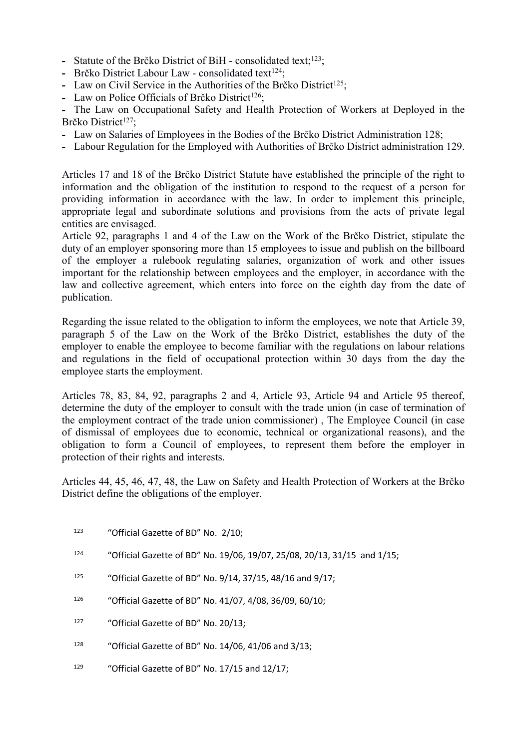- Statute of the Brčko District of BiH consolidated text;<sup>123</sup>;
- Brčko District Labour Law consolidated text<sup>124</sup>;
- Law on Civil Service in the Authorities of the Brčko District<sup>125</sup>:
- Law on Police Officials of Brčko District<sup>126</sup>:

**-** The Law on Occupational Safety and Health Protection of Workers at Deployed in the Brčko District<sup>127</sup>:

- **-** Law on Salaries of Employees in the Bodies of the Brčko District Administration 128;
- **-** Labour Regulation for the Employed with Authorities of Brčko District administration 129.

Articles 17 and 18 of the Brčko District Statute have established the principle of the right to information and the obligation of the institution to respond to the request of a person for providing information in accordance with the law. In order to implement this principle, appropriate legal and subordinate solutions and provisions from the acts of private legal entities are envisaged.

Article 92, paragraphs 1 and 4 of the Law on the Work of the Brčko District, stipulate the duty of an employer sponsoring more than 15 employees to issue and publish on the billboard of the employer a rulebook regulating salaries, organization of work and other issues important for the relationship between employees and the employer, in accordance with the law and collective agreement, which enters into force on the eighth day from the date of publication.

Regarding the issue related to the obligation to inform the employees, we note that Article 39, paragraph 5 of the Law on the Work of the Brčko District, establishes the duty of the employer to enable the employee to become familiar with the regulations on labour relations and regulations in the field of occupational protection within 30 days from the day the employee starts the employment.

Articles 78, 83, 84, 92, paragraphs 2 and 4, Article 93, Article 94 and Article 95 thereof, determine the duty of the employer to consult with the trade union (in case of termination of the employment contract of the trade union commissioner) , The Employee Council (in case of dismissal of employees due to economic, technical or organizational reasons), and the obligation to form a Council of employees, to represent them before the employer in protection of their rights and interests.

Articles 44, 45, 46, 47, 48, the Law on Safety and Health Protection of Workers at the Brčko District define the obligations of the employer.

- <sup>123</sup> "Official Gazette of BD" No. 2/10;
- <sup>124</sup> "Official Gazette of BD" No. 19/06, 19/07, 25/08, 20/13, 31/15 and 1/15;
- <sup>125</sup> "Official Gazette of BD" No. 9/14, 37/15, 48/16 and 9/17;
- <sup>126</sup> "Official Gazette of BD" No. 41/07, 4/08, 36/09, 60/10;
- <sup>127</sup> "Official Gazette of BD" No. 20/13;
- <sup>128</sup> "Official Gazette of BD" No. 14/06, 41/06 and 3/13;
- 129 "Official Gazette of BD" No. 17/15 and 12/17;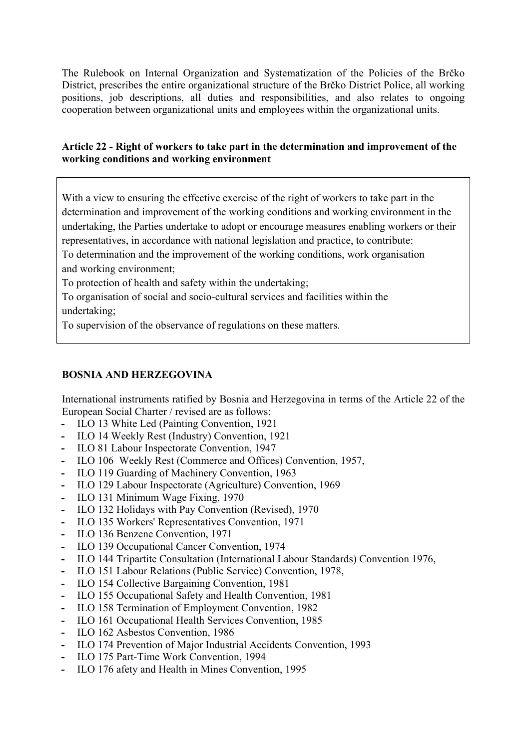The Rulebook on Internal Organization and Systematization of the Policies of the Brčko District, prescribes the entire organizational structure of the Brčko District Police, all working positions, job descriptions, all duties and responsibilities, and also relates to ongoing cooperation between organizational units and employees within the organizational units.

## **Article 22 - Right of workers to take part in the determination and improvement of the working conditions and working environment**

With a view to ensuring the effective exercise of the right of workers to take part in the determination and improvement of the working conditions and working environment in the undertaking, the Parties undertake to adopt or encourage measures enabling workers or their representatives, in accordance with national legislation and practice, to contribute:

To determination and the improvement of the working conditions, work organisation and working environment;

To protection of health and safety within the undertaking;

To organisation of social and socio-cultural services and facilities within the undertaking;

To supervision of the observance of regulations on these matters.

## **BOSNIA AND HERZEGOVINA**

International instruments ratified by Bosnia and Herzegovina in terms of the Article 22 of the European Social Charter / revised are as follows:

- **-** ILO 13 White Led (Painting Convention, 1921
- **-** ILO 14 Weekly Rest (Industry) Convention, 1921
- **-** ILO 81 Labour Inspectorate Convention, 1947
- **-** ILO 106 Weekly Rest (Commerce and Offices) Convention, 1957,
- **-** ILO 119 Guarding of Machinery Convention, 1963
- **-** ILO 129 Labour Inspectorate (Agriculture) Convention, 1969
- **-** ILO 131 Minimum Wage Fixing, 1970
- **-** ILO 132 Holidays with Pay Convention (Revised), 1970
- **-** ILO 135 Workers' Representatives Convention, 1971
- **-** ILO 136 Benzene Convention, 1971
- **-** ILO 139 Occupational Cancer Convention, 1974
- **-** ILO 144 Tripartite Consultation (International Labour Standards) Convention 1976,
- **-** ILO 151 Labour Relations (Public Service) Convention, 1978,
- **-** ILO 154 Collective Bargaining Convention, 1981
- **-** ILO 155 Occupational Safety and Health Convention, 1981
- **-** ILO 158 Termination of Employment Convention, 1982
- **-** ILO 161 Occupational Health Services Convention, 1985
- **-** ILO 162 Asbestos Convention, 1986
- **-** ILO 174 Prevention of Major Industrial Accidents Convention, 1993
- **-** ILO 175 Part-Time Work Convention, 1994
- **-** ILO 176 afety and Health in Mines Convention, 1995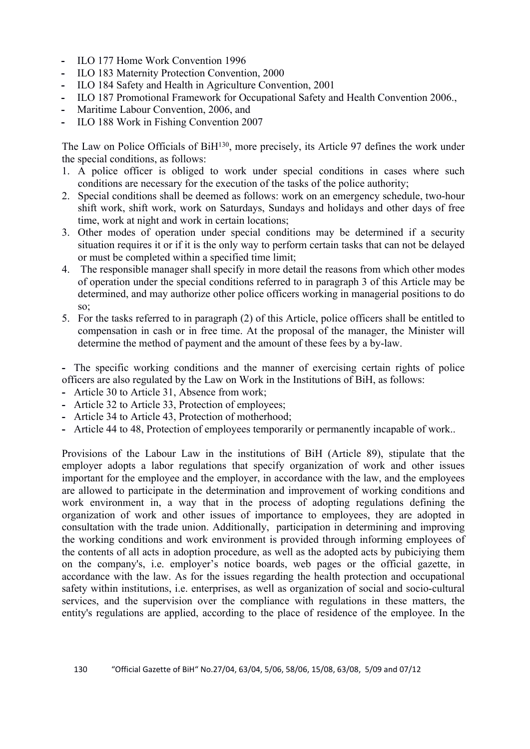- **-** ILO 177 Home Work Convention 1996
- **-** ILO 183 Maternity Protection Convention, 2000
- **-** ILO 184 Safety and Health in Agriculture Convention, 2001
- **-** ILO 187 Promotional Framework for Occupational Safety and Health Convention 2006.,
- **-** Maritime Labour Convention, 2006, and
- **-** ILO 188 Work in Fishing Convention 2007

The Law on Police Officials of BiH<sup>130</sup>, more precisely, its Article 97 defines the work under the special conditions, as follows:

- 1. A police officer is obliged to work under special conditions in cases where such conditions are necessary for the execution of the tasks of the police authority;
- 2. Special conditions shall be deemed as follows: work on an emergency schedule, two-hour shift work, shift work, work on Saturdays, Sundays and holidays and other days of free time, work at night and work in certain locations;
- 3. Other modes of operation under special conditions may be determined if a security situation requires it or if it is the only way to perform certain tasks that can not be delayed or must be completed within a specified time limit;
- 4. The responsible manager shall specify in more detail the reasons from which other modes of operation under the special conditions referred to in paragraph 3 of this Article may be determined, and may authorize other police officers working in managerial positions to do so;
- 5. For the tasks referred to in paragraph (2) of this Article, police officers shall be entitled to compensation in cash or in free time. At the proposal of the manager, the Minister will determine the method of payment and the amount of these fees by a by-law.

**-** The specific working conditions and the manner of exercising certain rights of police officers are also regulated by the Law on Work in the Institutions of BiH, as follows:

- **-** Article 30 to Article 31, Absence from work;
- **-** Article 32 to Article 33, Protection of employees;
- **-** Article 34 to Article 43, Protection of motherhood;
- **-** Article 44 to 48, Protection of employees temporarily or permanently incapable of work..

Provisions of the Labour Law in the institutions of BiH (Article 89), stipulate that the employer adopts a labor regulations that specify organization of work and other issues important for the employee and the employer, in accordance with the law, and the employees are allowed to participate in the determination and improvement of working conditions and work environment in, a way that in the process of adopting regulations defining the organization of work and other issues of importance to employees, they are adopted in consultation with the trade union. Additionally, participation in determining and improving the working conditions and work environment is provided through informing employees of the contents of all acts in adoption procedure, as well as the adopted acts by pubiciying them on the company's, i.e. employer's notice boards, web pages or the official gazette, in accordance with the law. As for the issues regarding the health protection and occupational safety within institutions, i.e. enterprises, as well as organization of social and socio-cultural services, and the supervision over the compliance with regulations in these matters, the entity's regulations are applied, according to the place of residence of the employee. In the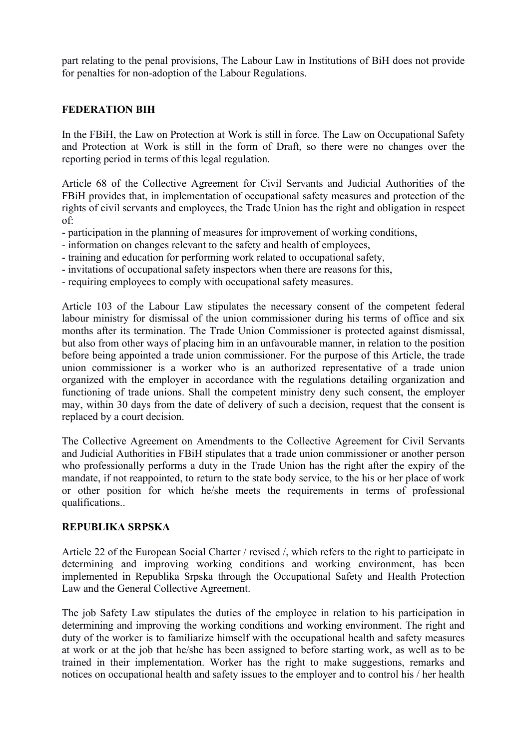part relating to the penal provisions, The Labour Law in Institutions of BiH does not provide for penalties for non-adoption of the Labour Regulations.

#### **FEDERATION BIH**

In the FBiH, the Law on Protection at Work is still in force. The Law on Occupational Safety and Protection at Work is still in the form of Draft, so there were no changes over the reporting period in terms of this legal regulation.

Article 68 of the Collective Agreement for Civil Servants and Judicial Authorities of the FBiH provides that, in implementation of occupational safety measures and protection of the rights of civil servants and employees, the Trade Union has the right and obligation in respect of:

- participation in the planning of measures for improvement of working conditions,
- information on changes relevant to the safety and health of employees,
- training and education for performing work related to occupational safety,
- invitations of occupational safety inspectors when there are reasons for this,
- requiring employees to comply with occupational safety measures.

Article 103 of the Labour Law stipulates the necessary consent of the competent federal labour ministry for dismissal of the union commissioner during his terms of office and six months after its termination. The Trade Union Commissioner is protected against dismissal, but also from other ways of placing him in an unfavourable manner, in relation to the position before being appointed a trade union commissioner. For the purpose of this Article, the trade union commissioner is a worker who is an authorized representative of a trade union organized with the employer in accordance with the regulations detailing organization and functioning of trade unions. Shall the competent ministry deny such consent, the employer may, within 30 days from the date of delivery of such a decision, request that the consent is replaced by a court decision.

The Collective Agreement on Amendments to the Collective Agreement for Civil Servants and Judicial Authorities in FBiH stipulates that a trade union commissioner or another person who professionally performs a duty in the Trade Union has the right after the expiry of the mandate, if not reappointed, to return to the state body service, to the his or her place of work or other position for which he/she meets the requirements in terms of professional qualifications..

#### **REPUBLIKA SRPSKA**

Article 22 of the European Social Charter / revised /, which refers to the right to participate in determining and improving working conditions and working environment, has been implemented in Republika Srpska through the Occupational Safety and Health Protection Law and the General Collective Agreement.

The job Safety Law stipulates the duties of the employee in relation to his participation in determining and improving the working conditions and working environment. The right and duty of the worker is to familiarize himself with the occupational health and safety measures at work or at the job that he/she has been assigned to before starting work, as well as to be trained in their implementation. Worker has the right to make suggestions, remarks and notices on occupational health and safety issues to the employer and to control his / her health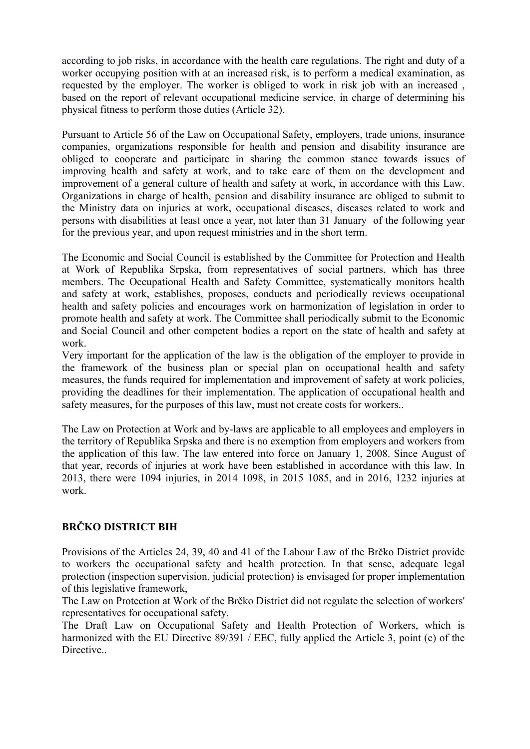according to job risks, in accordance with the health care regulations. The right and duty of a worker occupying position with at an increased risk, is to perform a medical examination, as requested by the employer. The worker is obliged to work in risk job with an increased , based on the report of relevant occupational medicine service, in charge of determining his physical fitness to perform those duties (Article 32).

Pursuant to Article 56 of the Law on Occupational Safety, employers, trade unions, insurance companies, organizations responsible for health and pension and disability insurance are obliged to cooperate and participate in sharing the common stance towards issues of improving health and safety at work, and to take care of them on the development and improvement of a general culture of health and safety at work, in accordance with this Law. Organizations in charge of health, pension and disability insurance are obliged to submit to the Ministry data on injuries at work, occupational diseases, diseases related to work and persons with disabilities at least once a year, not later than 31 January of the following year for the previous year, and upon request ministries and in the short term.

The Economic and Social Council is established by the Committee for Protection and Health at Work of Republika Srpska, from representatives of social partners, which has three members. The Occupational Health and Safety Committee, systematically monitors health and safety at work, establishes, proposes, conducts and periodically reviews occupational health and safety policies and encourages work on harmonization of legislation in order to promote health and safety at work. The Committee shall periodically submit to the Economic and Social Council and other competent bodies a report on the state of health and safety at work.

Very important for the application of the law is the obligation of the employer to provide in the framework of the business plan or special plan on occupational health and safety measures, the funds required for implementation and improvement of safety at work policies, providing the deadlines for their implementation. The application of occupational health and safety measures, for the purposes of this law, must not create costs for workers..

The Law on Protection at Work and by-laws are applicable to all employees and employers in the territory of Republika Srpska and there is no exemption from employers and workers from the application of this law. The law entered into force on January 1, 2008. Since August of that year, records of injuries at work have been established in accordance with this law. In 2013, there were 1094 injuries, in 2014 1098, in 2015 1085, and in 2016, 1232 injuries at work.

## **BRČKO DISTRICT BIH**

Provisions of the Articles 24, 39, 40 and 41 of the Labour Law of the Brčko District provide to workers the occupational safety and health protection. In that sense, adequate legal protection (inspection supervision, judicial protection) is envisaged for proper implementation of this legislative framework,

The Law on Protection at Work of the Brčko District did not regulate the selection of workers' representatives for occupational safety.

The Draft Law on Occupational Safety and Health Protection of Workers, which is harmonized with the EU Directive 89/391 / EEC, fully applied the Article 3, point (c) of the **Directive**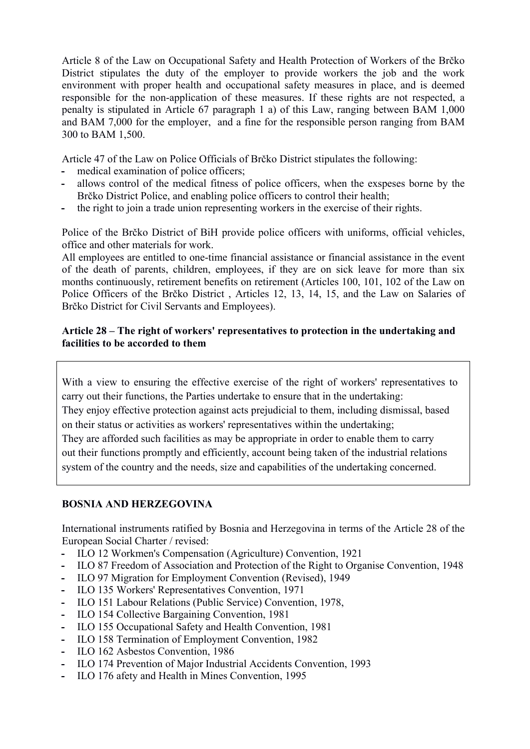Article 8 of the Law on Occupational Safety and Health Protection of Workers of the Brčko District stipulates the duty of the employer to provide workers the job and the work environment with proper health and occupational safety measures in place, and is deemed responsible for the non-application of these measures. If these rights are not respected, a penalty is stipulated in Article 67 paragraph 1 a) of this Law, ranging between BAM 1,000 and BAM 7,000 for the employer, and a fine for the responsible person ranging from BAM 300 to BAM 1,500.

Article 47 of the Law on Police Officials of Brčko District stipulates the following:

- **-** medical examination of police officers;
- **-** allows control of the medical fitness of police officers, when the exspeses borne by the Brčko District Police, and enabling police officers to control their health;
- **-** the right to join a trade union representing workers in the exercise of their rights.

Police of the Brčko District of BiH provide police officers with uniforms, official vehicles, office and other materials for work.

All employees are entitled to one-time financial assistance or financial assistance in the event of the death of parents, children, employees, if they are on sick leave for more than six months continuously, retirement benefits on retirement (Articles 100, 101, 102 of the Law on Police Officers of the Brčko District , Articles 12, 13, 14, 15, and the Law on Salaries of Brčko District for Civil Servants and Employees).

## **Article 28 – The right of workers' representatives to protection in the undertaking and facilities to be accorded to them**

With a view to ensuring the effective exercise of the right of workers' representatives to carry out their functions, the Parties undertake to ensure that in the undertaking: They enjoy effective protection against acts prejudicial to them, including dismissal, based on their status or activities as workers' representatives within the undertaking; They are afforded such facilities as may be appropriate in order to enable them to carry out their functions promptly and efficiently, account being taken of the industrial relations system of the country and the needs, size and capabilities of the undertaking concerned.

## **BOSNIA AND HERZEGOVINA**

International instruments ratified by Bosnia and Herzegovina in terms of the Article 28 of the European Social Charter / revised:

- **-** ILO 12 Workmen's Compensation (Agriculture) Convention, 1921
- **-** ILO 87 Freedom of Association and Protection of the Right to Organise Convention, 1948
- **-** ILO 97 Migration for Employment Convention (Revised), 1949
- **-** ILO 135 Workers' Representatives Convention, 1971
- **-** ILO 151 Labour Relations (Public Service) Convention, 1978,
- **-** ILO 154 Collective Bargaining Convention, 1981
- **-** ILO 155 Occupational Safety and Health Convention, 1981
- **-** ILO 158 Termination of Employment Convention, 1982
- **-** ILO 162 Asbestos Convention, 1986
- **-** ILO 174 Prevention of Major Industrial Accidents Convention, 1993
- **-** ILO 176 afety and Health in Mines Convention, 1995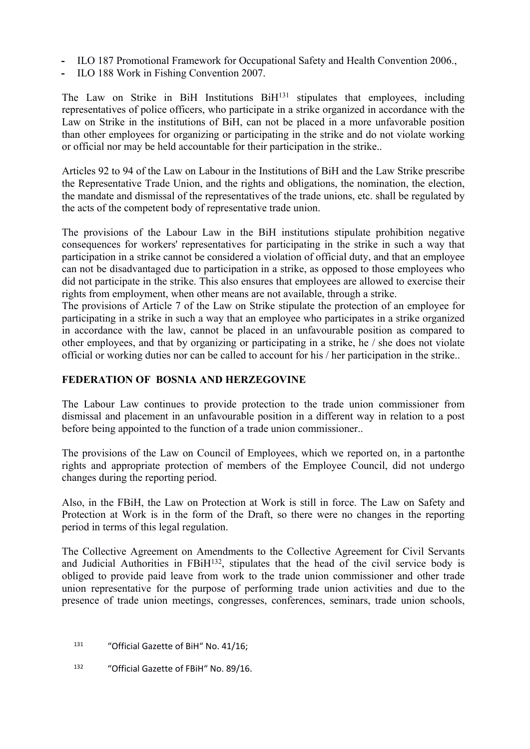- **-** ILO 187 Promotional Framework for Occupational Safety and Health Convention 2006.,
- **-** ILO 188 Work in Fishing Convention 2007.

The Law on Strike in BiH Institutions BiH<sup>131</sup> stipulates that employees, including representatives of police officers, who participate in a strike organized in accordance with the Law on Strike in the institutions of BiH, can not be placed in a more unfavorable position than other employees for organizing or participating in the strike and do not violate working or official nor may be held accountable for their participation in the strike..

Articles 92 to 94 of the Law on Labour in the Institutions of BiH and the Law Strike prescribe the Representative Trade Union, and the rights and obligations, the nomination, the election, the mandate and dismissal of the representatives of the trade unions, etc. shall be regulated by the acts of the competent body of representative trade union.

The provisions of the Labour Law in the BiH institutions stipulate prohibition negative consequences for workers' representatives for participating in the strike in such a way that participation in a strike cannot be considered a violation of official duty, and that an employee can not be disadvantaged due to participation in a strike, as opposed to those employees who did not participate in the strike. This also ensures that employees are allowed to exercise their rights from employment, when other means are not available, through a strike.

The provisions of Article 7 of the Law on Strike stipulate the protection of an employee for participating in a strike in such a way that an employee who participates in a strike organized in accordance with the law, cannot be placed in an unfavourable position as compared to other employees, and that by organizing or participating in a strike, he / she does not violate official or working duties nor can be called to account for his / her participation in the strike..

#### **FEDERATION OF BOSNIA AND HERZEGOVINE**

The Labour Law continues to provide protection to the trade union commissioner from dismissal and placement in an unfavourable position in a different way in relation to a post before being appointed to the function of a trade union commissioner..

The provisions of the Law on Council of Employees, which we reported on, in a partonthe rights and appropriate protection of members of the Employee Council, did not undergo changes during the reporting period.

Also, in the FBiH, the Law on Protection at Work is still in force. The Law on Safety and Protection at Work is in the form of the Draft, so there were no changes in the reporting period in terms of this legal regulation.

The Collective Agreement on Amendments to the Collective Agreement for Civil Servants and Judicial Authorities in FBiH<sup>132</sup>, stipulates that the head of the civil service body is obliged to provide paid leave from work to the trade union commissioner and other trade union representative for the purpose of performing trade union activities and due to the presence of trade union meetings, congresses, conferences, seminars, trade union schools,

<sup>131</sup> "Official Gazette of BiH" No. 41/16;

<sup>132</sup> "Official Gazette of FBiH" No. 89/16.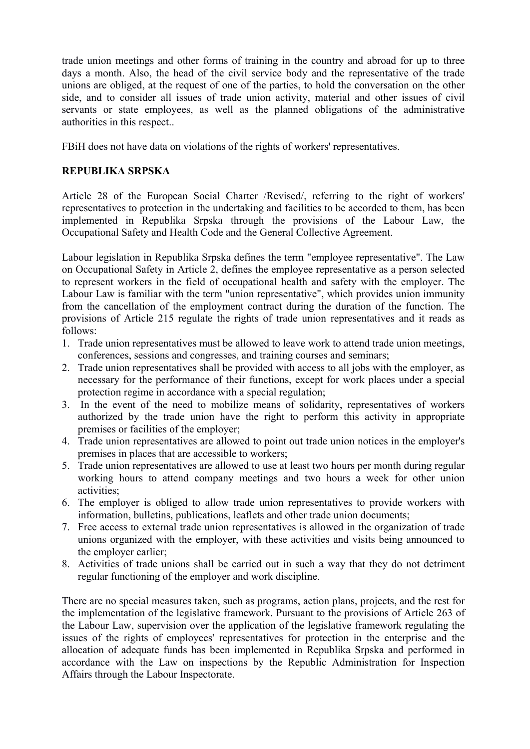trade union meetings and other forms of training in the country and abroad for up to three days a month. Also, the head of the civil service body and the representative of the trade unions are obliged, at the request of one of the parties, to hold the conversation on the other side, and to consider all issues of trade union activity, material and other issues of civil servants or state employees, as well as the planned obligations of the administrative authorities in this respect..

FBiH does not have data on violations of the rights of workers' representatives.

#### **REPUBLIKA SRPSKA**

Article 28 of the European Social Charter /Revised/, referring to the right of workers' representatives to protection in the undertaking and facilities to be accorded to them, has been implemented in Republika Srpska through the provisions of the Labour Law, the Occupational Safety and Health Code and the General Collective Agreement.

Labour legislation in Republika Srpska defines the term "employee representative". The Law on Occupational Safety in Article 2, defines the employee representative as a person selected to represent workers in the field of occupational health and safety with the employer. The Labour Law is familiar with the term "union representative", which provides union immunity from the cancellation of the employment contract during the duration of the function. The provisions of Article 215 regulate the rights of trade union representatives and it reads as follows:

- 1. Trade union representatives must be allowed to leave work to attend trade union meetings, conferences, sessions and congresses, and training courses and seminars;
- 2. Trade union representatives shall be provided with access to all jobs with the employer, as necessary for the performance of their functions, except for work places under a special protection regime in accordance with a special regulation;
- 3. In the event of the need to mobilize means of solidarity, representatives of workers authorized by the trade union have the right to perform this activity in appropriate premises or facilities of the employer;
- 4. Trade union representatives are allowed to point out trade union notices in the employer's premises in places that are accessible to workers;
- 5. Trade union representatives are allowed to use at least two hours per month during regular working hours to attend company meetings and two hours a week for other union activities;
- 6. The employer is obliged to allow trade union representatives to provide workers with information, bulletins, publications, leaflets and other trade union documents;
- 7. Free access to external trade union representatives is allowed in the organization of trade unions organized with the employer, with these activities and visits being announced to the employer earlier;
- 8. Activities of trade unions shall be carried out in such a way that they do not detriment regular functioning of the employer and work discipline.

There are no special measures taken, such as programs, action plans, projects, and the rest for the implementation of the legislative framework. Pursuant to the provisions of Article 263 of the Labour Law, supervision over the application of the legislative framework regulating the issues of the rights of employees' representatives for protection in the enterprise and the allocation of adequate funds has been implemented in Republika Srpska and performed in accordance with the Law on inspections by the Republic Administration for Inspection Affairs through the Labour Inspectorate.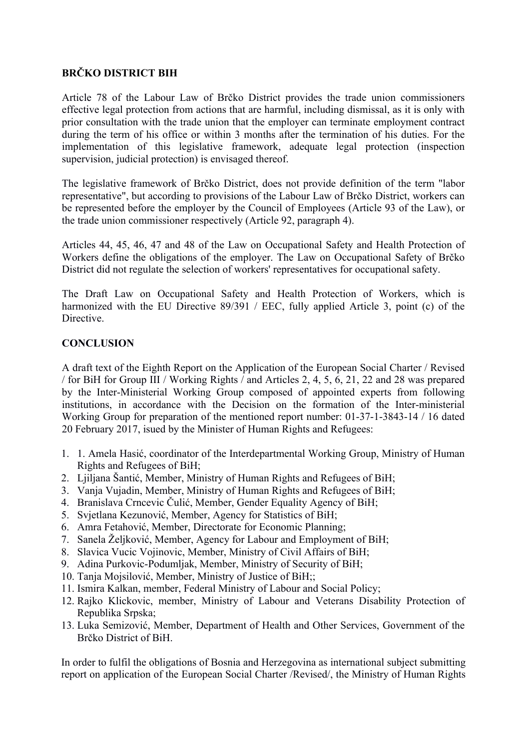# **BRČKO DISTRICT BIH**

Article 78 of the Labour Law of Brčko District provides the trade union commissioners effective legal protection from actions that are harmful, including dismissal, as it is only with prior consultation with the trade union that the employer can terminate employment contract during the term of his office or within 3 months after the termination of his duties. For the implementation of this legislative framework, adequate legal protection (inspection supervision, judicial protection) is envisaged thereof.

The legislative framework of Brčko District, does not provide definition of the term "labor representative", but according to provisions of the Labour Law of Brčko District, workers can be represented before the employer by the Council of Employees (Article 93 of the Law), or the trade union commissioner respectively (Article 92, paragraph 4).

Articles 44, 45, 46, 47 and 48 of the Law on Occupational Safety and Health Protection of Workers define the obligations of the employer. The Law on Occupational Safety of Brčko District did not regulate the selection of workers' representatives for occupational safety.

The Draft Law on Occupational Safety and Health Protection of Workers, which is harmonized with the EU Directive 89/391 / EEC, fully applied Article 3, point (c) of the **Directive** 

## **CONCLUSION**

A draft text of the Eighth Report on the Application of the European Social Charter / Revised / for BiH for Group III / Working Rights / and Articles 2, 4, 5, 6, 21, 22 and 28 was prepared by the Inter-Ministerial Working Group composed of appointed experts from following institutions, in accordance with the Decision on the formation of the Inter-ministerial Working Group for preparation of the mentioned report number: 01-37-1-3843-14 / 16 dated 20 February 2017, isued by the Minister of Human Rights and Refugees:

- 1. 1. Amela Hasić, coordinator of the Interdepartmental Working Group, Ministry of Human Rights and Refugees of BiH;
- 2. Ljiljana Šantić, Member, Ministry of Human Rights and Refugees of BiH;
- 3. Vanja Vujadin, Member, Ministry of Human Rights and Refugees of BiH;
- 4. Branislava Crncevic Čulić, Member, Gender Equality Agency of BiH;
- 5. Svjetlana Kezunović, Member, Agency for Statistics of BiH;
- 6. Amra Fetahović, Member, Directorate for Economic Planning;
- 7. Sanela Željković, Member, Agency for Labour and Employment of BiH;
- 8. Slavica Vucic Vojinovic, Member, Ministry of Civil Affairs of BiH;
- 9. Adina Purkovic-Podumljak, Member, Ministry of Security of BiH;
- 10. Tanja Mojsilović, Member, Ministry of Justice of BiH;;
- 11. Ismira Kalkan, member, Federal Ministry of Labour and Social Policy;
- 12. Rajko Klickovic, member, Ministry of Labour and Veterans Disability Protection of Republika Srpska;
- 13. Luka Semizović, Member, Department of Health and Other Services, Government of the Brčko District of BiH.

In order to fulfil the obligations of Bosnia and Herzegovina as international subject submitting report on application of the European Social Charter /Revised/, the Ministry of Human Rights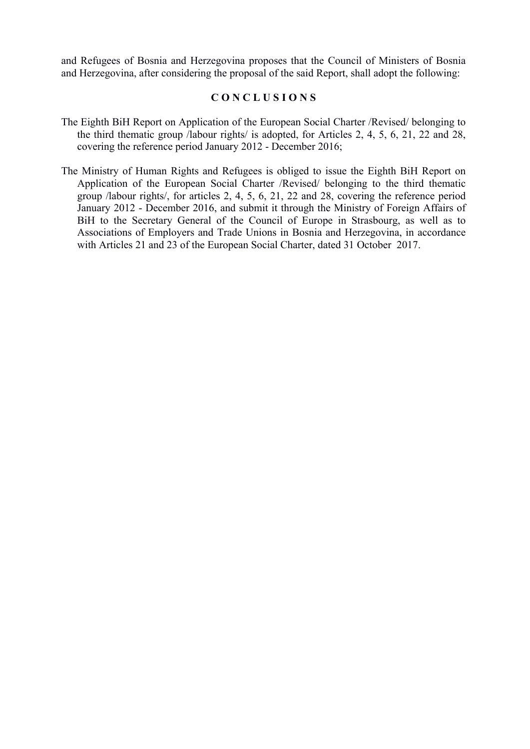and Refugees of Bosnia and Herzegovina proposes that the Council of Ministers of Bosnia and Herzegovina, after considering the proposal of the said Report, shall adopt the following:

#### **C O N C L U S I O N S**

- The Eighth BiH Report on Application of the European Social Charter /Revised/ belonging to the third thematic group /labour rights/ is adopted, for Articles 2, 4, 5, 6, 21, 22 and 28, covering the reference period January 2012 - December 2016;
- The Ministry of Human Rights and Refugees is obliged to issue the Eighth BiH Report on Application of the European Social Charter /Revised/ belonging to the third thematic group /labour rights/, for articles 2, 4, 5, 6, 21, 22 and 28, covering the reference period January 2012 - December 2016, and submit it through the Ministry of Foreign Affairs of BiH to the Secretary General of the Council of Europe in Strasbourg, as well as to Associations of Employers and Trade Unions in Bosnia and Herzegovina, in accordance with Articles 21 and 23 of the European Social Charter, dated 31 October 2017.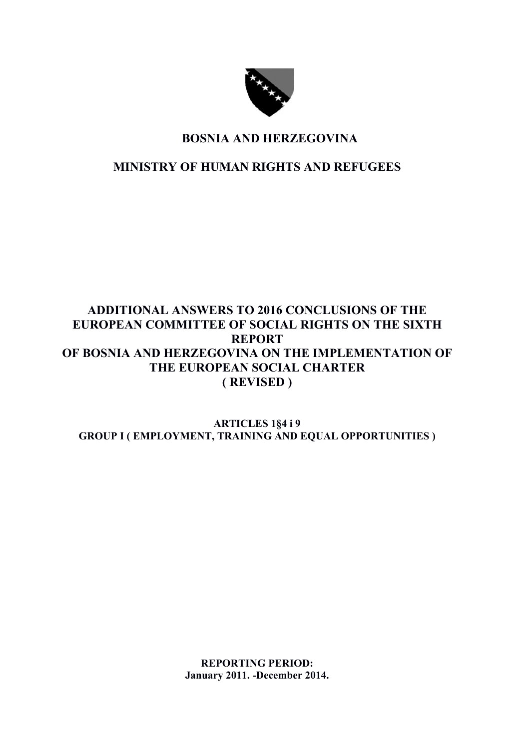

# **BOSNIA AND HERZEGOVINA**

**MINISTRY OF HUMAN RIGHTS AND REFUGEES**

# **ADDITIONAL ANSWERS TO 2016 CONCLUSIONS OF THE EUROPEAN COMMITTEE OF SOCIAL RIGHTS ON THE SIXTH REPORT OF BOSNIA AND HERZEGOVINA ON THE IMPLEMENTATION OF THE EUROPEAN SOCIAL CHARTER ( REVISED )**

**ARTICLES 1§4 i 9 GROUP I ( EMPLOYMENT, TRAINING AND EQUAL OPPORTUNITIES )**

> **REPORTING PERIOD: January 2011. -December 2014.**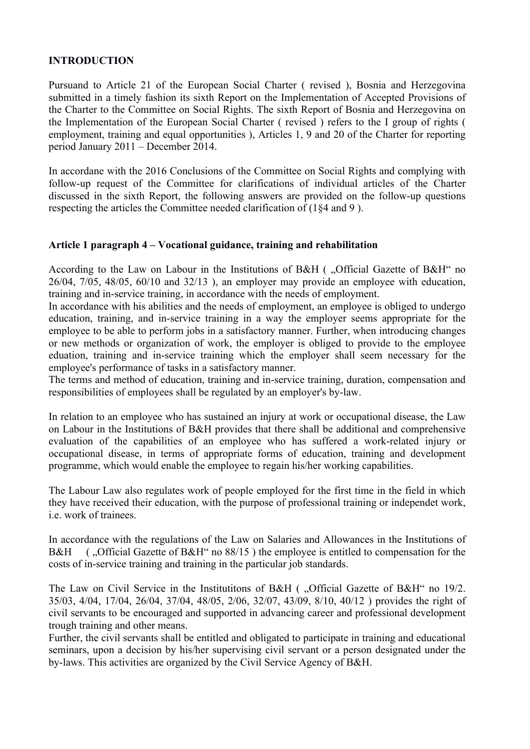## **INTRODUCTION**

Pursuand to Article 21 of the European Social Charter ( revised ), Bosnia and Herzegovina submitted in a timely fashion its sixth Report on the Implementation of Accepted Provisions of the Charter to the Committee on Social Rights. The sixth Report of Bosnia and Herzegovina on the Implementation of the European Social Charter ( revised ) refers to the I group of rights ( employment, training and equal opportunities ), Articles 1, 9 and 20 of the Charter for reporting period January 2011 – December 2014.

In accordane with the 2016 Conclusions of the Committee on Social Rights and complying with follow-up request of the Committee for clarifications of individual articles of the Charter discussed in the sixth Report, the following answers are provided on the follow-up questions respecting the articles the Committee needed clarification of (1§4 and 9 ).

#### **Article 1 paragraph 4 – Vocational guidance, training and rehabilitation**

According to the Law on Labour in the Institutions of B&H ( "Official Gazette of B&H" no 26/04, 7/05, 48/05, 60/10 and 32/13 ), an employer may provide an employee with education, training and in-service training, in accordance with the needs of employment.

In accordance with his abilities and the needs of employment, an employee is obliged to undergo education, training, and in-service training in a way the employer seems appropriate for the employee to be able to perform jobs in a satisfactory manner. Further, when introducing changes or new methods or organization of work, the employer is obliged to provide to the employee eduation, training and in-service training which the employer shall seem necessary for the employee's performance of tasks in a satisfactory manner.

The terms and method of education, training and in-service training, duration, compensation and responsibilities of employees shall be regulated by an employer's by-law.

In relation to an employee who has sustained an injury at work or occupational disease, the Law on Labour in the Institutions of B&H provides that there shall be additional and comprehensive evaluation of the capabilities of an employee who has suffered a work-related injury or occupational disease, in terms of appropriate forms of education, training and development programme, which would enable the employee to regain his/her working capabilities.

The Labour Law also regulates work of people employed for the first time in the field in which they have received their education, with the purpose of professional training or independet work, i.e. work of trainees.

In accordance with the regulations of the Law on Salaries and Allowances in the Institutions of B&H (...Official Gazette of B&H" no  $88/15$ ) the employee is entitled to compensation for the costs of in-service training and training in the particular job standards.

The Law on Civil Service in the Institutitons of B&H ( "Official Gazette of B&H" no 19/2. 35/03, 4/04, 17/04, 26/04, 37/04, 48/05, 2/06, 32/07, 43/09, 8/10, 40/12 ) provides the right of civil servants to be encouraged and supported in advancing career and professional development trough training and other means.

Further, the civil servants shall be entitled and obligated to participate in training and educational seminars, upon a decision by his/her supervising civil servant or a person designated under the by-laws. This activities are organized by the Civil Service Agency of B&H.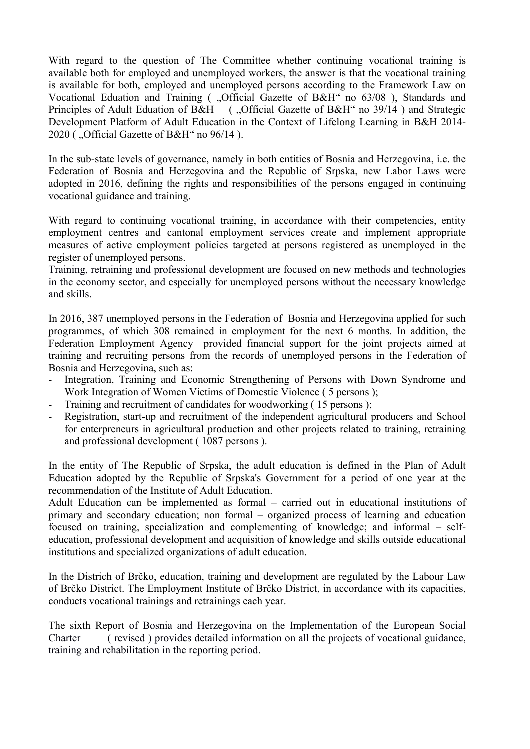With regard to the question of The Committee whether continuing vocational training is available both for employed and unemployed workers, the answer is that the vocational training is available for both, employed and unemployed persons according to the Framework Law on Vocational Eduation and Training ( "Official Gazette of B&H" no 63/08), Standards and Principles of Adult Eduation of B&H ( "Official Gazette of B&H" no 39/14) and Strategic Development Platform of Adult Education in the Context of Lifelong Learning in B&H 2014- 2020 ( "Official Gazette of B&H" no  $96/14$  ).

In the sub-state levels of governance, namely in both entities of Bosnia and Herzegovina, i.e. the Federation of Bosnia and Herzegovina and the Republic of Srpska, new Labor Laws were adopted in 2016, defining the rights and responsibilities of the persons engaged in continuing vocational guidance and training.

With regard to continuing vocational training, in accordance with their competencies, entity employment centres and cantonal employment services create and implement appropriate measures of active employment policies targeted at persons registered as unemployed in the register of unemployed persons.

Training, retraining and professional development are focused on new methods and technologies in the economy sector, and especially for unemployed persons without the necessary knowledge and skills.

In 2016, 387 unemployed persons in the Federation of Bosnia and Herzegovina applied for such programmes, of which 308 remained in employment for the next 6 months. In addition, the Federation Employment Agency provided financial support for the joint projects aimed at training and recruiting persons from the records of unemployed persons in the Federation of Bosnia and Herzegovina, such as:

- Integration, Training and Economic Strengthening of Persons with Down Syndrome and Work Integration of Women Victims of Domestic Violence ( 5 persons );
- Training and recruitment of candidates for woodworking ( 15 persons );
- Registration, start-up and recruitment of the independent agricultural producers and School for enterpreneurs in agricultural production and other projects related to training, retraining and professional development ( 1087 persons ).

In the entity of The Republic of Srpska, the adult education is defined in the Plan of Adult Education adopted by the Republic of Srpska's Government for a period of one year at the recommendation of the Institute of Adult Education.

Adult Education can be implemented as formal – carried out in educational institutions of primary and secondary education; non formal – organized process of learning and education focused on training, specialization and complementing of knowledge; and informal – selfeducation, professional development and acquisition of knowledge and skills outside educational institutions and specialized organizations of adult education.

In the Districh of Brčko, education, training and development are regulated by the Labour Law of Brčko District. The Employment Institute of Brčko District, in accordance with its capacities, conducts vocational trainings and retrainings each year.

The sixth Report of Bosnia and Herzegovina on the Implementation of the European Social Charter ( revised ) provides detailed information on all the projects of vocational guidance, training and rehabilitation in the reporting period.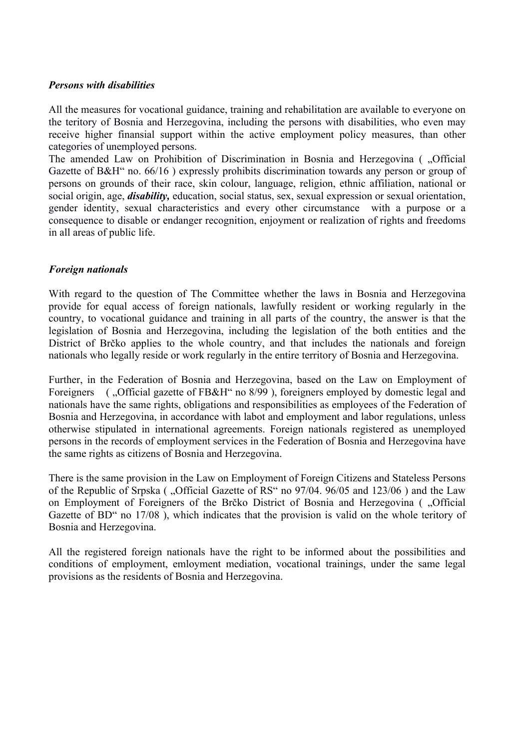#### *Persons with disabilities*

All the measures for vocational guidance, training and rehabilitation are available to everyone on the teritory of Bosnia and Herzegovina, including the persons with disabilities, who even may receive higher finansial support within the active employment policy measures, than other categories of unemployed persons.

The amended Law on Prohibition of Discrimination in Bosnia and Herzegovina ( .Official Gazette of B&H" no. 66/16 ) expressly prohibits discrimination towards any person or group of persons on grounds of their race, skin colour, language, religion, ethnic affiliation, national or social origin, age, *disability,* education, social status, sex, sexual expression or sexual orientation, gender identity, sexual characteristics and every other circumstance with a purpose or a consequence to disable or endanger recognition, enjoyment or realization of rights and freedoms in all areas of public life.

#### *Foreign nationals*

With regard to the question of The Committee whether the laws in Bosnia and Herzegovina provide for equal access of foreign nationals, lawfully resident or working regularly in the country, to vocational guidance and training in all parts of the country, the answer is that the legislation of Bosnia and Herzegovina, including the legislation of the both entities and the District of Brčko applies to the whole country, and that includes the nationals and foreign nationals who legally reside or work regularly in the entire territory of Bosnia and Herzegovina.

Further, in the Federation of Bosnia and Herzegovina, based on the Law on Employment of Foreigners ( ...Official gazette of FB&H" no 8/99), foreigners employed by domestic legal and nationals have the same rights, obligations and responsibilities as employees of the Federation of Bosnia and Herzegovina, in accordance with labot and employment and labor regulations, unless otherwise stipulated in international agreements. Foreign nationals registered as unemployed persons in the records of employment services in the Federation of Bosnia and Herzegovina have the same rights as citizens of Bosnia and Herzegovina.

There is the same provision in the Law on Employment of Foreign Citizens and Stateless Persons of the Republic of Srpska (, Official Gazette of RS" no 97/04. 96/05 and 123/06) and the Law on Employment of Foreigners of the Brčko District of Bosnia and Herzegovina ( "Official Gazette of BD" no 17/08 ), which indicates that the provision is valid on the whole teritory of Bosnia and Herzegovina.

All the registered foreign nationals have the right to be informed about the possibilities and conditions of employment, emloyment mediation, vocational trainings, under the same legal provisions as the residents of Bosnia and Herzegovina.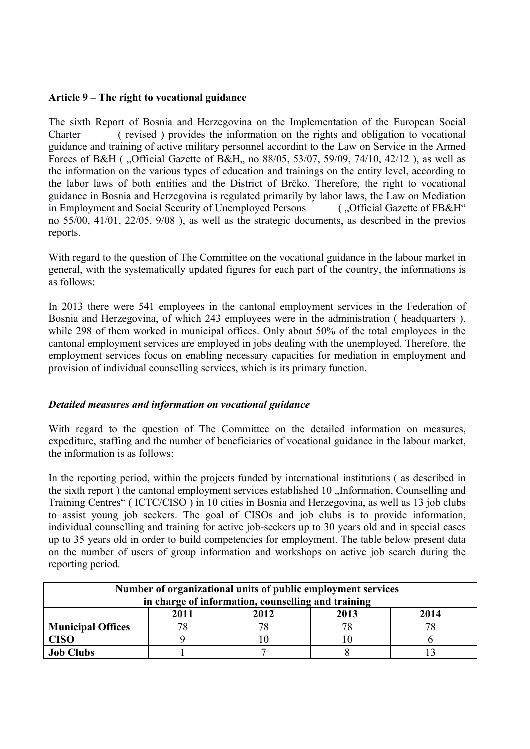#### **Article 9 – The right to vocational guidance**

The sixth Report of Bosnia and Herzegovina on the Implementation of the European Social Charter ( revised ) provides the information on the rights and obligation to vocational guidance and training of active military personnel accordint to the Law on Service in the Armed Forces of B&H ( ...Official Gazette of B&H, no 88/05, 53/07, 59/09, 74/10, 42/12 ), as well as the information on the various types of education and trainings on the entity level, according to the labor laws of both entities and the District of Brčko. Therefore, the right to vocational guidance in Bosnia and Herzegovina is regulated primarily by labor laws, the Law on Mediation<br>in Employment and Social Security of Unemployed Persons (...Official Gazette of FB&H" in Employment and Social Security of Unemployed Persons no 55/00, 41/01, 22/05, 9/08 ), as well as the strategic documents, as described in the previos reports.

With regard to the question of The Committee on the vocational guidance in the labour market in general, with the systematically updated figures for each part of the country, the informations is as follows:

In 2013 there were 541 employees in the cantonal employment services in the Federation of Bosnia and Herzegovina, of which 243 employees were in the administration ( headquarters ), while 298 of them worked in municipal offices. Only about 50% of the total employees in the cantonal employment services are employed in jobs dealing with the unemployed. Therefore, the employment services focus on enabling necessary capacities for mediation in employment and provision of individual counselling services, which is its primary function.

#### *Detailed measures and information on vocational guidance*

With regard to the question of The Committee on the detailed information on measures, expediture, staffing and the number of beneficiaries of vocational guidance in the labour market, the information is as follows:

In the reporting period, within the projects funded by international institutions ( as described in the sixth report) the cantonal employment services established 10 "Information, Counselling and Training Centres" ( ICTC/CISO ) in 10 cities in Bosnia and Herzegovina, as well as 13 job clubs to assist young job seekers. The goal of CISOs and job clubs is to provide information, individual counselling and training for active job-seekers up to 30 years old and in special cases up to 35 years old in order to build competencies for employment. The table below present data on the number of users of group information and workshops on active job search during the reporting period.

| Number of organizational units of public employment services |                              |  |    |  |  |  |  |  |  |
|--------------------------------------------------------------|------------------------------|--|----|--|--|--|--|--|--|
| in charge of information, counselling and training           |                              |  |    |  |  |  |  |  |  |
|                                                              | 2012<br>2011<br>2014<br>2013 |  |    |  |  |  |  |  |  |
| <b>Municipal Offices</b>                                     |                              |  | 78 |  |  |  |  |  |  |
| <b>CISO</b>                                                  |                              |  |    |  |  |  |  |  |  |
| <b>Job Clubs</b>                                             |                              |  |    |  |  |  |  |  |  |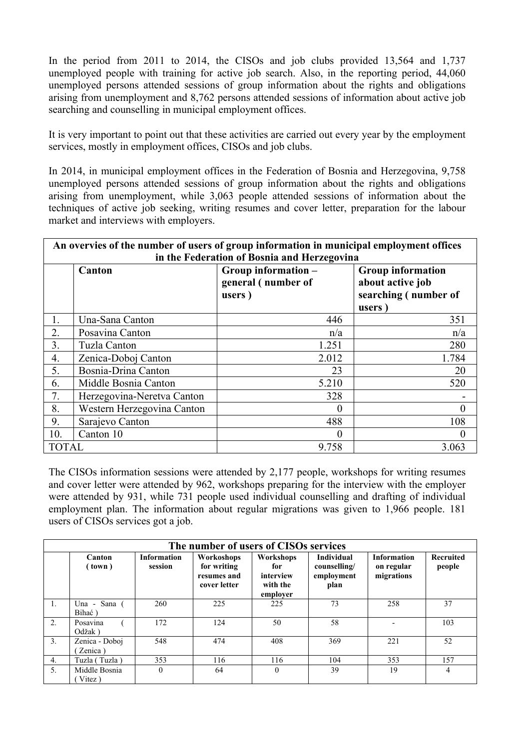In the period from 2011 to 2014, the CISOs and job clubs provided 13,564 and 1,737 unemployed people with training for active job search. Also, in the reporting period, 44,060 unemployed persons attended sessions of group information about the rights and obligations arising from unemployment and 8,762 persons attended sessions of information about active job searching and counselling in municipal employment offices.

It is very important to point out that these activities are carried out every year by the employment services, mostly in employment offices, CISOs and job clubs.

In 2014, in municipal employment offices in the Federation of Bosnia and Herzegovina, 9,758 unemployed persons attended sessions of group information about the rights and obligations arising from unemployment, while 3,063 people attended sessions of information about the techniques of active job seeking, writing resumes and cover letter, preparation for the labour market and interviews with employers.

| An overvies of the number of users of group information in municipal employment offices |                                                           |                    |                      |  |  |  |
|-----------------------------------------------------------------------------------------|-----------------------------------------------------------|--------------------|----------------------|--|--|--|
| in the Federation of Bosnia and Herzegovina                                             |                                                           |                    |                      |  |  |  |
|                                                                                         | Group information -<br><b>Group information</b><br>Canton |                    |                      |  |  |  |
|                                                                                         |                                                           | general (number of | about active job     |  |  |  |
|                                                                                         |                                                           | users)             | searching (number of |  |  |  |
|                                                                                         |                                                           |                    | users                |  |  |  |
| 1.                                                                                      | Una-Sana Canton                                           | 446                | 351                  |  |  |  |
| 2.                                                                                      | Posavina Canton                                           | n/a                | n/a                  |  |  |  |
| 3.                                                                                      | Tuzla Canton                                              | 1.251              | 280                  |  |  |  |
| 4.                                                                                      | Zenica-Doboj Canton                                       | 2.012              | 1.784                |  |  |  |
| 5.                                                                                      | Bosnia-Drina Canton                                       | 23                 | 20                   |  |  |  |
| 6.                                                                                      | Middle Bosnia Canton                                      | 5.210              | 520                  |  |  |  |
| 7.                                                                                      | Herzegovina-Neretva Canton                                | 328                |                      |  |  |  |
| 8.                                                                                      | Western Herzegovina Canton                                |                    |                      |  |  |  |
| 9.                                                                                      | Sarajevo Canton                                           | 488                | 108                  |  |  |  |
| 10.                                                                                     | Canton 10                                                 | 0                  | $\theta$             |  |  |  |
| <b>TOTAL</b>                                                                            |                                                           | 9.758              | 3.063                |  |  |  |

The CISOs information sessions were attended by 2,177 people, workshops for writing resumes and cover letter were attended by 962, workshops preparing for the interview with the employer were attended by 931, while 731 people used individual counselling and drafting of individual employment plan. The information about regular migrations was given to 1,966 people. 181 users of CISOs services got a job.

| The number of users of CISOs services |                           |                               |                                                          |                                                       |                                                         |                                                |                            |
|---------------------------------------|---------------------------|-------------------------------|----------------------------------------------------------|-------------------------------------------------------|---------------------------------------------------------|------------------------------------------------|----------------------------|
|                                       | Canton<br>(town)          | <b>Information</b><br>session | Workoshops<br>for writing<br>resumes and<br>cover letter | Workshops<br>for<br>interview<br>with the<br>employer | <b>Individual</b><br>counselling/<br>employment<br>plan | <b>Information</b><br>on regular<br>migrations | <b>Recruited</b><br>people |
| 1.                                    | Sana (<br>Una -<br>Bihać) | 260                           | 225                                                      | 225                                                   | 73                                                      | 258                                            | 37                         |
| 2.                                    | Posavina<br>Odžak)        | 172                           | 124                                                      | 50                                                    | 58                                                      |                                                | 103                        |
| 3.                                    | Zenica - Doboj<br>Zenica) | 548                           | 474                                                      | 408                                                   | 369                                                     | 221                                            | 52                         |
| 4.                                    | Tuzla (Tuzla)             | 353                           | 116                                                      | 116                                                   | 104                                                     | 353                                            | 157                        |
| 5.                                    | Middle Bosnia<br>Vitez)   | $\mathbf{0}$                  | 64                                                       | $\mathbf{0}$                                          | 39                                                      | 19                                             | $\overline{4}$             |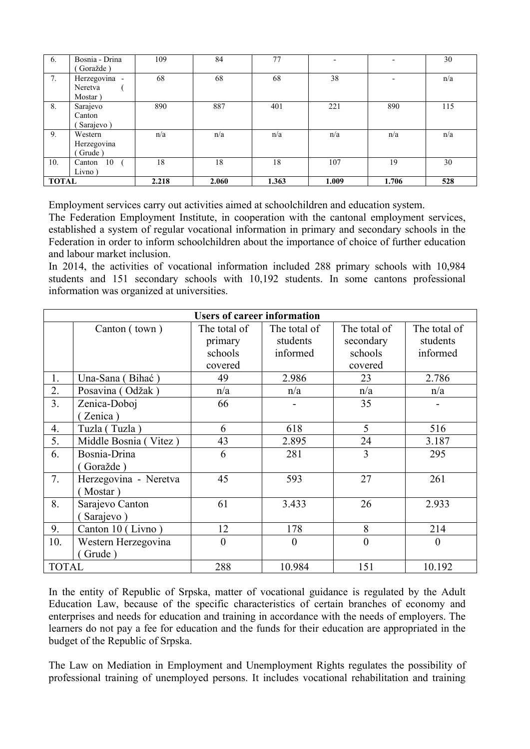| 6.           | Bosnia - Drina | 109   | 84    | 77    | $\overline{\phantom{0}}$ | -                        | 30  |
|--------------|----------------|-------|-------|-------|--------------------------|--------------------------|-----|
|              | Goražde)       |       |       |       |                          |                          |     |
| 7.           | Herzegovina -  | 68    | 68    | 68    | 38                       | $\overline{\phantom{a}}$ | n/a |
|              | Neretva        |       |       |       |                          |                          |     |
|              | Mostar)        |       |       |       |                          |                          |     |
| 8.           | Sarajevo       | 890   | 887   | 401   | 221                      | 890                      | 115 |
|              | Canton         |       |       |       |                          |                          |     |
|              | Sarajevo)      |       |       |       |                          |                          |     |
| 9.           | Western        | n/a   | n/a   | n/a   | n/a                      | n/a                      | n/a |
|              | Herzegovina    |       |       |       |                          |                          |     |
|              | Grude)         |       |       |       |                          |                          |     |
| 10.          | 10<br>Canton   | 18    | 18    | 18    | 107                      | 19                       | 30  |
|              | Livno)         |       |       |       |                          |                          |     |
| <b>TOTAL</b> |                | 2.218 | 2.060 | 1.363 | 1.009                    | 1.706                    | 528 |

Employment services carry out activities aimed at schoolchildren and education system.

The Federation Employment Institute, in cooperation with the cantonal employment services, established a system of regular vocational information in primary and secondary schools in the Federation in order to inform schoolchildren about the importance of choice of further education and labour market inclusion.

In 2014, the activities of vocational information included 288 primary schools with 10,984 students and 151 secondary schools with 10,192 students. In some cantons professional information was organized at universities.

| <b>Users of career information</b> |                       |              |              |                |              |  |  |  |
|------------------------------------|-----------------------|--------------|--------------|----------------|--------------|--|--|--|
|                                    | Canton (town)         | The total of | The total of | The total of   | The total of |  |  |  |
|                                    |                       | primary      | students     | secondary      | students     |  |  |  |
|                                    |                       | schools      | informed     | schools        | informed     |  |  |  |
|                                    |                       | covered      |              | covered        |              |  |  |  |
| 1.                                 | Una-Sana (Bihać)      | 49           | 2.986        | 23             | 2.786        |  |  |  |
| 2.                                 | Posavina (Odžak)      | n/a          | n/a          | n/a            | n/a          |  |  |  |
| 3 <sub>1</sub>                     | Zenica-Doboj          | 66           |              | 35             |              |  |  |  |
|                                    | Zenica)               |              |              |                |              |  |  |  |
| 4.                                 | Tuzla (Tuzla)         | 6            | 618          | 5              | 516          |  |  |  |
| 5.                                 | Middle Bosnia (Vitez) | 43           | 2.895        | 24             | 3.187        |  |  |  |
| 6.                                 | Bosnia-Drina          | 6            | 281          | 3              | 295          |  |  |  |
|                                    | Goražde)              |              |              |                |              |  |  |  |
| 7.                                 | Herzegovina - Neretva | 45           | 593          | 27             | 261          |  |  |  |
|                                    | Mostar)               |              |              |                |              |  |  |  |
| 8.                                 | Sarajevo Canton       | 61           | 3.433        | 26             | 2.933        |  |  |  |
|                                    | Sarajevo)             |              |              |                |              |  |  |  |
| 9.                                 | Canton 10 (Livno)     | 12           | 178          | 8              | 214          |  |  |  |
| 10.                                | Western Herzegovina   | $\theta$     | $\theta$     | $\overline{0}$ | $\theta$     |  |  |  |
|                                    | Grude)                |              |              |                |              |  |  |  |
| <b>TOTAL</b>                       |                       | 288          | 10.984       | 151            | 10.192       |  |  |  |

In the entity of Republic of Srpska, matter of vocational guidance is regulated by the Adult Education Law, because of the specific characteristics of certain branches of economy and enterprises and needs for education and training in accordance with the needs of employers. The learners do not pay a fee for education and the funds for their education are appropriated in the budget of the Republic of Srpska.

The Law on Mediation in Employment and Unemployment Rights regulates the possibility of professional training of unemployed persons. It includes vocational rehabilitation and training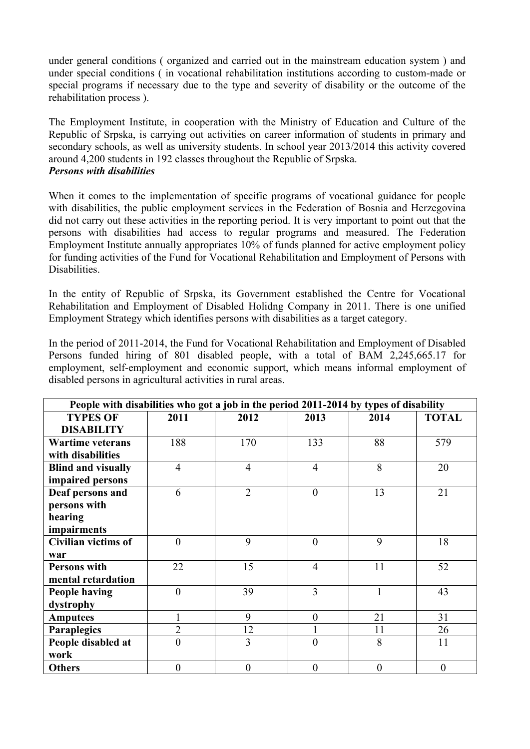under general conditions ( organized and carried out in the mainstream education system ) and under special conditions ( in vocational rehabilitation institutions according to custom-made or special programs if necessary due to the type and severity of disability or the outcome of the rehabilitation process ).

The Employment Institute, in cooperation with the Ministry of Education and Culture of the Republic of Srpska, is carrying out activities on career information of students in primary and secondary schools, as well as university students. In school year 2013/2014 this activity covered around 4,200 students in 192 classes throughout the Republic of Srpska. *Persons with disabilities*

When it comes to the implementation of specific programs of vocational guidance for people with disabilities, the public employment services in the Federation of Bosnia and Herzegovina did not carry out these activities in the reporting period. It is very important to point out that the persons with disabilities had access to regular programs and measured. The Federation Employment Institute annually appropriates 10% of funds planned for active employment policy for funding activities of the Fund for Vocational Rehabilitation and Employment of Persons with Disabilities.

In the entity of Republic of Srpska, its Government established the Centre for Vocational Rehabilitation and Employment of Disabled Holidng Company in 2011. There is one unified Employment Strategy which identifies persons with disabilities as a target category.

In the period of 2011-2014, the Fund for Vocational Rehabilitation and Employment of Disabled Persons funded hiring of 801 disabled people, with a total of BAM 2,245,665.17 for employment, self-employment and economic support, which means informal employment of disabled persons in agricultural activities in rural areas.

| People with disabilities who got a job in the period 2011-2014 by types of disability |                |                |                |              |              |  |  |
|---------------------------------------------------------------------------------------|----------------|----------------|----------------|--------------|--------------|--|--|
| <b>TYPES OF</b>                                                                       | 2011           | 2012           | 2013           | 2014         | <b>TOTAL</b> |  |  |
| <b>DISABILITY</b>                                                                     |                |                |                |              |              |  |  |
| <b>Wartime veterans</b>                                                               | 188            | 170            | 133            | 88           | 579          |  |  |
| with disabilities                                                                     |                |                |                |              |              |  |  |
| <b>Blind and visually</b>                                                             | $\overline{4}$ | $\overline{4}$ | $\overline{4}$ | 8            | 20           |  |  |
| impaired persons                                                                      |                |                |                |              |              |  |  |
| Deaf persons and                                                                      | 6              | $\overline{2}$ | $\theta$       | 13           | 21           |  |  |
| persons with                                                                          |                |                |                |              |              |  |  |
| hearing                                                                               |                |                |                |              |              |  |  |
| impairments                                                                           |                |                |                |              |              |  |  |
| <b>Civilian victims of</b>                                                            | $\theta$       | 9              | $\overline{0}$ | 9            | 18           |  |  |
| war                                                                                   |                |                |                |              |              |  |  |
| <b>Persons with</b>                                                                   | 22             | 15             | $\overline{4}$ | 11           | 52           |  |  |
| mental retardation                                                                    |                |                |                |              |              |  |  |
| <b>People having</b>                                                                  | $\theta$       | 39             | $\overline{3}$ | $\mathbf{1}$ | 43           |  |  |
| dystrophy                                                                             |                |                |                |              |              |  |  |
| <b>Amputees</b>                                                                       |                | 9              | $\overline{0}$ | 21           | 31           |  |  |
| Paraplegics                                                                           | $\overline{2}$ | 12             |                | 11           | 26           |  |  |
| People disabled at                                                                    | $\theta$       | $\overline{3}$ | $\theta$       | 8            | 11           |  |  |
| work                                                                                  |                |                |                |              |              |  |  |
| <b>Others</b>                                                                         | $\theta$       | $\overline{0}$ | $\overline{0}$ | $\theta$     | $\theta$     |  |  |